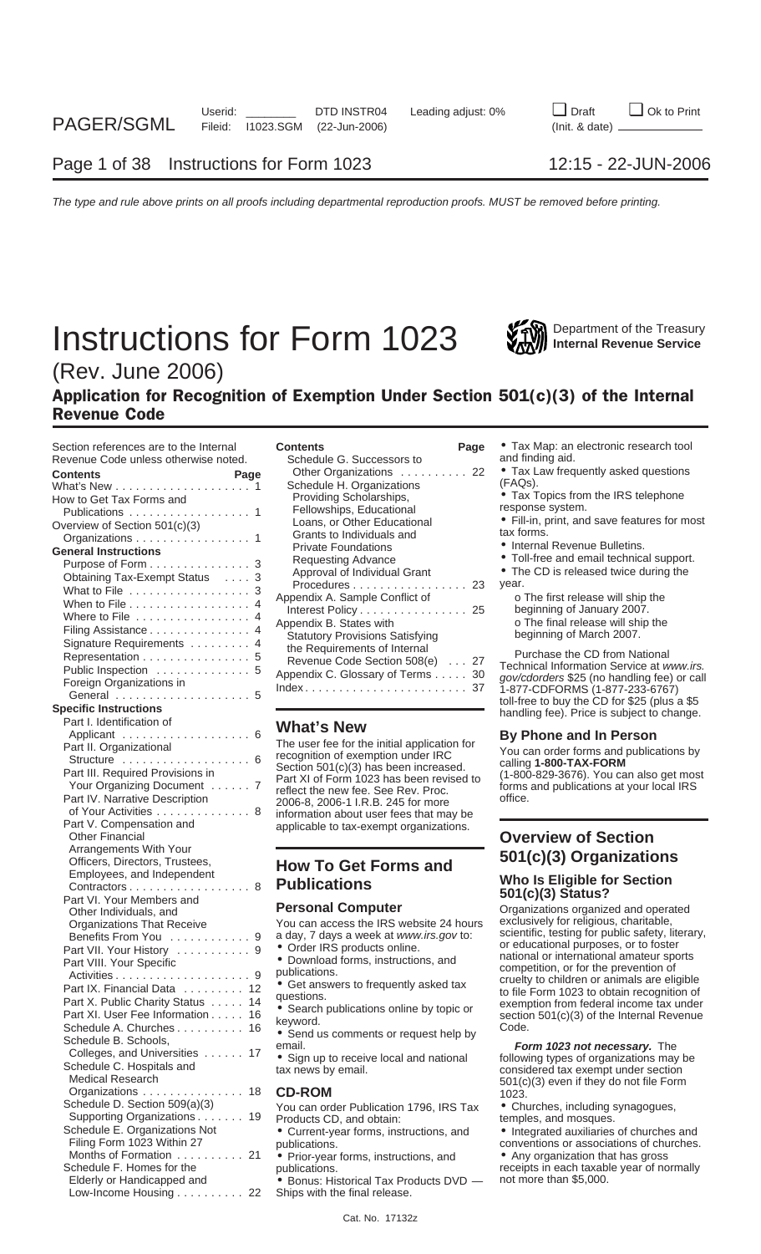# **Instructions for Form 1023** Will Department of the Treasury



# (Rev. June 2006)

### Application for Recognition of Exemption Under Section 501(c)(3) of the Internal Revenue Code

| Section references are to the Internal                       | <b>Contents</b><br>Page                                            | • Tax Map: an electronic research tool                                                    |
|--------------------------------------------------------------|--------------------------------------------------------------------|-------------------------------------------------------------------------------------------|
| Revenue Code unless otherwise noted.                         | Schedule G. Successors to                                          | and finding aid.                                                                          |
| <b>Contents</b><br>Page                                      | Other Organizations 22                                             | • Tax Law frequently asked questions                                                      |
|                                                              | Schedule H. Organizations                                          | (FAQs).                                                                                   |
| How to Get Tax Forms and                                     | Providing Scholarships,                                            | • Tax Topics from the IRS telephone                                                       |
| Publications 1                                               | Fellowships, Educational                                           | response system.                                                                          |
| Overview of Section 501(c)(3)                                | Loans, or Other Educational                                        | • Fill-in, print, and save features for most                                              |
| Organizations 1                                              | Grants to Individuals and                                          | tax forms.                                                                                |
| <b>General Instructions</b>                                  | <b>Private Foundations</b>                                         | • Internal Revenue Bulletins.                                                             |
| Purpose of Form 3                                            | <b>Requesting Advance</b>                                          | • Toll-free and email technical support.                                                  |
| Obtaining Tax-Exempt Status 3                                | Approval of Individual Grant                                       | • The CD is released twice during the                                                     |
| What to File 3                                               | Procedures 23                                                      | year.                                                                                     |
| When to File 4                                               | Appendix A. Sample Conflict of                                     | o The first release will ship the                                                         |
| Where to File 4                                              | Interest Policy 25                                                 | beginning of January 2007.                                                                |
|                                                              | Appendix B. States with                                            | o The final release will ship the                                                         |
| Filing Assistance 4                                          | <b>Statutory Provisions Satisfying</b>                             | beginning of March 2007.                                                                  |
| Signature Requirements 4                                     | the Requirements of Internal                                       | Purchase the CD from National                                                             |
| Representation 5                                             | Revenue Code Section 508(e) 27                                     | Technical Information Service at www.irs.                                                 |
| Public Inspection 5                                          | Appendix C. Glossary of Terms 30                                   | gov/cdorders \$25 (no handling fee) or call                                               |
| Foreign Organizations in                                     | $Index \ldots \ldots \ldots \ldots \ldots \ldots \ldots \ldots 37$ | 1-877-CDFORMS (1-877-233-6767)                                                            |
|                                                              |                                                                    | toll-free to buy the CD for \$25 (plus a \$5                                              |
| <b>Specific Instructions</b>                                 |                                                                    | handling fee). Price is subject to change.                                                |
| Part I. Identification of                                    | <b>What's New</b>                                                  |                                                                                           |
| Applicant 6                                                  | The user fee for the initial application for                       | By Phone and In Person                                                                    |
| Part II. Organizational                                      | recognition of exemption under IRC                                 | You can order forms and publications by                                                   |
| Structure  6                                                 | Section 501(c)(3) has been increased.                              | calling 1-800-TAX-FORM                                                                    |
| Part III. Required Provisions in                             | Part XI of Form 1023 has been revised to                           | (1-800-829-3676). You can also get most                                                   |
| Your Organizing Document 7                                   | reflect the new fee. See Rev. Proc.                                | forms and publications at your local IRS                                                  |
| Part IV. Narrative Description                               | 2006-8, 2006-1 I.R.B. 245 for more                                 | office.                                                                                   |
| of Your Activities 8                                         | information about user fees that may be                            |                                                                                           |
| Part V. Compensation and                                     | applicable to tax-exempt organizations.                            |                                                                                           |
| <b>Other Financial</b>                                       |                                                                    | <b>Overview of Section</b>                                                                |
| Arrangements With Your                                       |                                                                    | 501(c)(3) Organizations                                                                   |
| Officers, Directors, Trustees,                               | <b>How To Get Forms and</b>                                        |                                                                                           |
| Employees, and Independent                                   |                                                                    | <b>Who Is Eligible for Section</b>                                                        |
| Contractors 8                                                | <b>Publications</b>                                                | 501(c)(3) Status?                                                                         |
| Part VI. Your Members and                                    |                                                                    |                                                                                           |
| Other Individuals, and                                       |                                                                    |                                                                                           |
|                                                              | <b>Personal Computer</b>                                           | Organizations organized and operated                                                      |
| <b>Organizations That Receive</b>                            | You can access the IRS website 24 hours                            | exclusively for religious, charitable,                                                    |
| Benefits From You 9                                          | a day, 7 days a week at www.irs.gov to:                            | scientific, testing for public safety, literary,                                          |
| Part VII. Your History 9                                     | • Order IRS products online.                                       | or educational purposes, or to foster                                                     |
| Part VIII. Your Specific                                     | • Download forms, instructions, and                                | national or international amateur sports                                                  |
|                                                              | publications.                                                      | competition, or for the prevention of                                                     |
| Part IX. Financial Data 12                                   | • Get answers to frequently asked tax                              | cruelty to children or animals are eligible<br>to file Form 1023 to obtain recognition of |
| Part X. Public Charity Status 14                             | questions.                                                         | exemption from federal income tax under                                                   |
| Part XI. User Fee Information 16                             | • Search publications online by topic or                           | section 501(c)(3) of the Internal Revenue                                                 |
| Schedule A. Churches 16                                      | keyword.                                                           | Code.                                                                                     |
| Schedule B. Schools,                                         | • Send us comments or request help by                              |                                                                                           |
| Colleges, and Universities 17                                | email.                                                             | Form 1023 not necessary. The                                                              |
| Schedule C. Hospitals and                                    | • Sign up to receive local and national                            | following types of organizations may be                                                   |
| Medical Research                                             | tax news by email.                                                 | considered tax exempt under section                                                       |
| Organizations 18                                             | <b>CD-ROM</b>                                                      | 501(c)(3) even if they do not file Form<br>1023.                                          |
| Schedule D. Section 509(a)(3)                                |                                                                    |                                                                                           |
|                                                              | You can order Publication 1796, IRS Tax                            | • Churches, including synagogues,                                                         |
| Supporting Organizations 19<br>Schedule E. Organizations Not | Products CD, and obtain:                                           | temples, and mosques.                                                                     |
| Filing Form 1023 Within 27                                   | • Current-year forms, instructions, and                            | • Integrated auxiliaries of churches and                                                  |
| Months of Formation 21                                       | publications.                                                      | conventions or associations of churches.                                                  |
| Schedule F. Homes for the                                    | • Prior-year forms, instructions, and<br>publications.             | • Any organization that has gross<br>receipts in each taxable year of normally            |

| Section references are to the Internal<br>Revenue Code unless otherwise noted.<br><b>Contents</b><br>Page<br>How to Get Tax Forms and<br>Publications 1<br>Overview of Section 501(c)(3)<br>Organizations 1<br><b>General Instructions</b><br>Purpose of Form 3<br>Obtaining Tax-Exempt Status 3<br>What to File 3<br>When to File $\dots\dots\dots\dots\dots\dots$ 4<br>Where to File 4<br>Filing Assistance 4<br>Signature Requirements 4<br>Representation 5<br>Public Inspection 5 | Page<br><b>Contents</b><br>Schedule G. Successors to<br>Other Organizations 22<br>Schedule H. Organizations<br>Providing Scholarships,<br>Fellowships, Educational<br>Loans, or Other Educational<br>Grants to Individuals and<br><b>Private Foundations</b><br><b>Requesting Advance</b><br>Approval of Individual Grant<br>Procedures 23<br>Appendix A. Sample Conflict of<br>Interest Policy 25<br>Appendix B. States with<br><b>Statutory Provisions Satisfying</b><br>the Requirements of Internal<br>Revenue Code Section 508(e)  27<br>Appendix C. Glossary of Terms 30 | • Tax Map: an electronic research tool<br>and finding aid.<br>• Tax Law frequently asked questions<br>(FAQs).<br>• Tax Topics from the IRS telephone<br>response system.<br>• Fill-in, print, and save features for most<br>tax forms.<br>• Internal Revenue Bulletins.<br>• Toll-free and email technical support.<br>• The CD is released twice during the<br>year.<br>o The first release will ship the<br>beginning of January 2007.<br>o The final release will ship the<br>beginning of March 2007.<br>Purchase the CD from National<br>Technical Information Service at www.irs.<br>gov/cdorders \$25 (no handling fee) or call |
|----------------------------------------------------------------------------------------------------------------------------------------------------------------------------------------------------------------------------------------------------------------------------------------------------------------------------------------------------------------------------------------------------------------------------------------------------------------------------------------|--------------------------------------------------------------------------------------------------------------------------------------------------------------------------------------------------------------------------------------------------------------------------------------------------------------------------------------------------------------------------------------------------------------------------------------------------------------------------------------------------------------------------------------------------------------------------------|----------------------------------------------------------------------------------------------------------------------------------------------------------------------------------------------------------------------------------------------------------------------------------------------------------------------------------------------------------------------------------------------------------------------------------------------------------------------------------------------------------------------------------------------------------------------------------------------------------------------------------------|
| Foreign Organizations in<br>General                                                                                                                                                                                                                                                                                                                                                                                                                                                    |                                                                                                                                                                                                                                                                                                                                                                                                                                                                                                                                                                                | 1-877-CDFORMS (1-877-233-6767)<br>toll-free to buy the CD for \$25 (plus a \$5)                                                                                                                                                                                                                                                                                                                                                                                                                                                                                                                                                        |

# **Officers, 201(c)(3) Organizations<br>Bigible for Section<br>Replaces on the Eligible for Section<br>Replaces, and Independent Proportions**

- 
- 
- 

Elderly or Handicapped and **•** Bonus: Historical Tax Products DVD — not more than \$5,000.<br>Low-Income Housing . . . . . . . . . . 22 Ships with the final release. Ships with the final release.

- and finding aid.
	-
	-
	-
	-
	-
	-

# **Publications Who Is Eligible for Section** Contractors .................. 8 **501(c)(3) Status?** Part VI. Your Members and

- 
- conventions or associations of churches.
- 
- receipts in each taxable year of normally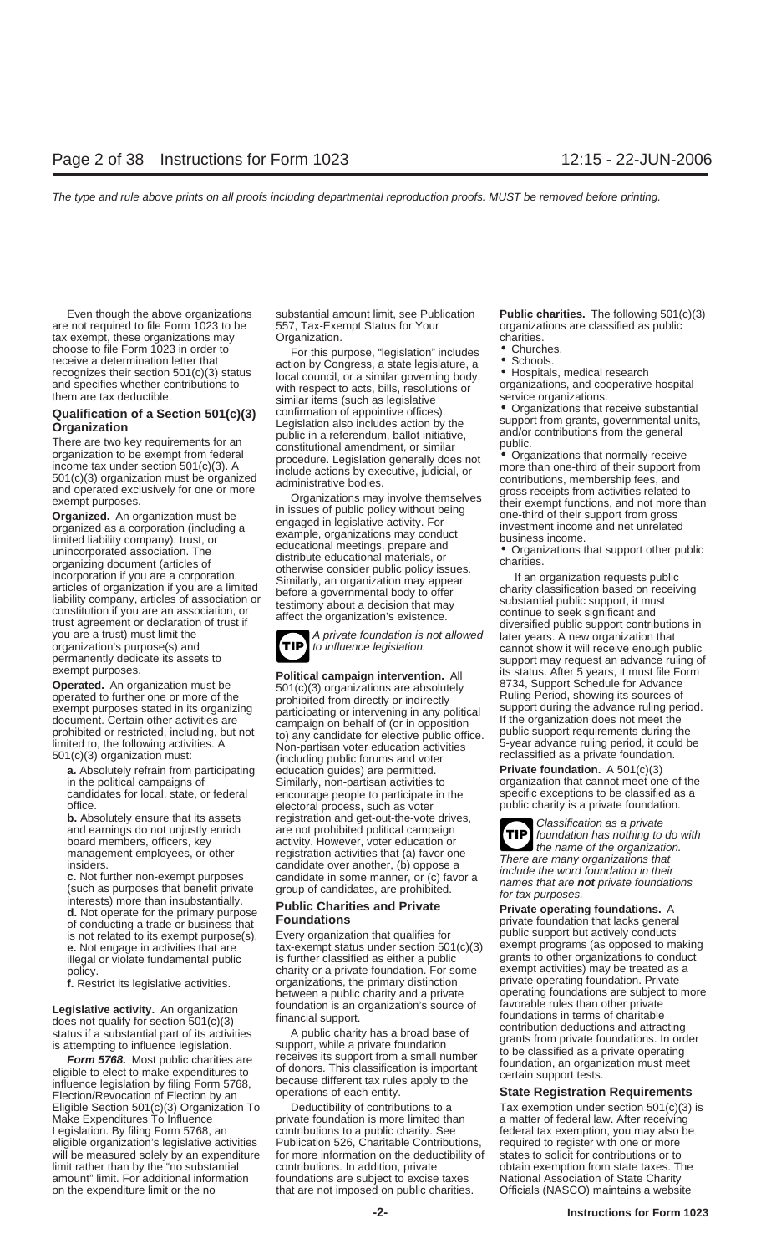are not required to file Form 1023 to be 557, Tax-Exempt Status for Your organizations are classified as public tax exempt, these organizations may charities. Contains the charities.

choose to dile Form 1023 in order to the summarized the compliser and the compliseration of the compliseration of the summarized and contribution of a Section 501(3) status to disting a status (and complise the summarized

candidates for local, state, or federal encourage people to participate in the

interests) more than insubstantially.<br> **d.** Not operate for the primary purpose **Public Charities and Private Private operating foundations.** A<br>
of conducting a trade or business that **Foundations Private Private fou** of conducting a trade or business that **Foundations**<br>is not related to its exempt purpose(s). Every organization that qualifies for public support but actively conducts

influence legislation by filing Form 5768, Decause different tax rules apply to the<br>Election/Revocation of Election by an operations of each entity. **State Registration Requirements** 

**TIP**

**Operated.** An organization must be<br>
operated to further one or more of the<br>
exempt purposes stated in its organizing<br>
document. Certain other activities are<br>
prohibited or restricted, including, but not<br>
imited to, the fo **a.** Absolutely refrain from participating education guides) are permitted. **Private foundation.** A 501(c)(3) in the political campaigns of Similarly, non-partisan activities to organization that cannot meet one of the candidates for local, state, or federal encourage people to participate in the specific exceptions to be classifi office. electoral process, such as voter public charity is a private foundation. **b.** Absolutely ensure that its assets registration and get-out-the-vote drives,<br>and earnings do not unjustly enrich are not prohibited political campaign<br>board members, officers, key activity. However, voter education or<br> management employees, or other registration activities that (a) favor one insiders.<br>
insiders.<br>
c. Not further non-exempt purposes candidate in some manner, or (c) favor a<br>
(such as purposes that benefit private group of c

is not related to its exempt purpose(s). Every organization that qualifies for **public support but actively conducts**<br>• Not engage in activities that are state that are the sexempt status under section 501(c)(3) exempt pro **e.** Not engage in activities that are tax-exempt status under section 501(c)(3) exempt programs (as opposed to makin<br>illegal or violate fundamental public is further classified as either a public grants to other organizat illegal or violate fundamental public is further classified as either a public grants to other organizations to conduction.<br>
policy.<br>
charity or a private foundation. For some exempt activities) may be treated as a charity or a private foundation. For some **f.** Restrict its legislative activities. organizations, the primary distinction private operating foundation. Private between a public charity and a private operating foundations are subject to

Eligible Section 501(c)(3) Organization To Deductibility of contributions to a Tax exemption under section 501(c)(3) is Make Expenditures To Influence **private foundation is more limited than** a matter of federal law. After receiving Legislation. By filing Form 5768, an contributions to a public charity. See federal tax exemption, you may also be eligible organization's legislative activities Publication 526, Charitable Contributions, required to register with one or more will be measured solely by an expenditure for more information on the deductibility of states to solicit for contributions or to limit rather than by the "no substantial contributions. In addition, private obtain exemption from state taxes. The amount" limit. For additional information foundations are subject to excise taxes National Association of State Charity on the expenditure limit or the no that are not imposed on public charities. Officials (NASCO) maintains a website

Even though the above organizations substantial amount limit, see Publication **Public charities.** The following 501(c)(3)

- 
- 

exempt purposes.<br> **Political campaign intervention.** All its status. After 5 years, it must file Form<br> **Operated.** An organization must be  $\frac{501(c)(3)$  organizations are absolutely 8734, Support Schedule for Advance

**TIP**

operating foundations are subject to more<br>favorable rules than other private **Legislative activity.** An organization foundation is an organization's source of devorable rules than other private<br>does not qualify for section 501(c)(3) financial support. the foundations in terms of charitable<br>status i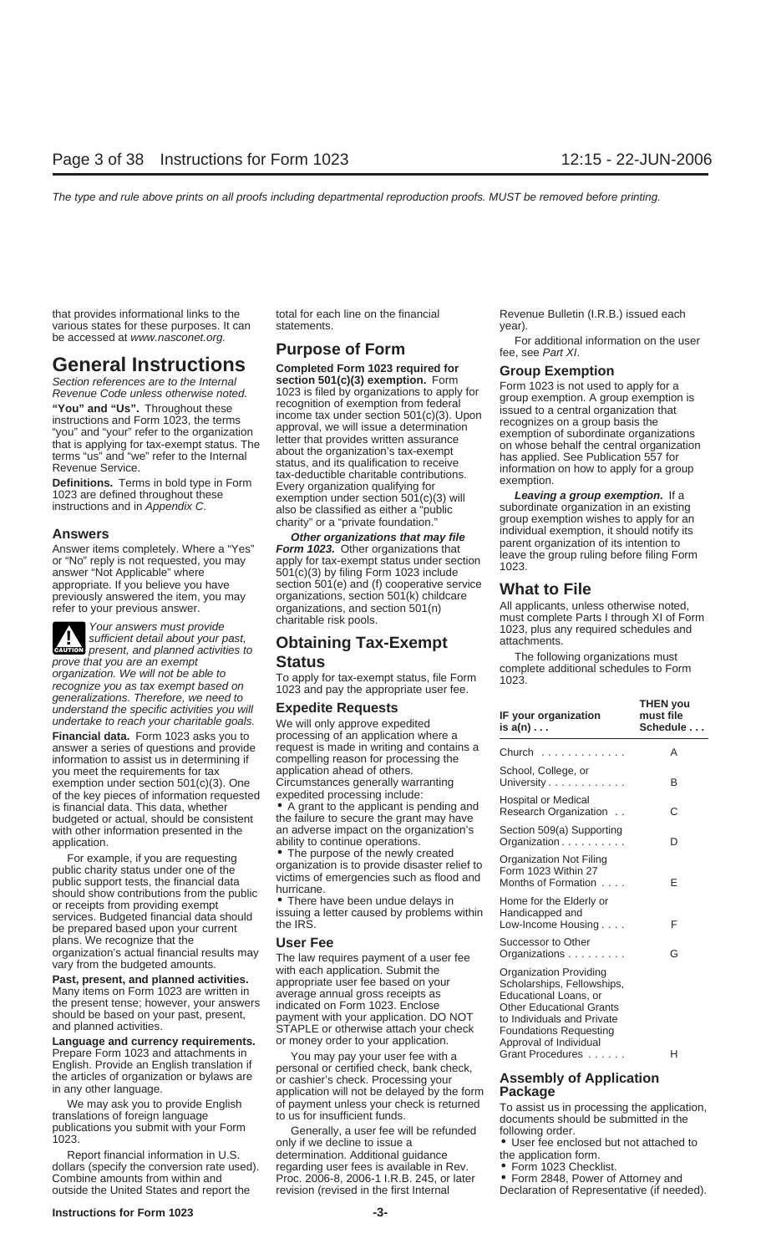that provides informational links to the total for each line on the financial Revenue Bulletin (I.R.B.) issued each various states for these purposes. It can statements. The statement of the statements of the statements of the vear).

**ENTER** present, and planned activities to

For that you are an example to the divines to<br>
organization. We will not be able to<br>
recognize you as tax exempt based on<br>
generalizations. Therefore, we need to<br>
understand the specific activities you will<br>
undertake to r

answer a series of questions and provide request is made in writing and contains a information to assist us in determining if compelling reason for processing the you meet the requirements for tax application ahead of others. exemption under section  $501(c)(3)$ . One Circumstances generally warranting of the key pieces of information requested expedited processing include: of the key pieces of information requested expedited processing include:<br>is financial data. This data, whether <br>budgeted or actual, should be consistent the failure to secure the grant may have with other information presented in the an adverse impact on the organization's application. ability to continue operations.<br>For example, if you are requesting  $\bullet$  The purpose of the newly created

For example, if you are requesting<br>
public charity status under one of the<br>
public support tests, the financial data<br>
should show contributions from the public<br>
should show contributions from the public<br>
or receipts from p plans. We recognize that the **USer Fee** organization's actual financial results may The law required

Prepare Form 1023 and attachments in You may pay your user fee with a Grant Procedures ...... H<br>English. Provide an English translation if personal or certified check bank check

dollars (specify the conversion rate used). regarding user fees is available in Rev. • Form 1023 Checklist.<br>Combine amounts from within and Proc. 2006-8, 2006-1 I.R.B. 245, or later • Form 2848, Power of Attorney and Combine amounts from within and Proc. 2006-8, 2006-1 I.R.B. 245, or later outside the United States and report the revision (revised in the first Internal

**General Instructions**<br>
Section references are to the Internal<br>
Revenue Code unless otherwise noted.<br>
"You" and "Us". Throughout these<br>
"You" and "Us". Throughout these<br>
"You" and "Us". Throughout these<br>
"You" and Form 102 1023 are defined throughout these exemption under section 501(c)(3) will **Leaving a group exemption.** It a<br>instructions and in *Appendix C*. also be classified as either a "public subordinate organization in an existing<br>ch

**Answers**<br>Answer items completely. Where a "Yes"<br>or "No" reply is not requested, you may apply for tax-exempt status under section<br>answer "Not Applicable" where 501(c)(3) by filing Form 1023 include<br>answer "Not Applicable" appropriate. If you believe you have section 501(e) and (f) cooperative service **What to File** previously answered the item, you may organizations, section 501(k) childcare

organization's actual financial results may<br>vary from the budgeted amounts. The law requires payment of a user fee<br>**Past, present, and planned activities.** With each application. Submit the<br>Many items on Form 1023 are writ and planned activities.<br> **Language and currency requirements.** Or money order to your application. Approval of Individual<br>
Prepare Form 1023 and attachments in The May hav your user fee with a Grant Procedures

English. Provide an English translation if<br>the articles of organization or bylaws are<br>in any other language. The articles of organization or bylaws are<br>in any other language.<br>We may ask you to provide English of payment un

publications you submit with your Form Generally, a user fee will be refunded following order.<br>1023. only if we decline to issue a • User fee enclosed but not attached to<br>Report financial information in U.S. determination. determination. Additional guidance the application form.

be accessed at www.nasconet.org.<br>**For additional information on the user** Form **Purpose of Form** fee, see Part XI.<br>**General Instructions** completed Form 1023 required for **Froun Examption** 

group exemption wishes to apply for an<br>individual exemption, it should notify its

refer to your previous answer. The corganizations, and section 501(n) and applicants, unless otherwise noted,<br>
charitable risk pools. The must complete Parts I through XI of Form Your answers must provide<br>
Your answers must provide<br>
sufficient detail about your past,<br>
present, and planned activities to<br> **Chaining Tax-Exempt** attachments.

| IF your organization<br>is a(n)                                                                                                                                                             | <b>THEN you</b><br>must file<br>Schedule |
|---------------------------------------------------------------------------------------------------------------------------------------------------------------------------------------------|------------------------------------------|
| Church                                                                                                                                                                                      | A                                        |
| School, College, or<br>University                                                                                                                                                           | B                                        |
| Hospital or Medical<br>Research Organization                                                                                                                                                | C                                        |
| Section 509(a) Supporting<br>Organization                                                                                                                                                   | D                                        |
| Organization Not Filing<br>Form 1023 Within 27<br>Months of Formation                                                                                                                       | F                                        |
| Home for the Elderly or<br>Handicapped and<br>Low-Income Housing                                                                                                                            | F                                        |
| Successor to Other<br>Organizations                                                                                                                                                         | G                                        |
| Organization Providing<br>Scholarships, Fellowships,<br>Educational Loans, or<br>Other Educational Grants<br>to Individuals and Private<br>Foundations Requesting<br>Approval of Individual |                                          |

We may ask you to provide English of payment unless your check is returned  $T_0$  assist us in processing the application, translations of foreign language to us for insufficient funds.<br>publications you submit with your Fo

- 
- 
- 

Declaration of Representative (if needed).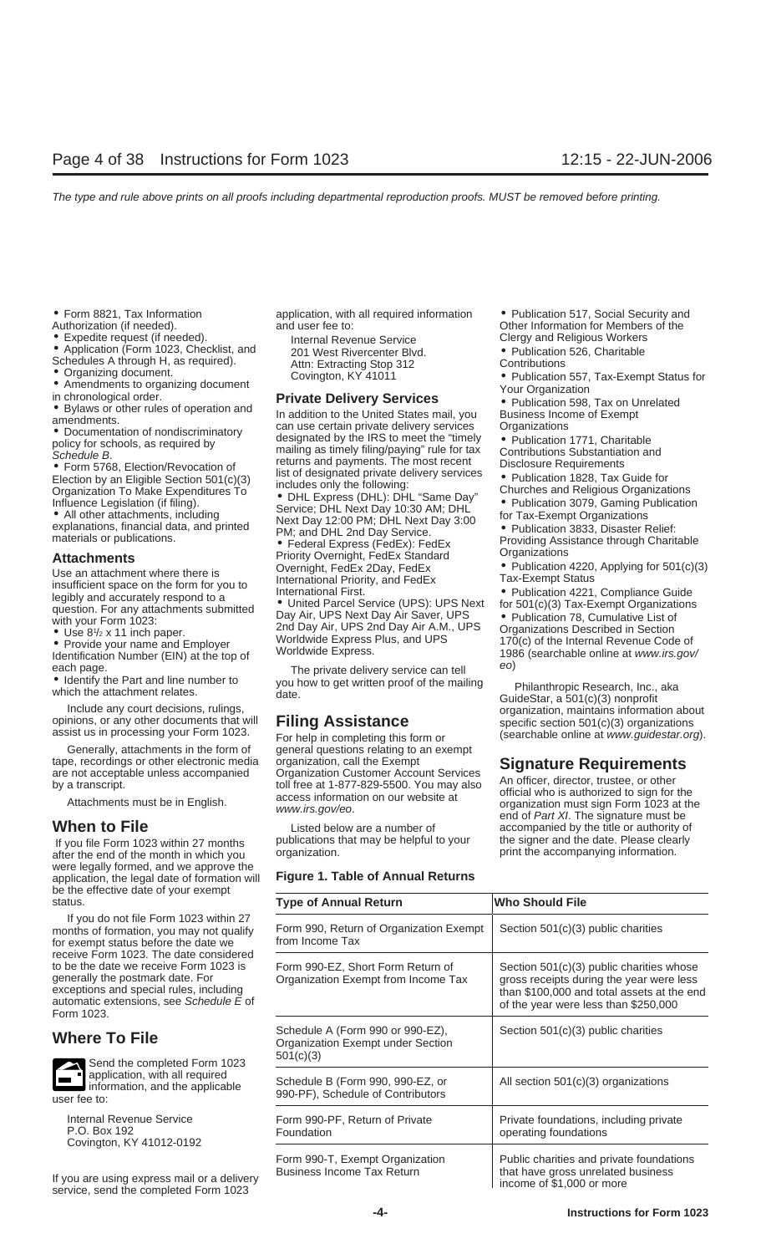- 
- 
- 
- 
- 
- 
- 

Use an attachment where there is<br>
Use an attachment where there is<br>
insufficient space on the form for you to<br>
linernational Priority, and FedEx<br>
linernational First.<br>
Legibly and accurately respond to a<br>
question. For any

• Use 8<sup>1</sup>/<sub>2</sub> x 11 inch paper.<br>• Provide your name and Employer

Generally, attachments in the form of general questions relating to an exempt tape, recordings or other electronic media organization, call the Exempt

If you file Form 1023 within 27 months publications that may be helpful to your the signer and the date. Please clearly after the end of the month in which you organization. were legally formed, and we approve the application, the legal date of formation will **Figure 1. Table of Annual Returns** be the effective date of your exempt



Business Income Tax Return that have gross unrelated business income Tax Return that have gross unrelated business income of \$1,000 or more service, send the completed Form 1023

• Form 8821, Tax Information and application, with all required information • Publication 517, Social Security and  $\lambda$ uthorization (if needed).  $\lambda$  and user fee to:  $\lambda$  Other Information for Members of the

• Expedite request (if needed). Internal Revenue Service Clergy and Religious Workers<br>• Application (Form 1023, Checklist, and 201 West Rivercenter Blyd. • Publication 526, Charitable

• Application (Form 1023, Checklist, and 201 West Rivercenter Blvd. Contributions Schedules A through H, as required).<br>
• Critication 526, Charitable A through H, as required).<br>
• Critication 526, Charitable A through H, a

Contributions Substantiation and<br>
Contributions Substantiation and<br>
Contributions Substantiation and<br>
Contributions Substantiation and<br>
Contributions Substantiation and<br>
Contributions Substantiation and<br>
Contributions Sub

materials of publications.<br> **Attachments**<br>
Priority Overnight, FedEx Standard Providing Assistance through Charitable<br>
Priority Overnight, FedEx Standard **Organizations**<br>
Publication 4220, Applying for 501(c)(3)

question. For any attachments submitted<br>with your Form 1023:<br>all Day Air, UPS Next Day Air Saver, UPS • Publication 78, Cumulative List of<br>Publication 78, Cumulative List of<br>Publication 78, Cumulative List of<br>Publication 7

tape, recordings or other electronic media<br>are not acceptable unless accompanied<br>by a transcript.<br>Attachments must be in English.<br>Attachments must be in English.<br>access information on our website at<br>www.irs.gov/eo.<br><br>access

| status.                                                                                                                                                                                                                  | <b>Type of Annual Return</b>                                                       | <b>Who Should File</b>                                                                                                                                                     |
|--------------------------------------------------------------------------------------------------------------------------------------------------------------------------------------------------------------------------|------------------------------------------------------------------------------------|----------------------------------------------------------------------------------------------------------------------------------------------------------------------------|
| If you do not file Form 1023 within 27<br>months of formation, you may not qualify<br>for exempt status before the date we                                                                                               | Form 990, Return of Organization Exempt<br>from Income Tax                         | Section 501(c)(3) public charities                                                                                                                                         |
| receive Form 1023. The date considered<br>to be the date we receive Form 1023 is<br>generally the postmark date. For<br>exceptions and special rules, including<br>automatic extensions, see Schedule E of<br>Form 1023. | Form 990-EZ, Short Form Return of<br>Organization Exempt from Income Tax           | Section 501(c)(3) public charities whose<br>gross receipts during the year were less<br>than \$100,000 and total assets at the end<br>of the year were less than \$250,000 |
| <b>Where To File</b>                                                                                                                                                                                                     | Schedule A (Form 990 or 990-EZ),<br>Organization Exempt under Section<br>501(c)(3) | Section 501(c)(3) public charities                                                                                                                                         |
| Send the completed Form 1023<br>$\blacktriangle$<br>application, with all required<br>information, and the applicable<br>user fee to:                                                                                    | Schedule B (Form 990, 990-EZ, or<br>990-PF), Schedule of Contributors              | All section $501(c)(3)$ organizations                                                                                                                                      |
| Internal Revenue Service<br>P.O. Box 192<br>Covington, KY 41012-0192                                                                                                                                                     | Form 990-PF, Return of Private<br>Foundation                                       | Private foundations, including private<br>operating foundations                                                                                                            |
| If you are using express mail or a delivery                                                                                                                                                                              | Form 990-T, Exempt Organization<br><b>Business Income Tax Return</b>               | Public charities and private foundations<br>that have gross unrelated business<br>$inom \circ \circ f$ $A$ 000 or more                                                     |

Other Information for Members of the<br>Clergy and Religious Workers

- 
- -
- 
- 
- 

Vertification Number (EIN) at the top of Worldwide Express Plus, and UPS<br>
■ Use 8<sup>1/2</sup> x 11 inch paper. Worldwide Express Plus, and UPS and UPS Provide your name and Employer Worldwide Express Plus, and UPS and UPS learch

each page.<br>
■ learning the private delivery service can tell<br>
■ learning which the attachment relates.<br>
Include any court decisions, rulings,<br>
opinions, or any other documents that will<br>
assist us in processing your Form

**When to File**<br>
Listed below are a number of and of *Part XI*. The signature must be<br>
Listed below are a number of accompanied by the title or authority of<br>
If you file Form 1023 within 27 months publications that may be h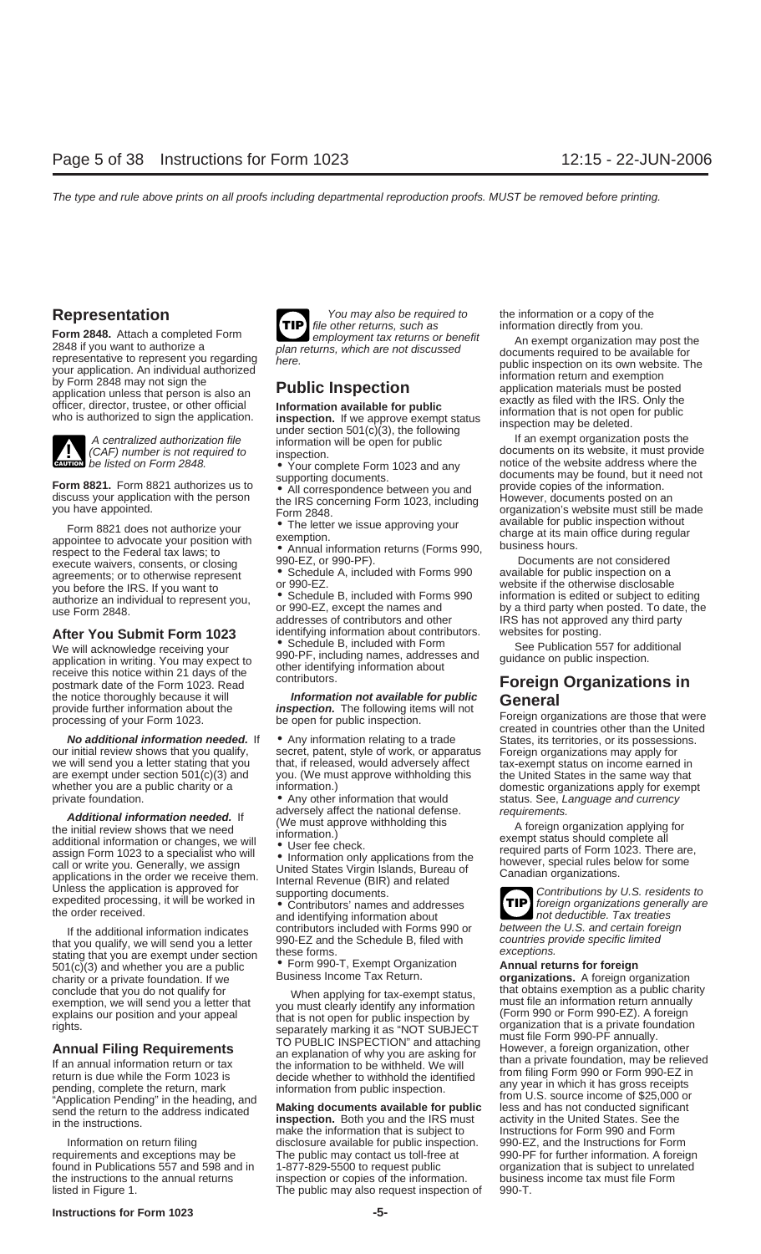**Form 2848.** Attach a completed Form **Form and the returns** or benefit as information direction direction direction direction direction direction direction as positive at the comployment tax returns or benefit and a comple



**unal** be listed on Form 2848.

Form 8821. Form 8821 authorizes us to example the information with the person<br>
discuss your application with the person<br>
you have appointed.<br>
you have appointed.<br>
Form 2848.<br>
Form 2848.<br>
Form 2848.<br>
Form 2848.<br>
Form 2848.<br>

# **After You Submit Form 1023** identifying information about contributors. websites for posting.<br>We will acknowledge receiving your • Schedule B, included with Form See Publication 557 for additional

application in writing. You may expect to  $\frac{990-1}{\text{other}$  identity in terms, a  
receive this notice within 21 days of the  
contributing information aboutpostmark date of the Form 1023. Read contributors.<br>
the notice thoroughly because it will *Information not available for public* **General** the notice thoroughly because it will **Information not available for public**<br>provide further information about the **inspection**. The following items will not<br>processing of your Form 1023. be open for public inspection. The

Additional information needed. If<br>
the initial review shows that we need<br>
additional information or changes, we will<br>
assign Form 1023 to a specialist who will<br>
call or write you. Generally, we assign<br>
call or write you. G

that you qualify, we will send you a letter  $\frac{990-EZ}{2}$  and the Schedule B, filed with countries provide specific lift<br>stating that you are exempt under section these forms.<br>stating that you are exempt under section  $\bullet$ 501(c)(3) and whether you are a public <sup>•</sup> Form 990-T, Exempt Organ<br>charity or a private foundation **If we** Business Income Tax Return.



We will acknowledge receiving your **•** Schedule B, included with Form See Publication 557 for addition 557 for addition 557 for additional spectrum served to subject to spectrum served to spectrum served to spectrum and sp

secret, patent, style of work, or apparatus we will send you a letter stating that you that, if released, would adversely affect tax-exempt status on income earned in are exempt under section 501(c)(3) and you. (We must approve withholding this the United States in are exempt under section 501(c)(3) and you. (We must approve withholding this the United States in the same way that whether you are a public charity or a information.) domestic organizations apply for exemp

private foundation. • Any other information that would status. See, Language and currency<br>a dividence in the status of the status of the status. See, Language and currency

contributors included with Forms 990 or between the U.S. and certain foreign<br>If the additional information indicates contributors included with Forms 990 or between the U.S. and certain foreign<br>If you qualify we will send

Information on return filing disclosure available for public inspection. 990-EZ, and the Instructions for Form requirements and exceptions may be The public may contact us toll-free at 990-PF for further information. A foreign found in Publications 557 and 598 and in 1-877-829-5500 to request public organization that is subject to unrelated the instructions to the annual returns inspection or copies of the information. business income tax must file Form listed in Figure 1. The public may also request inspection of 990-T.

**Representation** You may also be required to the information or a copy of the **TIP** file other returns, such as information directly from you.

From Everyon a complete of the website, it must provide to the inspection. An individual authorize a<br>
2848 if you want to authorize a<br>
your application. An individual authorize a<br>
police inspection and exempt organization

**No additional information needed.** If • Any information relating to a trade States, its territories, or its possessions.<br>
our initial review shows that you qualify, secret, patent, style of work, or apparatus Foreign orga information.)<br>• Any other information that would status. See, *Language and currency* 

**TIP**

charity or a private foundation. If we Business Income Tax Return. **organizations.** A foreign organization conclude that you do not qualify for<br>exemption, we will send you a letter that<br>explains our position and you a letter that<br>explains our position and you a letter that is not open for public inspection by<br>explains our posit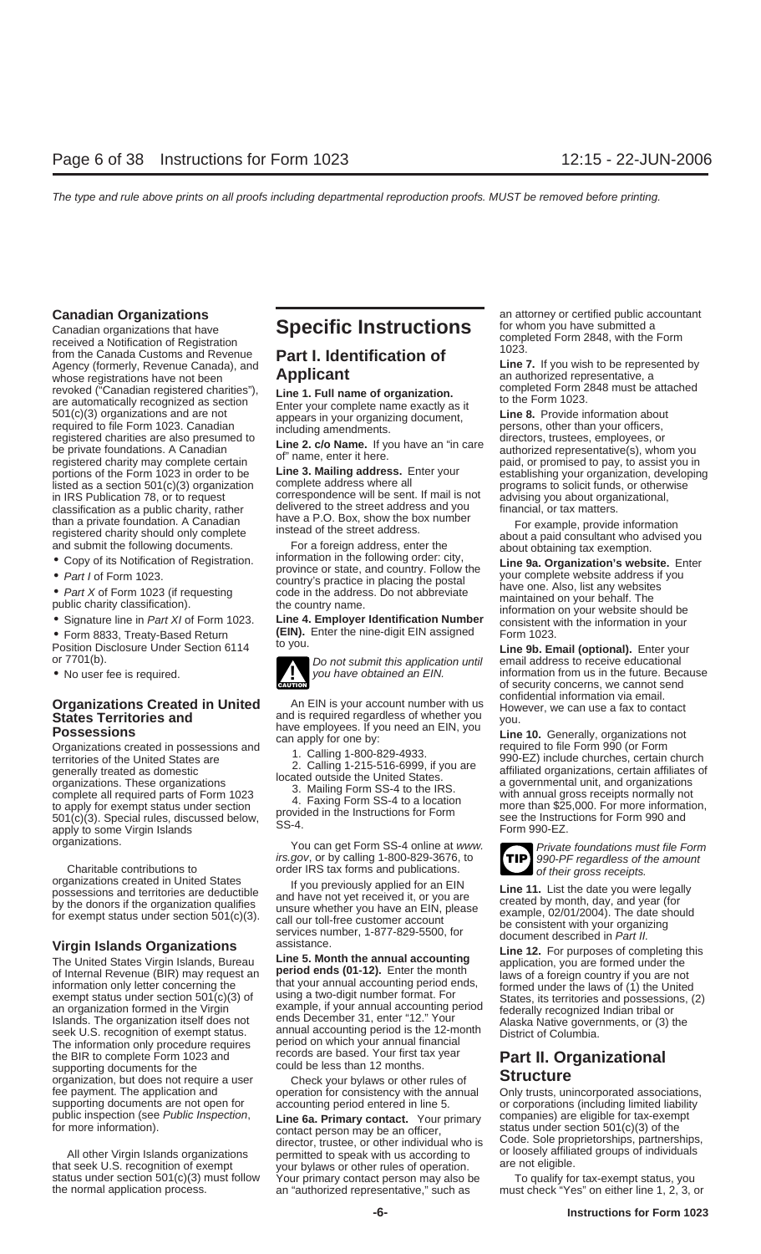Canadian organizations that have<br>
Frequency da Notification of Registration<br>
from the Canada Customs and Revenue<br>
Agency (formerly, Revenue Canada), and<br>  $\frac{1023}{2}$ .<br>  $\frac{1}{2}$ whose registrations have not been **Applicant**<br>
revoked ("Canadian registered charities"), **and an authorized** revoked ("Canadian registered charities"), **and a Full name of organization** completed Form 2848 must be attache revoked ("Canadian registered charities"),<br>are automatically recognized as section<br>501(c)(3) organizations and are not appears in your organizing document, **Line 8.** Provide information about required to file Form 1023. Canadian including amendments. provided to file Form 1023. Canadian including amendments.<br>
Frame, explore the private foundations. A Canadian **Line 2. c/o Name.** If you have an "in care director in IRS Publication 78, or to request correspondence will be sent. If mail is not advising you about organizational, classification as a public charity rather delivered to the street address and you financial or tax matters

- 
- 

irs.gov, or by calling 1-800-829-3676, to<br>Charitable contributions to order IRS tax forms and publications.<br>organizations created in United States the volume violusly applied for an FIN

The information only procedure requires period on which your annual financial the BIR to complete Form 1023 and **Part II. Organizational** records are based. Your first tax year **Part II. Organizational** supporting documents for the could be less than 12 months. supporting documents for the could be less than 12 months.<br>
organization, but does not require a user Check your bylaws or other rules of **Structure** fee payment. The application and operation for consistency with the annual Only trusts, unincorporated associations, supporting documents are not open for accounting period entered in line 5. supporting documents are not open for accounting period entered in line 5. or corporations (including limited liability public inspection (see Public Inspection, **ine 64 Primary contact** Your primary companies) are eligibl

All other Virgin Islands organizations or loosely are not eligible or loosely affiliated groups or individuals that seek U.S. recognition of exempt your bylaws or other rules of operation. The not eligible.<br>
status under s status under section 501(c)(3) must follow Your primary contact person may also be To qualify for tax-exempt status, you<br>the normal application process. an "authorized representative," such as must check "Yes" on either li

• Signature line in Part XI of Form 1023. Line 4. Employer Identification Number consistent with the information in your<br>• Form 8833, Treaty-Based Return (EIN). Enter the nine-digit EIN assigned Form 1023.<br>Position Disclos



organizations. <br>*irs.gov*, or by calling 1-800-829-3676, to **TIP** 990-PF regardless of the amount

organizations created in United States and have not yet received it, or you are<br>by the donors if the organization qualifies and have not yet received it, or you are<br>by the donors if the organization qualifies<br>for exempt st

public inspection (see Public inspection,<br>for more information). <br>all other Virgin Islands organizations organizations permitted to speak with us according to<br>all other Virgin Islands organizations permitted to speak with an "authorized representative," such as

**Canadian Organizations**<br>Canadian arganizations that have **Specific Instructions** for whom you have submitted a

**Agency Canada)** Line 7. If you wish to be represented by **Applicant** Canada and authorized representative, a

portions of the Form 1023 in order to be **Line 3. Mailing address.** Enter your paid, or promised to pay, to assist you in portions of the Form 1023 in order to be **Line 3. Mailing address.** Enter your establishing your org programs to solicit funds, or otherwise

Classification as a public charity, rather divered to the street address and you<br>
than a private foundation. A Canadian have a P.O. Box, show the box number<br>
registered charity should only complete instead of the street ad

Position Disclosure Under Section 6114 <sup>to you</sup>.<br>
on *Do not submit this application until* email address to receive educational<br>
■ Do not submit this application until email address to receive educational<br>
Do not submit • No user fee is required.  $\blacksquare$  you have obtained an EIN. information from us in the future. Because of security concerns, we cannot send confidential information via email.

**Organizations Created in United** and is required regardless of whether you<br> **States Territories and**<br> **States Territories and**<br> **Control of the United States in possessions**<br>
Contact and is required regardless of whether



Virgin Islands Organizations<br>
The United States Virgin Islands, Bureau Line 5. Month the annual accounting<br>
of Internal Revenue (BIR) may request an<br>
information only letter concerning the<br>
information only letter concerni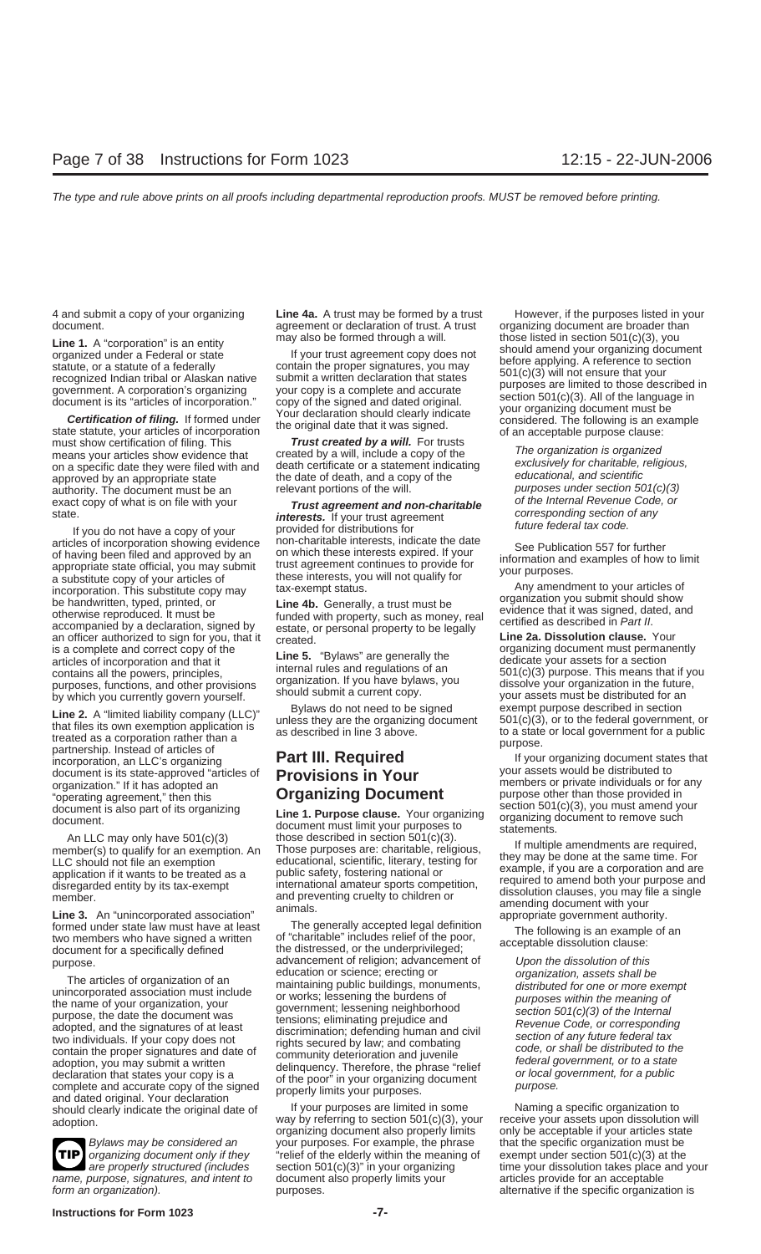state statute, your articles of incorporation<br>must show certification of filing. This **Trust created by a will.** For trusts means your articles show evidence that created by a will, include a copy of the The organization is organized<br>on a specific date they were filed with and death certificate or a statement indicating exclusively for charitab on a specific date they were filed with and death certificate or a statement indicating exclusively for charitable, i<br>annroved by an appropriate state solution the date of death, and a copy of the educational, and scientif approved by an appropriate state the date of death, and a copy of the educational, and scientific<br>authority. The document must be an elevant portions of the will. purposes under section 501(c)(3) authority. The document must be an relevant portions of the will.<br>exact copy of what is on file with your **Trust agreement and non-charitable** of the Internal Revenue Code, or

articles of incorporation showing evidence<br>of having been filed and approved by an any on which these interests expired. If your<br>appropriate state official, you may submit<br>a substitute copy of your articles of<br>a substitute is a complete and correct copy of the<br>
articles of incorporation and that it<br>
contains all the powers, principles,<br>
purposes, functions, and other provisions<br>
by which you currently govern yourself.<br>
articles of incorporat

**Line 2.** A "limited liability company (LLC)"<br>
that files its own exemption application is<br>
treated as a corporation rather than a<br>
partnership. Instead of articles of<br>
document is its state-approved "articles of<br> **Provisi** 

formed under state law must have at least The generally accepted legal definition<br>two members who have signed a written of "charitable" includes relief of the poor, The following is an example of an<br>document for a specific

The articles of organization of an<br>
unincorporated association must include<br>
the name of your organization, your<br>
the name of your organization, your<br>
the name of your organization, your<br>
the name of your organization, you and dated original. Your declaration<br>should clearly indicate the original date of If your purposes are limited in some Naming a specific organization to<br>adoption wav by referring to section 501(c)(3), your receive your ass

**TIP**

4 and submit a copy of your organizing **Line 4a.** A trust may be formed by a trust However, if the purposes listed in your document. **agreement or declaration of trust.** A trust organizing document are broader than

exact copy of what is on file with your **Trust agreement and non-charitable** of the Internal Revenue Code, or<br>state. **interests.** If your trust agreement and **corresponding** section of any<br>If you do not have a copy of your

An LLC may only have 501(c)(3)<br>
member(s) to qualify for an exemption. An Those purposes are: charitable, religious,<br>
LLC should not file an exemption<br>
application if it wants to be treated as a<br>
disregarded entity by its

document for a specifically defined<br>purpose. advancement of religion; advancement of Upon the dissolution of this<br>education or science; erecting or examination, assets shall be

adoption. was allowing the section 501(c)(3), your receive your assets upon dissolution will<br>organizing document also properly limits only be acceptable if your articles state organizing document also properly limits only be acceptable if your articles stat<br>your purposes. For example, the phrase that the specific organization must be Bylaws may be considered an your purposes. For example, the phrase organizing document only if they "relief of the elderly within the meaning of exempt under section 501(c)(3) at the name, purpose, signatures, and intent to document also properly limits your articles provide for an acceptable form an organization). The specific organization is purposes. The specific organization is the specific organization is

**Line 1.** A "corporation" is an entity may also be formed through a will.<br>
organized under a Federal or state if your trust agreement copy does not<br>
statute, or a statute of a federally contain the proper signatures, you m

are properly structured (includes section  $501(c)(3)$ " in your organizing time your dissolution takes place and your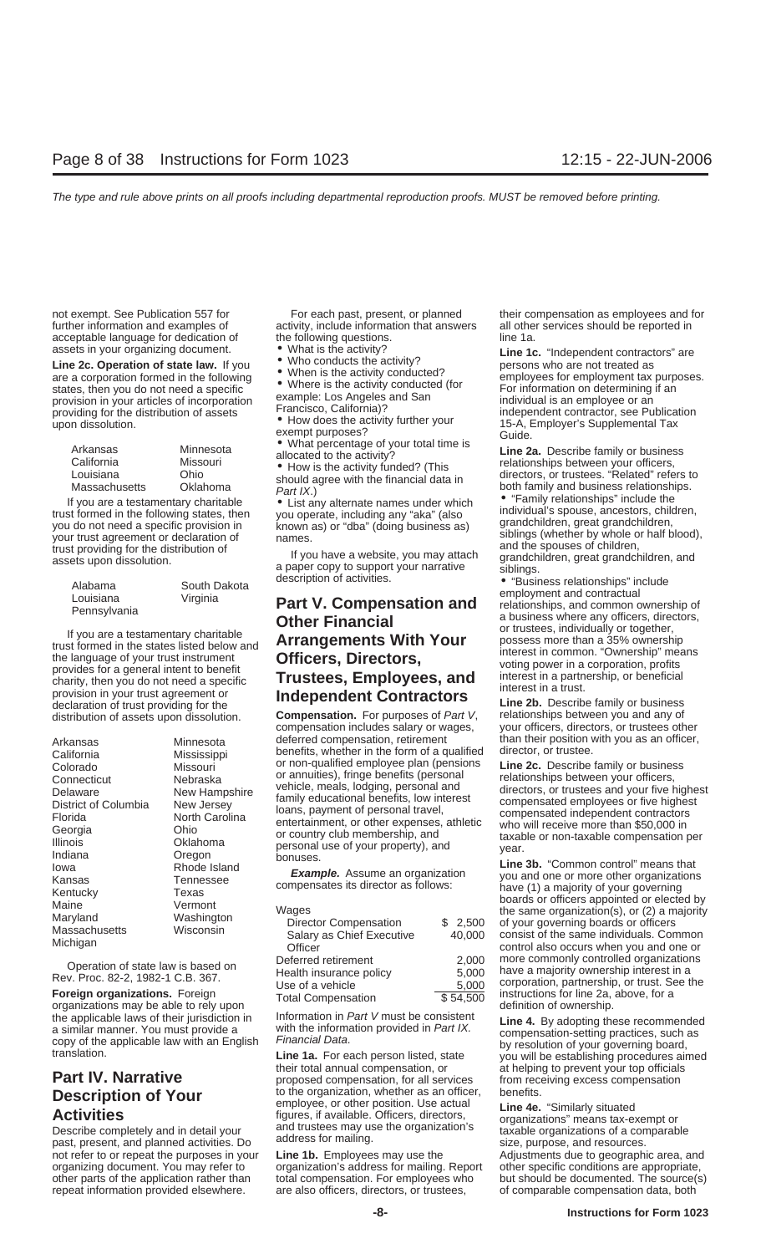| Arkansas      | Minnesot       |
|---------------|----------------|
| California    | Missouri       |
| Louisiana     | Ohio           |
| Massachusetts | <b>Oklahom</b> |

| Alabama      | South Dakota |
|--------------|--------------|
| Louisiana    | Virginia     |
| Pennsylvania |              |

| Arkansas             |
|----------------------|
| California           |
| Colorado             |
| Connecticut          |
| Delaware             |
| District of Columbia |
| Florida              |
| Georgia              |
| Illinois             |
| Indiana              |
| Iowa                 |
| Kansas               |
| Kentucky             |
| Maine                |
| Maryland             |
| Massachusetts        |
| Michigan             |

For the applications may be able to rely upon<br>the applicable laws of their iurisdiction in linformation in *Part V* must be consistent **in a 4** By adopting the the applicable laws of their jurisdiction in the Information in *Part V* must be consistent<br>a similar manner. You must provide a with the information provided in *Part IX*.<br>copy of the applicable law with an English *Finan* 

further information and examples of activity, include information that answers all other services should be reported in acceptable language for dedication of the following questions. The 1a.

- 
- 
- 

# asses in your organizing document to What is the activity conduct the active of the energy of the proposition formed in the following of the tensile the tensile of the proposition of the material and a proposition in you a

compensation includes salary or wages, Minnesota deferred compensation, retirement than their position with you as an officer,<br>Minnesota benefits, whether in the form of a qualified director, or trustee. Mississippi benefits, whether in the form of a qualified director, or trustee.<br>
Missouri or non-qualified employee plan (pensions Line 2c. Describe family or business Missouri or non-qualified employee plan (pensions **Line 2c.** Describe family or business<br>
Nebraska or annuities), fringe benefits (personal and<br>
New Hampshire relationships between your officers,<br>
from the connecticut of t

| Maine<br>Maryland<br>Massachusetts<br>Michigan                                                            | Vermont<br>Washington<br>Wisconsin | Wages<br>Director Compensation<br>Salary as Chief Executive<br>Officer | \$2,500<br>40.000 | poards or officers appointed or elected by<br>the same organization(s), or $(2)$ a majority<br>of your governing boards or officers<br>consist of the same individuals. Common<br>control also occurs when you and one or |
|-----------------------------------------------------------------------------------------------------------|------------------------------------|------------------------------------------------------------------------|-------------------|---------------------------------------------------------------------------------------------------------------------------------------------------------------------------------------------------------------------------|
| Operation of state law is based on<br>Rev. Proc. 82-2, 1982-1 C.B. 367.<br>Foreign organizations. Foreign |                                    | Deferred retirement<br>Health insurance policy                         | 2.000<br>5.000    | more commonly controlled organizations<br>have a majority ownership interest in a<br>corporation, partnership, or trust. See the                                                                                          |
|                                                                                                           |                                    | Use of a vehicle<br>Total Compensation                                 | 5,000<br>\$54,500 | instructions for line 2a, above, for a                                                                                                                                                                                    |

their total annual compensation, or at helping to prevent your top officials **Part IV. Narrative proposed compensation**, for all services from receiving excess compensation **Description of Your** to the organization, whether as an officer, benefits.<br>A structure of the organization. Use actual **Line 4e.** "Similarly situated **Activities**<br> **Activities**<br>
Describe completely and in detail your and trustees may use the organization's past, present, and planned activities. Do address for mailing.<br>
past, present, and planned activities. Do address f

not refer to or repeat the purposes in your Line 1b. Employees may use the Adjustments due to geographic area, and organizing document. You may refer to organization's address for mailing. Report other specific conditions are appropriate, repeat information provided elsewhere. are also officers, directors, or trustees, of comparable compensation data, both

not exempt. See Publication 557 for For each past, present, or planned their compensation as employees and for

declaration of trust providing for the<br>distribution of assets upon dissolution. **Compensation**. For purposes of Part V, relationships between you and any of<br>compensation includes salary or wages, your officers, directors,

Comparation of the Mampshire of the Mampshire of the Mampshire (and the Mampshire of the Mampshire in the Mampshire (and the Mampshire of the Mampshire of the Mampshire of the Mampshire (and the Mampshire of the Mampshire

other parts of the application rather than total compensation. For employees who but should be documented. The source(s)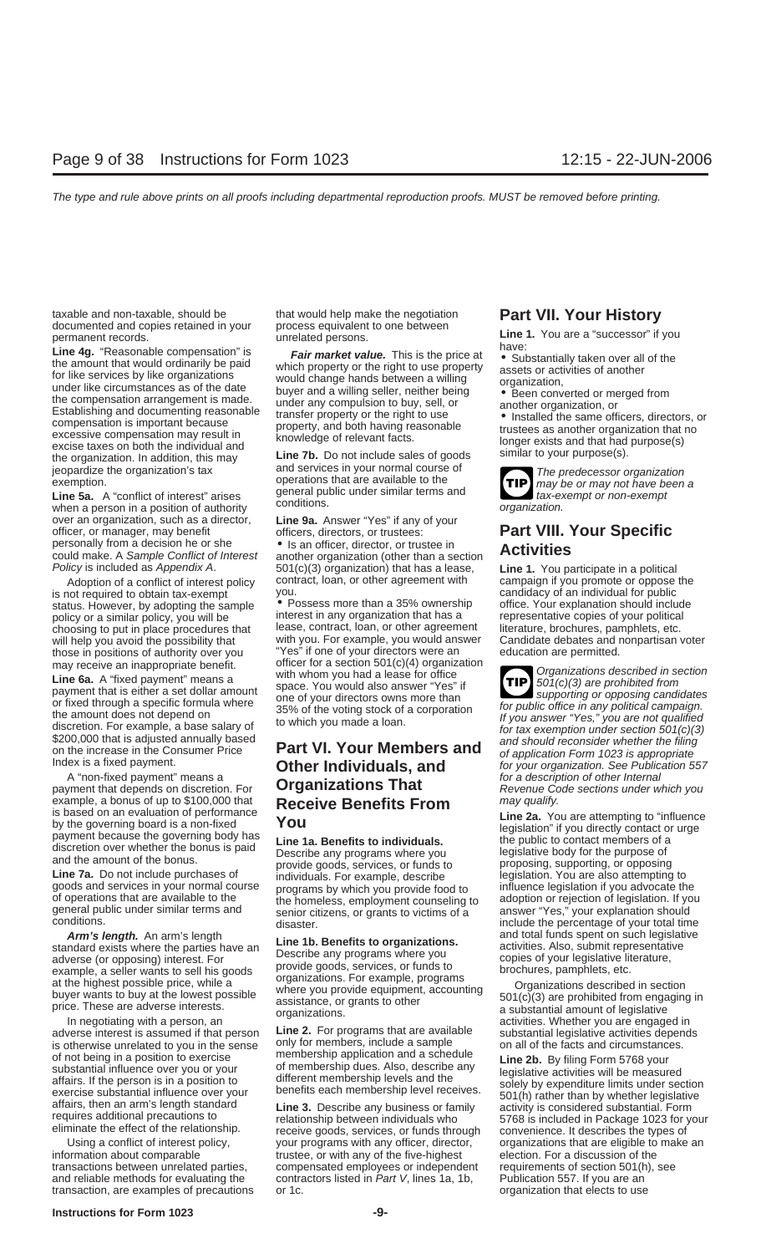taxable and non-taxable, should be that would help make the negotiation **Part VII. Your History** documented and copies retained in your process equivalent to one between

**Line 4g.** "Reasonable compensation" is <br>the amount that would ordinarily be paid<br>for like services by like organizations<br>the compensation same of the date<br>inder like circumstances as of the date<br>the compensation arrangem

Line 5a. A "conflict of interest" arises general public under similar terms and<br>when a person in a position of authority conditions.<br>over an organization, such as a director, Line 9a. Answer "Yes" if any of your over an organization, such as a director, officer, or manager, may benefit

is not required to obtain tax-exempt you.<br>status However by adopting the sample CROSSES more than a 35% ownership office. Your explanation should inclu those in positions of authority over you "Yes" if one of your directors were an

payment that depends on discretion. For **Organizations That** Revenue Code sections under which you<br>
example, a bonus of up to \$100,000 that **Receive Benefits From** may qualify. example, a bonus of up to \$100,000 that **Receive Benefits From** *may qualify.*<br>is based on an evaluation of performance **Notify**<br>**Monume of the Ca.** You are attempting to "influence"

goods and services in your normal course programs by which you provide food to of operations that are available to the the homeless employment counseling of operations that are available to the the homeless, employment counseling to adoption or rejection of legislation. If you<br>general public under similar terms and senior citizens, or grants to victims of a answer "Yes." yo general public under similar terms and senior citizens, or grants to victims of a answer "Yes," your explanation should<br>conditions.

**Arm's length.** An arm's length<br>standard exists where the parties have an<br>adverse (or opposing) interest. For<br>example, a seller wants to sell his goods<br>at the highest prossible price, while a<br>buyer wants to buy at the lowe

is otherwise unrelated to you in the sense only for members, include a sample on all of the facts and circumstances.<br>of not being in a position to exercise membership application and a schedule **ine 2b**. By filing Form 576

and reliable methods for evaluating the contractors listed in Part V, lines 1a, 1b,

Excess taxes of both the matricular and<br>the organization. In addition, this may<br>jeopardize the organization's tax and services in your normal course of<br>exemption.<br>Line 5a. A "conflict of interest" arises general public und

officers, or manager, may benefit officers, directors, or trustees: **Part VIII. Your Specific**<br>personally from a decision he or she • Is an officer, director, or trustee in<br>could make. A *Sample Conflict of Interest* anoth could make. A *Sample Conflict of Interest* another organization (other than a section *Policy* is included as *Appendix A.* 501(c)(3) organization) that has a lease. 501(c)(3) organization) that has a lease, **Line 1.** You participate in a political contract, loan, or other agreement with campaign if you promote or oppose Adoption of a conflict of interest policy contract, loan, or other agreement with campaign if you promote or oppose the<br>not required to obtain tax-exempt you.

status. However, by adopting the sample • Possess more than a 35% ownership office. Your explanation should include<br>policy or a similar policy, you will be interest in any organization that has a representative copies of y policy or a similar policy, you will be interest in any organization that has a representative copies of your political<br>choosing to put in place procedures that lease, contract, loan, or other agreement literature, brochur choosing to put in place procedures that lease, contract, loan, or other agreement literature, brochures, pamphlets, etc.<br>will help you avoid the possibility that with you. For example, you would answer Candidate debates a will help you avoid the possibility that with you. For example, you would answer Candidate debates and r<br>those in positions of authority over you "Yes" if one of your directors were an education are permitted. may receive an inappropriate benefit. officer for a section  $501(c)(4)$  organization<br>line  $\epsilon_n$   $\wedge$  "fixed powersh" means a with whom you had a lease for office

# A Is a fixed payment.<br>A "non-fixed payment" means a **formulation of a description of other Internal**<br>A "non-fixed payment" means a **Crganizations That** *for a description of other Internal*<br>A ment that depends on discretio

and the amount of the bonus.<br>
Line 7a. Do not include purchases of individuals. For example, describe legislation. You are also attempting to<br>
goods and services in your normal course programs by which you provide food to

Using a conflict of interest policy, your programs with any officer, director, organizations that are eligible to make an information about comparable trustee, or with any of the five-highest election. For a discussion of the transactions between unrelated parties, compensated employees or independent requirements of section 501(h), see<br>and reliable methods for evaluating the contractors listed in Part V, lines 1a, 1b, Publication 557. If you a transaction, are examples of precautions or 1c. **Example 20** organization that elects to use

permanent records.<br>
unrelated persons.<br> **Line 1.** You are a "successor" if you<br>
have:

- 
- 

**TIP**

Line 6a. A "fixed payment" means a<br>payment that is either a set dollar amount<br>or fixed through a specific formula where<br>one of your directors owns more than<br>or fixed through a specific formula where<br>35% of the voting stock **TIP** For fixed through a specific formula where<br>the amount does not depend on<br>the amount does not depend on<br>the smount does not depend on<br>the smount does not depend on<br>the streamption. For example, a base salary of<br>the volume a

is based on an evaluation of performance<br>by the governing board is a non-fixed<br>payment because the governing body has<br>discretion over whether the bonus is paid<br>discretion over whether the bonus is paid<br>and the amount of th nditions.<br>**Arm's length.** An arm's length arm and total funds spent on such legislative include the percentage of your total time

In negotiating with a person, an<br>adverse interest is assumed if that person **Line 2.** For programs that are available substantial legislative activities depends<br>is otherwise unrelated to you in the sense only for members,

of not being in a position to exercise<br>substantial influence over you or your<br>affairs. If the person is in a position to<br>exercise substantial influence over your<br>affairs, then an arm's length standard<br>requires additional p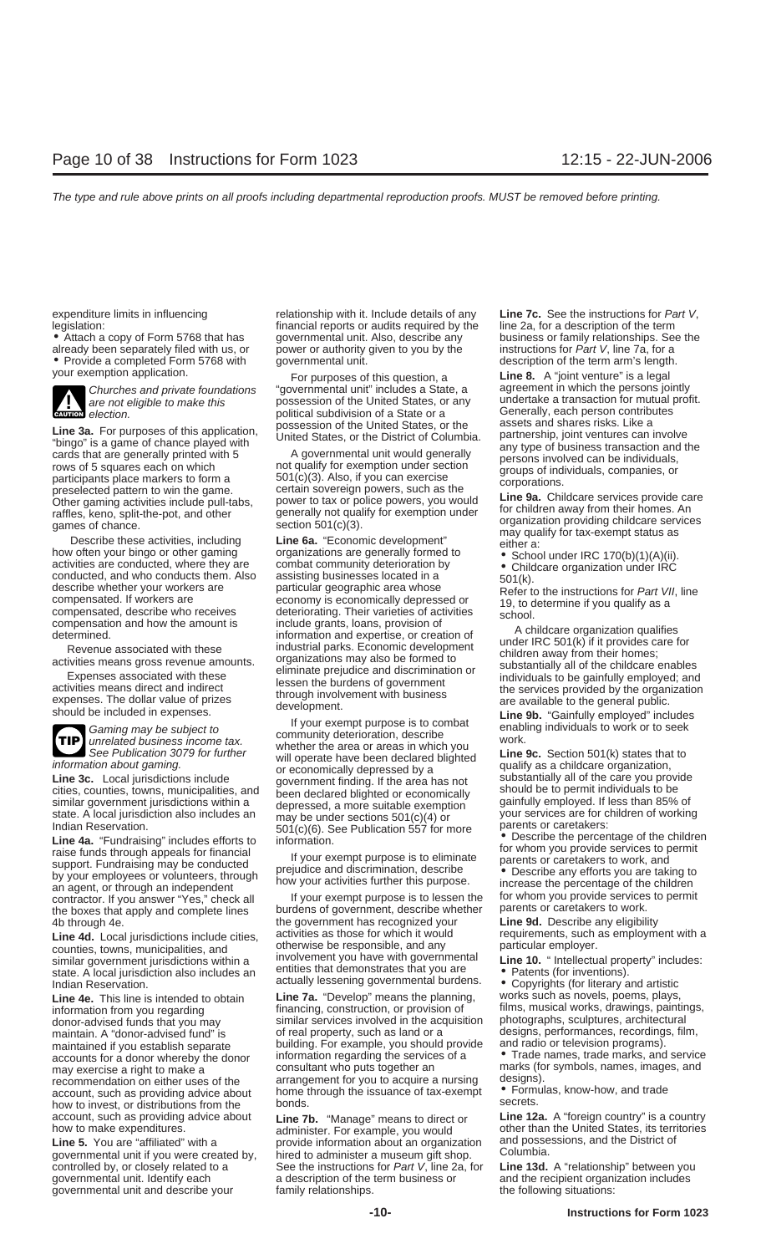already been separately filed with us, or • Provide a completed Form 5768 with governmental unit. <br>your exemption application. For purposes of this question a set of the Sun of the Sun of the Sun of the Sun of



**Line 3a.** For purposes of this application,<br>
"bingo" is a game of chance played with<br>
"bingo" is a game of chance played with<br>
carbong that are generally printed states, or the District of Columbia.<br>
Chance is the agence



Undian Reservation.<br>
Line 4a. "Fundraising" includes efforts to<br>
streep to the children of the children<br>
streep to the children of the children<br>
streep to the percentage of the children<br>
streep to the percentage of the chi

similar government jurisdictions within a involvement you have with governmental **Line 10.** "Intellectual property" includes:<br>state. A local jurisdiction also includes an entities that demonstrates that you are **Patents (f** 

how to invest, or distributions from the account, such as providing advice about

governmental unit and describe your family relationships. The following situations:

expenditure limits in influencing relationship with it. Include details of any **Line 7c.** See the instructions for Part V,<br>legislation: financial reports or audits required by the line 2a, for a description of the term legislation: financial reports or audits required by the line 2568 that has line 200 for an describe any governmental unit. Also, describe any business or family relationships. See the power or authority given to you by the instructions for *Part V*, line 7a, for a

Churches and private foundations "governmental unit" includes a State, a agreement in which the persons jointly<br>are not eligible to make this possession of the United States, or any undertake a transaction for mutual profi are not eligible to make this possession of the United States, or any undertake a transaction for mutual profit.<br> **CAUTION** election. political subdivision of a State or a Generally, each person contributes

compensation and how the amount is<br>
include grants, loans, provision of<br>
include grants, loans, provision of<br>
include grants, loans, provision of<br>
include area included in expenses<br>
activities means gross revenue amounts.<br>

information about gaming.<br>
information about gaming.<br> **Line 3c.** Local jurisdictions include<br>
cities, counties, towns, municipalities, and<br>
similar government jurisdictions within a<br>
state. A local jurisdiction also includ

burdens of government, describe whether tor whom you provide services to<br>the boxes that apply and complete lines burdens of government, describe whether parents or caretakers to work.<br>4b through 4e. The 9d. Describe any el 4b through 4e.<br>**the government has recognized your Line 9d.** Describe any eligibility<br>**Line 4d.** Local jurisdictions include cities as those for which it would requirements, such as employment with a **Line 4d.** Local jurisdictions include cities, activities as those for which it would<br>counties, towns, municipalities, and otherwise be responsible, and any particular employer.<br>similar government jurisdictions within a in

financing, construction, or provision of films, musical works, drawings, paintings, information from photographs, sculptures, architectural donor-advised funds that you may similar services involved in the acquisition maintain. A "donor-advised fund" is of real property, such as land or a maintain. A "donor-advised fund" is of real property, such as land or a designs, performances, recordings, film, maintained if you establish separate building. For example, you should provide and radio or television progra building. For example, you should provide information regarding the services of a accounts for a donor whereby the donor information regarding the services of a **•** Trade names, trade marks, and service may exercise a right to make a consultant who puts together an **•** Trade names, for symbols, names, i may exercise a right to make a consultant who puts together an marks (for symbols, names, images, and recommendation on either uses of the arrangement for you to acquire a nursing designs). recommendation on either uses of the arrangement for you to acquire a nursing designs).<br>account, such as providing advice about home through the issuance of tax-exempt • Formulas, know-how, and trade account, such as providing advice about home through the issuance of tax-exempt • Form<br>bow to invest or distributions from the bonds,

provide information about an organization and posse<br>bired to administer a museum gift shop columbia. governmental unit if you were created by, hired to administer a museum gift shop. Columbia.<br>controlled by, or closely related to a See the instructions for Part V, line 2a, for Line 13d. A "relationship" between you controlled by, or closely related to a See the instructions for *Part V*, line 2a, for **qovernmental unit.** Identify each a description of the term business or a description of the term business or and the recipient organization includes

For purposes of this question, a **Line 8.** A "joint venture" is a legal<br>vernmental unit" includes a State, a **carement in which the persons jointly** 

**Line 4e.** This line is intended to obtain **Line 7a.** "Develop" means the planning, works such as novels, poems, plays,

account, such as providing advice about **Line 7b.** "Manage" means to direct or **Line 12a.** A "foreign country" is a country<br>how to make expenditures.<br>administer. For example, you would other than the United States, its ter how to make expenditures.<br>
Line 5. You are "affiliated" with a morphology of the United States, its territories<br>
Line 5. You are "affiliated" with a provide information about an organization and possessions, and the Distri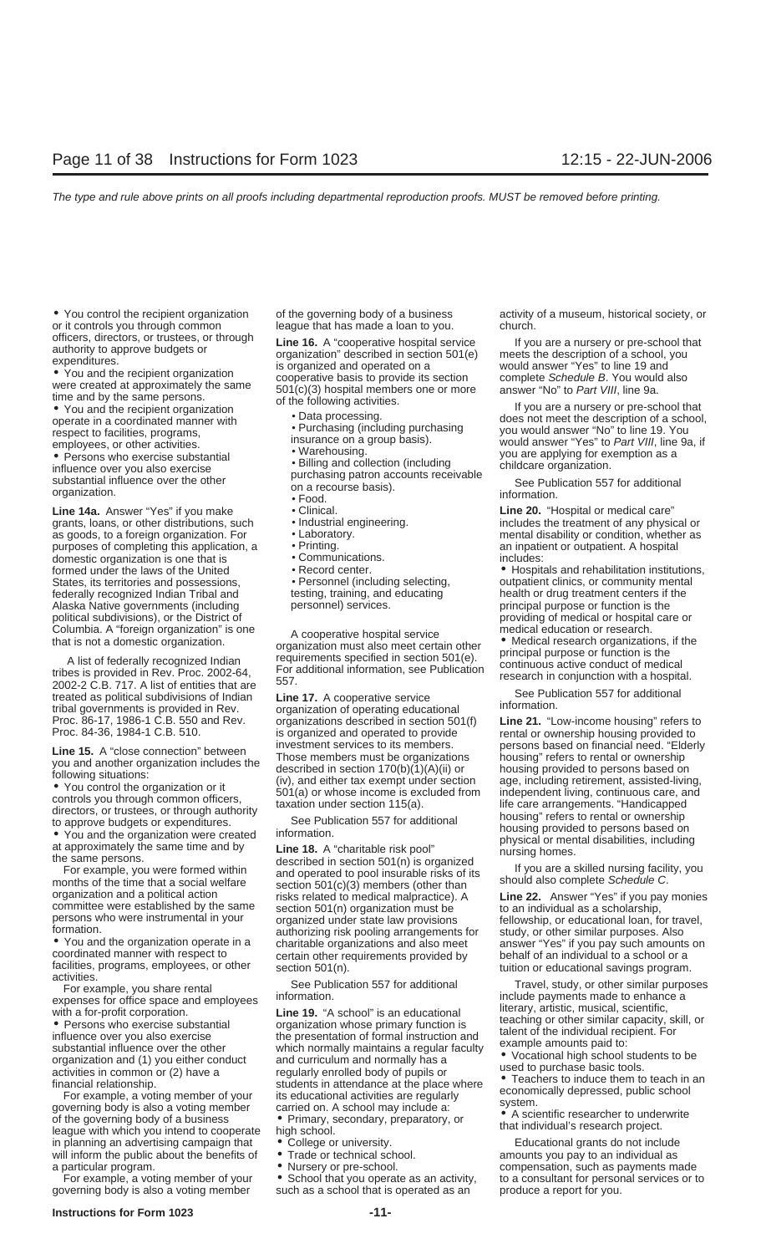or it controls you through common league that has made a loan to you. church.

• Persons who exercise substantial<br>
influence over you also exercise<br>
substantial influence over the other<br>
organization.<br>
organization.<br>
organization.<br>
organization.<br> **exercise**<br>
on a recourse basis).<br>
Food.<br> **exercise**<br>

**Line 14a.** Answer "Yes" if you make **•** Clinical. **Conserver in the 20.** "Hospital or medical care" **care** are a grants, loans, or other distributions, such **•** Industrial engineering. **Example 14** includes the treatment grants, loans, or other distributions, such • Industrial engineering. includes the treatment of any physical or as goods, to a foreign organization. For **•** Laboratory. **A constant of the mental disability or condition, whether as purposes of completing this application, a • Printing. <b>Providence** an inpatient or outpatient. A hospi purposes of completing this application, a **•** Printing.<br>domestic organization is one that is **•** Communications. domestic organization is one that is • Communications. includes: States, its territories and possessions, vactive Personnel (including selecting, community mental preminter in<br>States, its territories and possessions, between the states of the territorial metally recomment centers if th federally recognized Indian Tribal and testing, training, and educating health or drug treatment centers if the Alaska Native governments (including personnel) services. principal purpose or function is the political subdivisions), or the District of providing of medical or hospital care or political subdivisions), or the District of providing of medical or hospital columbia. A "foreign organization" is one providing of medical education or research.

See Publication 557 for additional tribal governments is provided in Rev.<br>
The 17. A cooperative service service service service information. The information of operating educational tribal governments is provided in Rev.

league with which you intend to cooperate bigh school.<br>in planning an advertising campaign that • College or university. The sectional grants do not include will inform the public about the benefits of  $\bullet$  Trade or technical school.  $\bullet$  amounts you pay to an individual as

officers, directors, or trustees, or through<br>authority to approve budgets or<br>expenditures.<br>
• You and the recipient organization<br>
• You and the recipient organization<br>
• You and the recipient organization<br>
time and by the

- 
- 
- 
- 
- 
- 
- 
- 
- 
- 
- 
- 
- 

Columbia. A "foreign organization" is one<br>that is not a domestic organization. The organization or esearch organization or research organization.<br>A list of federally recognized Indian<br>tribes is provided in Rev. Proc. 2002-

Proc. 86-17, 1986-1 C.B. 550 and Rev. organizations described in section 501(f) Line 21. "Low-income housing" refers to rec. 84-36, 1984-1 C.B. 510.

facilities, programs, employees, or other<br>
For example, you share rental<br>
See Publication 557 for additional<br>
For example, you share rental<br>
with a for-profit corporation. See the profitering information.<br>
We are the othe

- 
- 
- 

such as a school that is operated as an

• You control the recipient organization of the governing body of a business activity of a museum, historical society, or

• You and the recipient organization of the following activities.<br>
• Data processing.<br>
• Purchasing (including purchasing would answer "No" to line 19. You respect to facilities programs respect to facilities, programs,  $\ldots$  • Purchasing (including purchasing you would answer "No" to line 19. You<br>
respect to facilities, programs, experiment insurance on a group basis). employees, or other activities.<br>
• Warehousing... in the musula would answer "Yes" to Part VIII, line 9a, if<br>
• Persons who exercise substantial

formed under the laws of the United • Record center. • • Personnel (including selecting, but patient clinics, or community mental • Personnel (including selecting, but patient clinics, or community mental

**Line 15.** A "close connection" between  $\overline{1}$  Those members must be organization includes the  $\overline{1}$  Those members must be organization is the members must be comparations to their a described in section 170(b)(1)(A)

a particular program.<br>For example, a voting member of your • School that you operate as an activity, bo a consultant for personal services or to For example, a voting member of your • School that you operate as an activity, to a consultant for personal services or to governing body is also a voting member such as a school that is operated as an produce a report for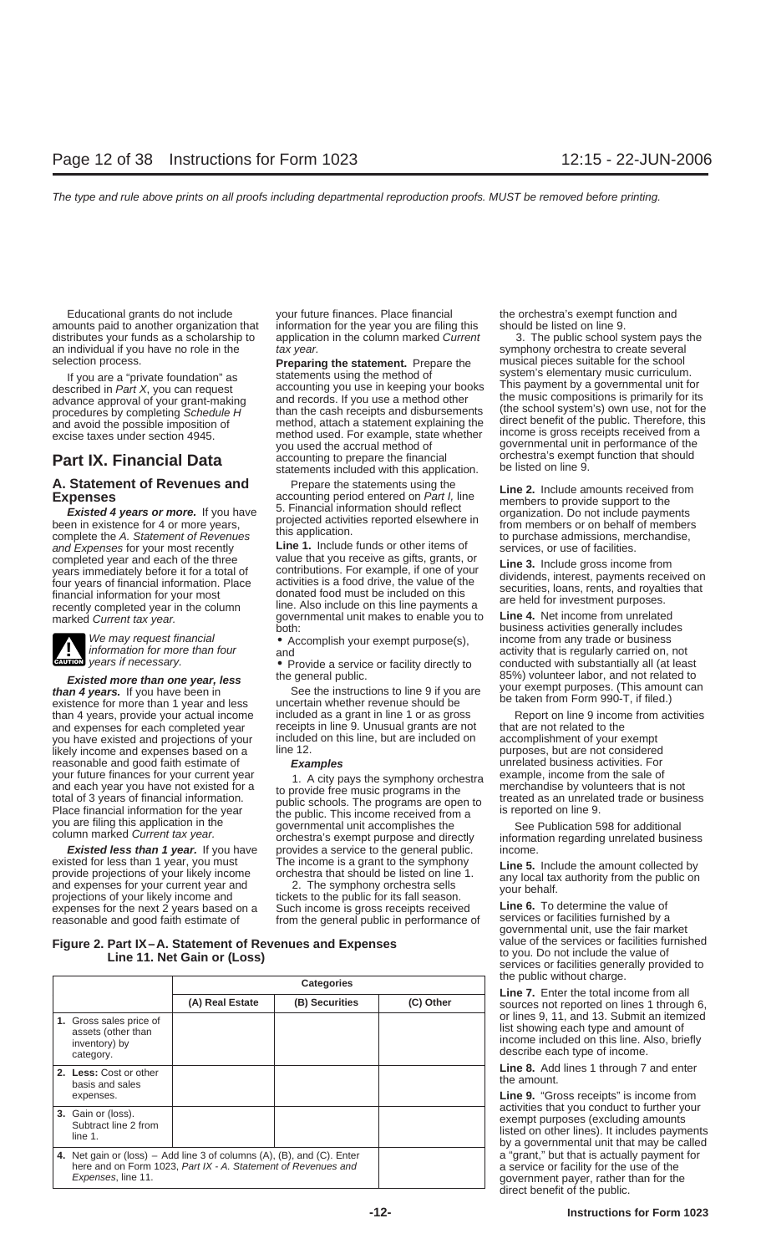amounts paid to another organization that information for the year you are filing this should be listed on line 9. distributes your funds as a scholarship to application in the column marked Current 3. The public school system pays the an individual if you have no role in the tax year. Sumphony orchestra to create several

complete the A. Statement of Revenues this application.<br>
and Expenses for your most recently **Line 1.** Include funds or other items of services, or use of facilities.<br>
completed year and each of the three value that you re



**ENTION** years if necessary.

than 4 years, provide your actual income included as a grant in line 1 or as gross Report on line 9 income from activities and expenses for each completed year receipts in line 9. Unusual grants are not that are not related to the<br>you have existed and projections of your included on this line, but are included on accomplishment of your exempt you have existed and projections of your included on this line, but are included on accomplishment of your exempt<br>Iikely income and expenses based on a line 12. likely income and expenses based on a reasonable and good faith estimate of **Examples** unrelated business activities. For<br>your future finances for your current year the activinary the symphony orchestra example, income from the sale of

existed for less than 1 year, you must<br>provide projections of your likely income<br>and expenses for your current year and<br>projections of your likely income and<br>projections of your likely income and<br>tickets to the public for projections of your likely income and<br>expenses for the next 2 years based on a Such income is gross receipts received **Line 6.** To determine the value of<br>reasonable and good faith estimate of from the general public in per reasonable and good faith estimate of from the general public in performance of

Educational grants do not include your future finances. Place financial the orchestra's exempt function and

If you are a "private foundation" as statements using the method of system's elementary music curriculum.<br>
described in Part X, you can request accounting you use in keeping your books This payment by a governmental unit f procedures by completing Schedule H<sup>t</sup> than the cash receipts and disbursements (the school system's) own use, not for the and avoid the possible imposition of method, attach a statement explaining the direct benefit of th **Part IX. Financial Data** accounting to prepare the financial orchestra's exemp<br>statements included with this application. be listed on line 9.

**A. Statement of Revenues and** Prepare the statements using the **Expenses** accounting period entered on *Part I*, line **Line 2.** Include amounts received from members to provide support to the *Existed 4 years or more*. If

completed year and each of the three value that you receive as gifts, grants, or<br>years immediately before it for a total of contributions. For example, if one of your<br>four years of financial information. Place activities i marked Current tax year.<br>marked Current tax year.<br>both:<br>both:<br>both:<br>business activities generally includes

when the sale of the propose and each year of the sale of the provide free music programs in the sale of the provide free music programs in the sale of the provide free music programs in the total of 3 years of financial i **Existed less than 1 year.** If you have provides a service to the general public. income.

selection process. musical pieces suitable for the school **Preparing the statement.** Prepare the governmental unit in performance of the<br>orchestra's exempt function that should

We may request financial<br>
We may request financial<br>
information for more than four<br>
years if necessary.<br> **EXECUTE:**<br>
Provide a service or facility directly to<br>
Provide a service or facility directly to<br>
conducted with subs **Existed more than one year, less** the general public. and the set of the perform of the perform of the perform of the set the instructions to line 9 if you are your exempt purposes. (This amount can existence for more tha

governmental unit, use the fair market Line 11. Net Gain or (Loss)<br>
services or facilities generally provided to

Line 9. "Gross receipts" is income from  $a$  "grant," but that is actually payment for a service or facility for the use of the government payer, rather than for the direct benefit of the public.

# **Figure 2. Part IX–A. Statement of Revenues and Expenses** value of the services or facilities furnished<br>**1998 1998 1998 1998 11 Net Gain or (Loss) 1998 1998 11 Net Gain or (Loss)**

|                                                                             |                      | <b>Categories</b>                                                                                                                         |                | the public without charge.<br><b>Line 7.</b> Enter the total income from all |                                                                                                                                                                                                                                                                                                                                                                       |  |  |
|-----------------------------------------------------------------------------|----------------------|-------------------------------------------------------------------------------------------------------------------------------------------|----------------|------------------------------------------------------------------------------|-----------------------------------------------------------------------------------------------------------------------------------------------------------------------------------------------------------------------------------------------------------------------------------------------------------------------------------------------------------------------|--|--|
|                                                                             |                      | (A) Real Estate                                                                                                                           | (B) Securities | (C) Other                                                                    | sources not reported on lines 1 through 6,                                                                                                                                                                                                                                                                                                                            |  |  |
| 1. Gross sales price of<br>assets (other than<br>inventory) by<br>category. |                      |                                                                                                                                           |                |                                                                              | or lines 9, 11, and 13. Submit an itemized<br>list showing each type and amount of<br>income included on this line. Also, briefly<br>describe each type of income.                                                                                                                                                                                                    |  |  |
| 2. Less: Cost or other<br>basis and sales                                   |                      |                                                                                                                                           |                |                                                                              | <b>Line 8.</b> Add lines 1 through 7 and enter<br>the amount.                                                                                                                                                                                                                                                                                                         |  |  |
| expenses.                                                                   |                      |                                                                                                                                           |                |                                                                              | <b>Line 9.</b> "Gross receipts" is income from<br>activities that you conduct to further your<br>exempt purposes (excluding amounts)<br>listed on other lines). It includes payments<br>by a governmental unit that may be called                                                                                                                                     |  |  |
| 3. Gain or (loss).<br>line 1.                                               | Subtract line 2 from |                                                                                                                                           |                |                                                                              |                                                                                                                                                                                                                                                                                                                                                                       |  |  |
| Expenses, line 11.                                                          |                      | 4. Net gain or (loss) $-$ Add line 3 of columns (A), (B), and (C). Enter<br>here and on Form 1023, Part IX - A. Statement of Revenues and |                |                                                                              | a "grant," but that is actually payment for<br>a service or facility for the use of the<br>government payer, rather than for the<br>$\mathbf{r}$ . The second contract of the second contract of the second contract of the second contract of the second contract of the second contract of the second contract of the second contract of the second contract of the |  |  |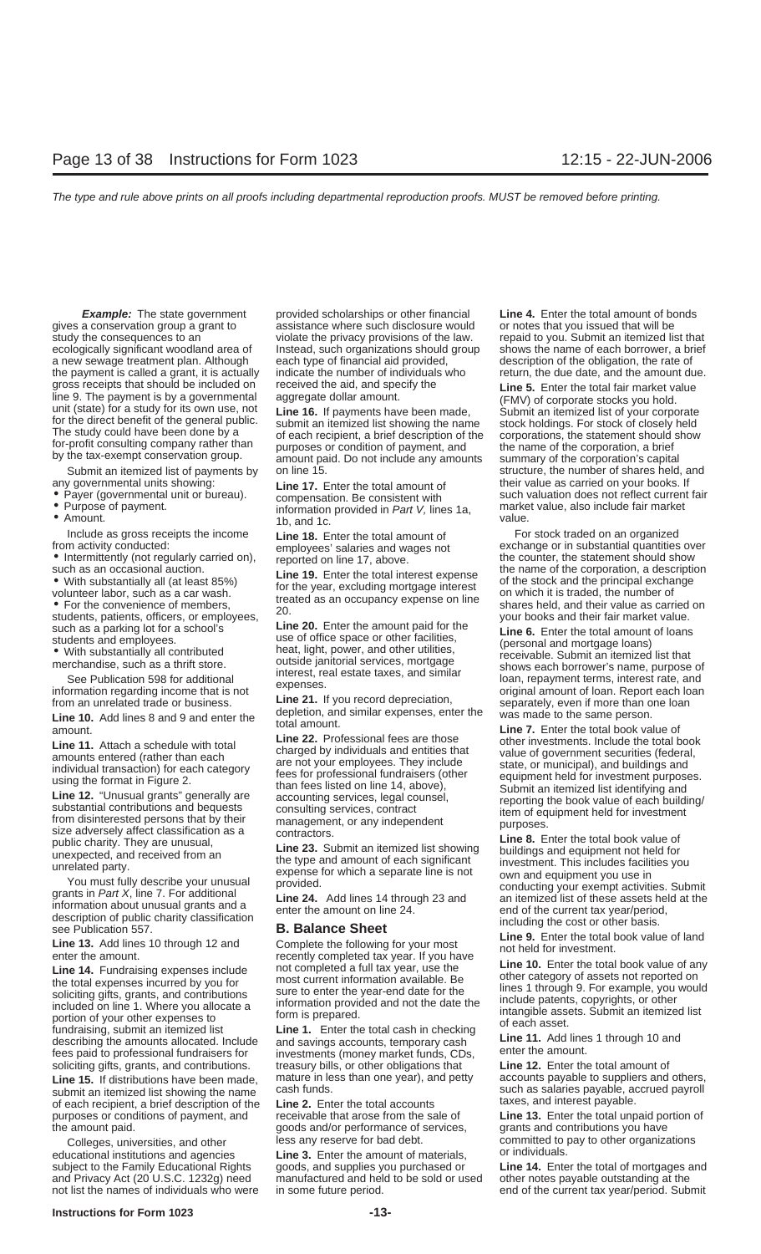gives a conservation group a grant to assistance where such disclosure would or notes that you issued that will be study the consequences to an violate the privacy provisions of the law. repaid to you. Submit an itemized list that ecologically significant woodland area of lnstead, such organizations should group shows the name of each borrower, a brief a new sewage treatment plan. Although each type of financial aid provided, description of the obligation, the rate of the payment is called a grant, it is actually indicate the number of individuals who return, the due date, and the amount due. gross receipts that should be included on received the aid, and specify the **Line 5.** Enter the total fair market value line 9. The payment is by a governmental aggregate dollar amount.

- 
- 
- 

Include as gross receipts the income **Line 18.** Enter the total amount of **For stock traded on an organized**<br> **Examployees' salaries and wages not** exchange or in substantial quantities

- 
- 

Eine 14. Fundraising experiences include<br>soliciting gifts, grants, and contributions<br>soliciting gifts, grants, and contributions sure to enter the year-end date for the<br>included on line 1. Where you allocate a information soliciting gifts, grants, and contributions. treasury bills, or other obligations that **Line 12.** Enter the total amount of

Line 15. If distributions have been made, mature in less than one year), and petty accounts payable to suppliers and others, submit an itemized list showing the name cash funds.<br>
of each recipient, a brief description of t of each recipient, a brief description of the **Line 2.** Enter the total accounts taxes, and interest payable.<br>
purposes or conditions of payment, and receivable that arose from the sale of **Line 13.** Enter the total unpaid purposes or conditions of payment, and the amount paid. The summary state of services, grants and contributions you have

educational institutions and agencies **Line 3.** Enter the amount of materials,

**Example:** The state government provided scholarships or other financial **Line 4.** Enter the total amount of bonds

Submit an itemized list of payments by on line 15. Submit and the number of shares held, and

• Payer (governmental unit or bureau).<br>• Purpose of payment.<br>• Amount.<br>• Amount.<br>• Amount.<br>• Amount.<br>• Amount.

such as a parking lot for a school's<br>students and employees.<br>• With substantially all contributed<br>• With substantially all contributed<br>• With substantially all contributed<br>• Contributed<br>• Contributed<br>• Contributed<br>• Contri

From an unrelated trade or business.<br>
Line 21. If you record depreciation,<br>
Line 10. Add lines 8 and 9 and enter the total amount.<br>
amount.<br>
Line 7. Enter the total book value of

Line 11. Attach a schedule with total<br>
inter 22. Professional felse are those<br>
individual transach from each category<br>
individuals and entities that<br>
individual transachion) for each category<br>
individual transachion) for e

manufactured and held to be sold or used other notes payable outstanding at the

line 9. The payment is by a governmental aggregate dollar amount. (FMV) of corporate stocks you hold.<br>
unit (state) for a study for its own use, not<br>
for the direct benefit of the general public.<br>
The study could have been any governmental units showing:<br>• Payer (governmental unit or bureau). <br>**Example and the opposited and the seam of the seam of the total and the valuation does not reflect current fair** 

employees' salaries and wages not exchange or in substantial quantities over<br>reported on line 17, above. employees the counter, the statement should show • Intermittently (not regularly carried on), reported on line 17, above. the counter, the statement should show such as an occasional auction. value at a constrained a constrained a case of the stock and the principal exchange<br>
• With substantially all (at least 85%)<br>
• For the convenience of members,<br>
• For the convenience of members,<br>
• For the convenience of

merchandise, such as a thrift store.<br>
See Publication 598 for additional<br>
information regarding income that is not<br>
information regarding income that is not<br>  $\frac{1}{2}$ <br>  $\frac{1}{2}$ <br>  $\frac{1}{2}$ <br>  $\frac{1}{2}$ <br>  $\frac{1}{2}$ <br>  $\frac{1}{2}$ 

Colleges, universities, and other less any reserve for bad debt.<br>
less any reserve for bad debt.<br>
Colleges, universities, and other less any reserve for bad debt.

subject to the Family Educational Rights goods, and supplies you purchased or **Line 14.** Enter the total of mortgages and and Privacy Act (20 U.S.C. 1232q) need manufactured and held to be sold or used other notes payable not list the names of individuals who were in some future period. end of the current tax year/period. Submit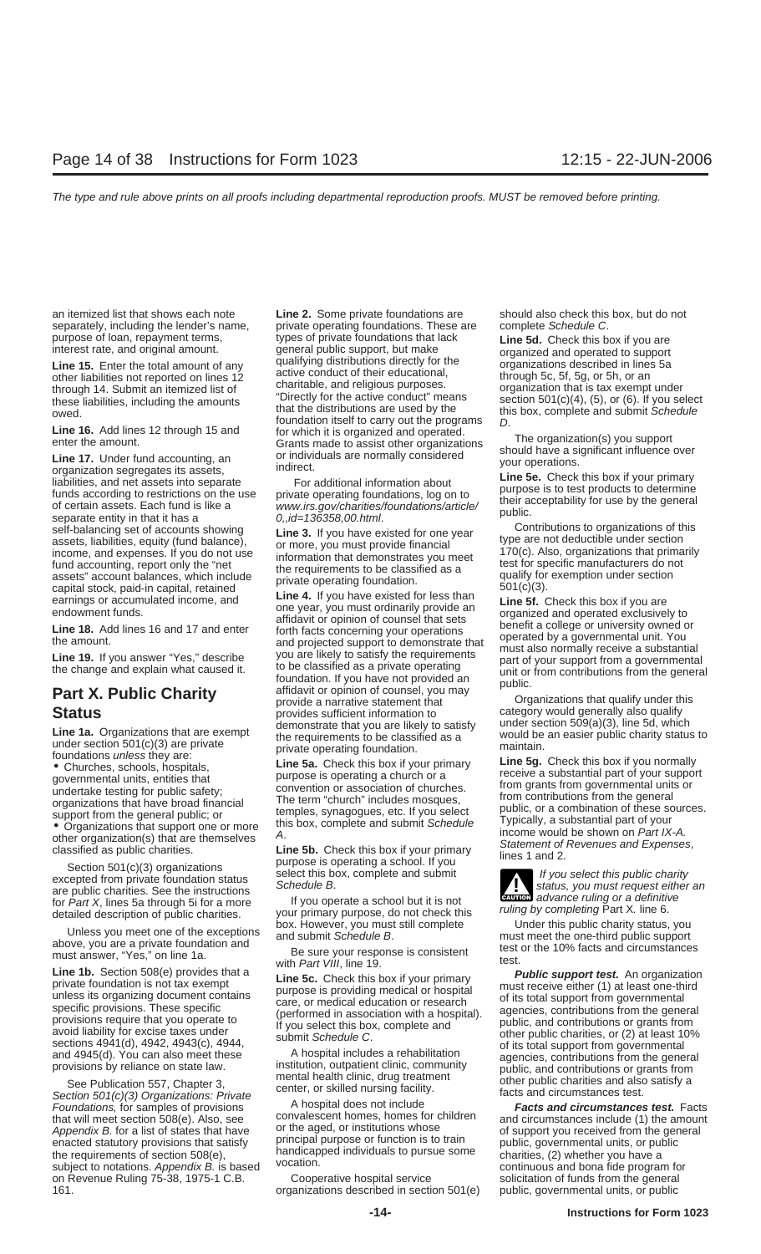Syncy and the score this box if you primary<br>illabilities, and net assets into separate<br>for additional information about<br>of certain assets. Each fund is like a<br>of oration something foundations/article/<br>of oration assets. E

If you operate a school but it is not for Part X, lines 5a through 5i for a more ruling by completing or a definitive<br>detailed description of public charities. your primary purpose, do not check this ruling by completing P

Section 501(c)(3) Organizations: Private<br>
Foundations, for samples of provisions<br>
that will meet section 508(e). Also, see convalescent homes, homes for children<br>
A hospital does not include<br>
that will meet section 508(e). Appendix B. for a list of states that have or the aged, or institutions whose<br>enacted statutory provisions that satisfy principal purpose or function is to train<br>the requirements of section 508(e), handicapped individuals subject to notations. Appendix B. is based vucation.<br>
on Revenue Ruling 75-38, 1975-1 C.B. Cooperative hospital service solicitation of funds from the general 161. organizations described in section 501(e) public, governmental units, or public

an itemized list that shows each note **Line 2.** Some private foundations are should also check this box, but do not separately, including the lender's name, private operating foundations. These are complete Schedule C. purpose of loan, repayment terms, types of private foundations that lack **Line 5d.** Check this box if you are interest rate, and original amount. <br> **Line 15.** Enter the total amount of any qualifying distributions directly **Line 15.** Enter the total amount of any qualifying distributions directly for the conductional, other liabilities not reported on lines 12 active conduct of their educational, through 5c, 5f, 5g, or 5h, or an charitable, these liabilities, including the amounts "Directly for the active conduct" means section 501(c)(4), (5), or (6). If you select<br>that the distributions are used by the this box, complete and submit Schedule<br>foundation itsel Example the amount.<br>
Solution itself to carry out the programs<br>  $\begin{array}{ccc}\n\text{Line 16.} \text{ Add lines 12 through 15 and} & \text{for which it is organized and operated.} \\
\text{Enter the amount.} & \text{Grants made to assist other organizations} & \text{The organization(s) you support} \\
\text{Line 17. Under fund accounting, an or individuals are normally considered\norganization segregates its assets,}' & \text{indirect.} \\
\end{array}$ 

**Fart A. FUDIIC CHATILY**<br>
Status<br>
Status<br> **Status**<br> **Status**<br> **Status**<br> **Status**<br> **Status**<br> **Status**<br> **Status**<br> **Status**<br> **Status**<br> **Status**<br> **Status**<br> **Status**<br> **Status**<br> **Status**<br> **Status**<br> **Status**<br> **Status**<br> **Organizat Line 1a.** Organizations that are exempt demonstrate that you are likely to satisfy under section 509(a)(3), line 5d, which the requirements to be classified as a under section 509(a)(3), line 5d, which the requirements to

foundations unless they are:<br> **Solven the Sale Check this box** if your primary<br> **Solven the Sale Check this box** if your primary<br>
governmental units, entities that<br>
governmental units, entities that<br>
the Sale Check this bo

**ENTION** advance ruling or a definitive

Under this public charity status, you are a private fundation and subset are the one-thind public support<br>
above, you are a private fundation and<br>
must answer, "Yes," on line 1a.<br>
Line 5c. Check this box if your primary<br>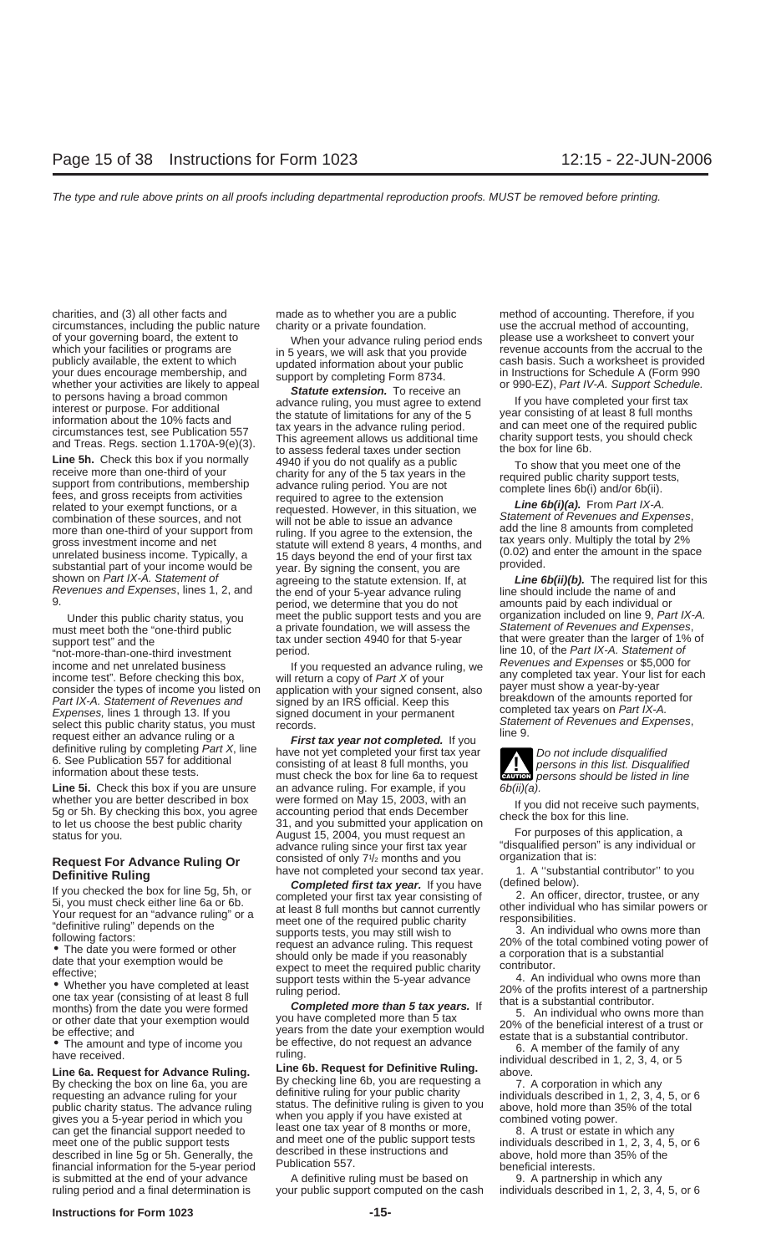charities, and (3) all other facts and made as to whether you are a public method of accounting. Therefore, if you circumstances, including the public nature charity or a private foundation. use the accrual method of accounting, of your governing board, the extent to<br>
when your advance ruling period ends<br>
which your facilities or programs are<br>
publicly available, the extent to which<br>
your dues encourage membership, and<br>
your dues encourage members

must meet both the "one-third public a private foundation, we will assess the Support test" and the support of Revenues and Expenses, the Statement of Revenues and Expenses, the Statement of Revenues and Expenses, and the tax under section 4940 for that 5-year that were greater than the larger of 1% of<br>"not-more-than-one-third investment period. period. The period of the Part IX-A. Statement of "not-more-than-one-third investment" period.<br>I income and net unrelated business<br>income and het unrelated business business and Expenses or \$5,000 for<br>consider the types of income you listed on application with your signed consent, also payer must show a year-by-year<br>c consider the types of income you listed on application with your signed consent, also payer must show a year-by-year<br>Part IX-A. Statement of Revenues and signed by an IRS official. Keep this breakdown of the amounts report Expenses, lines 1 through 13. If you<br>signed document in your permanent<br>select this public charity status, you must<br>records.<br>definitive ruling by completing *Part X*, line<br>6. See Publication 557 for additional<br>information a

whether you are better described in box were formed on May 15, 2003, with an<br>
5g or 5h. By checking this box, you agree accounting period that ends December<br>
to let us choose the best public charity 31, and you submitted y

described in line 5g or 5h. Generally, the described in these instructions and described in line 5g or 5h. Generally, the above, hold more than 35% of the Fublication 557.

**Line 5h.** Check this box if you normally  $\begin{array}{l} 4940$  if you do not qualify as a public  $\begin{array}{l} 4940$  if you do not qualify as a public  $\end{array}$  To show that you meet one of the check than one-third of your  $\end{array}$  con combination of these sources, and not<br>more than one-third of your support from<br>gross investment income and net<br>unrelated business income. Typically, a<br>the statute will extend 8 years, 4 months, and<br>unrelated business incom unrelated business income. Typically, a<br>substantial part of your income would be year. By signing the consent, you are<br>shown on *Part IX-A. Statement of* agreeing to the statute extension. If, at *Line 6b(ii)(b)*. The requ the end of your 5-year advance ruling line should include the name of and<br>period, we determine that you do not amounts paid by each individual or Under this public charity status, you meet the public support tests and you are organization included on line 9, Part IX-A.<br>In meet both the "one-third public" a private foundation, we will assess the Statement of Revenues

**Line 5i.** Check this box if you are unsure an advance ruling. For example, if you  $6b(ii)(a)$ .<br>whether you are better described in box were formed on May 15, 2003, with an status for you. <br>August 15, 2004, you must request an advance ruling since your first tax year Request For Advance Ruling Or consisted of only 7<sup>1</sup>/<sub>2</sub> months and you server all organization that is:<br>**Definitive Ruling Contition** have not completed your second tax year. The and "substantial contributor" to you

**Definitive Ruling**<br> **Definitive Ruling**<br> **Example the state was the state of the state of the state of the state of the state of the state of the state of the state of the state of the completed your first tax year consi** 

Line 6a. Request for Advance Ruling. Line on Request for Definitive Ruling.<br>By checking the box on line 6a, you are  $\begin{array}{ccc} \text{By checking line 6b, you are requesting a} & \text{a} & \text{bove.} \\ \text{By checking line 6b, you are requesting a} & \text{7. A corporation in which any} \\ \text{requesting a} & \text{7. A corporation in which any} \end{array}$ Fequesting an advance ruling for your definitive ruling for your public charity<br>public charity status. The advance ruling is given to you individuals described in 1, 2, 3, 4, 5, or 6<br>gives you a 5-year period in which you can get the financial support needed to<br>
meet one of the public support tests individuals described in 1, 2, 3, 4, 5, or 6<br>
described in these instructions and<br>
described in these instructions and<br>
above hold more than 35%

is submitted at the end of your advance A definitive ruling must be based on 9. A partnership in which any ruling period and a final determination is your public support computed on the cash individuals described in 1, 2, 3, 4, 5, or 6

**CAUTION** 

"disqualified person" is any individual or<br>organization that is: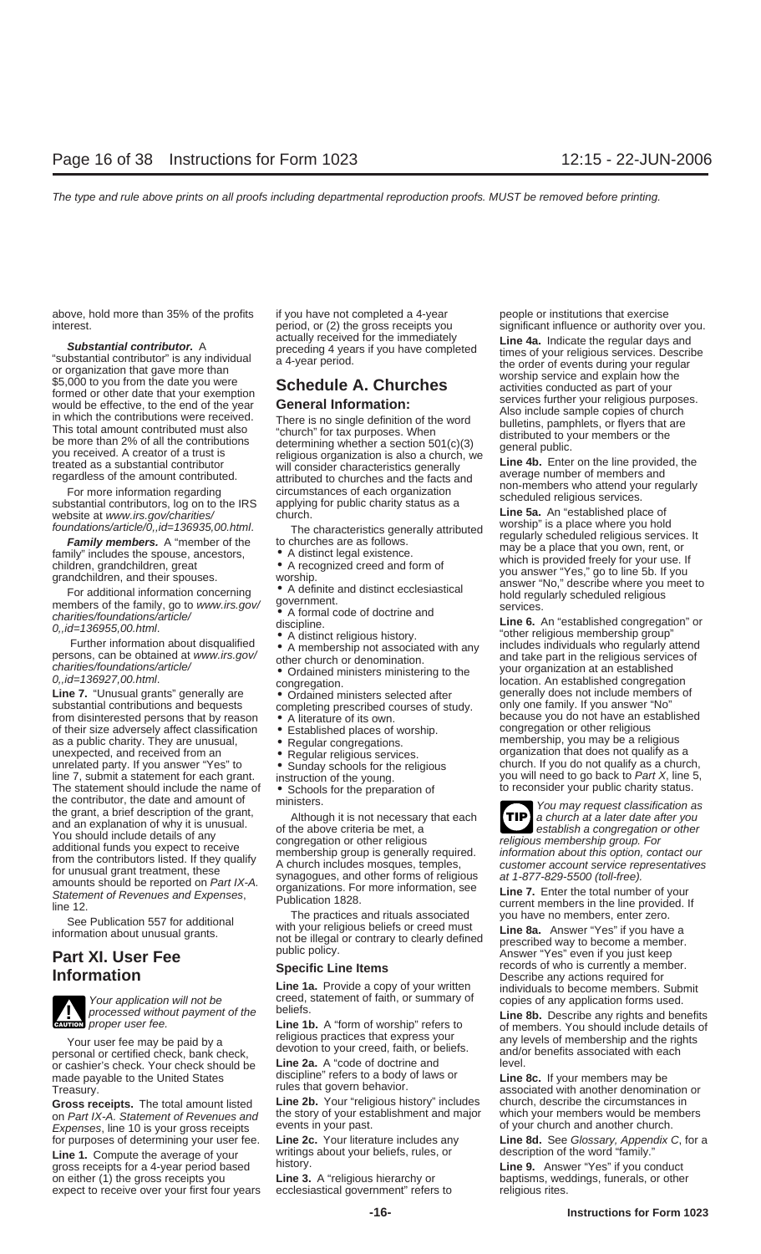above, hold more than 35% of the profits if you have not completed a 4-year people or institutions that exercise

**Substantial contributor.** A<br>
"substantial contributor" is any individual<br>
a 4-year period.<br>
a 4-year period.<br>
a 4-year period.<br>
a 4-year period.<br>
a 4-year period.<br>
a 4-year period.<br>
the order of events during your regular

substantial contributors, log on to the IRS applying for public charity status as a<br>website at www.irs.gov/charities/ church. **Line 5a.** An "established place of<br>foundations/article/0,.id=136935,00.html. The characteristic

substantial contributions and bequests completing prescribed courses of study. If you disinterested persons that by reason  $\bullet$  A literature of its own. of their size adversely affect classification • Established places of worship. congregation or other religious. as a public charity. They are unusual, <br> **• Regular congregations.** They are interesting to the Regular religious services. The membership, you may be a religious unexpected, and received from an **•** Regular religious serv unrelated party. If you answer "Yes" to  $\bullet$  Sunday schools for the religious church. If you do not qualify as a church, line 7, submit a statement for each grant. instruction of the young. you will need to go back to Par The statement should include the name of <br>to reconsider your public charity status.<br>the contributor, the date and amount of ministers. the contributor, the date and amount of<br>the grant, a brief description of the grant,<br>and an explanation of why it is unusual. TIP a church at a later date after you<br>Nou phould include date is a control of the above criteri Now should include details of any<br>
additional funds you expect to receive<br>
from the contributors listed. If they qualify<br>
from the contributors listed. If they qualify<br>
from the contributors listed. If they qualify<br>
from t



**wice** proper user fee.

personal or certified check, bank check, devotion to your creed, faith, or beliefs. and/or benefits and/or benefits associated with each each check should be **Line 2a.** A "code of doctrine and or cashier's check. Your check should be made payable to the United States discipline" refers to a body of laws or **Line 8c.** If your members may be discipline refers to a body of laws or **Line 8c.** If your members may be rules that govern behavior. Treasury. Treasury. The struke structure of that govern behavior. The associated with another denomination or

on Part IX-A. Statement of Revenues and the story of your establishment and major which your members would be men<br>Expenses line 10 is your gross receipts events in your past. Expenses, line 10 is your gross receipts.

**Line 1.** Compute the average of your writings about your beliefs, rules, or gross receipts for a 4-vear period based history. gross receipts for a 4-year period based history. **Line 9.** Answer "Yes" if you conduct on either (1) the gross receipts you **Line 3.** A "religious hierarchy or baptisms, weddings, funerals, or other expect to receive over your first four years ecclesiastical government" refers to religious rites.

interest.<br>actually received for the immediately significant influence or authority over you.<br>actually received for the immediately **ine 4a** Indicate the reqular days and

- 
- 
- 

- 
- 
- 
- 
- 
- 
- 

---<br>See Publication 557 for additional The practices and rituals associated you have no members, enter zero.<br>information about unusual grants. The illegal or contrary to clearly defined prescribed way to become a member.

Your application will not be creed, statement of faith, or summary of copies of any application forms used.<br>processed without payment of the beliefs.

**Line 1b.** A "form of worship" refers to

Gross receipts. The total amount listed Line 2b. Your "religious history" includes church, describe the circumstances in<br>on Part IX-A, Statement of Revenues and the story of your establishment and major which your members

foundations/article/0, id=136935, 00.html. The characteristics generally attributed worship" is a place where you hold<br> **Family members.** A "member of the to churches are as follows.<br>
children, grandchildren, great  $\bullet$  A

*Line 7. "Unusual grants" generally are incorregation.*<br> **Line 7.** "Unusual grants" generally are • Ordained ministers selected after *generally does not include members of*<br>
substantial contributions and bequests comple • A literature of its own.<br>• Established places of worship. because you do not have an established<br>congregation or other religious Regular religious services. organization that does not qualify as a<br>Sunday schools for the religious organization that does not qualify as a church,



**Part XI. User Fee Part XI. Part Allengal or contrary to clearly defined prescribed way to become a member.**<br>**Part XI. User Fee public policy.** Answer "Yes" even if you just keep<br>**Part XI. User Fee Specific Line Specific Life Items** and the secribe any actions required for<br>**Line 1a.** Provide a copy of your written individuals to become members. Submit<br>**EXECUTE A** Creed, statement of faith, or summary of copies of any application

**Line 8b.** Describe any rights and benefits. of members. You should include details of Your user fee may be paid by a<br>religious practices that express your any levels of membership and the rights<br>reconal or certified check hank check<br>reconal or certified check hank check

for purposes of determining your user fee. **Line 2c.** Your literature includes any **Line 8d.** See Glossary, Appendix C, for a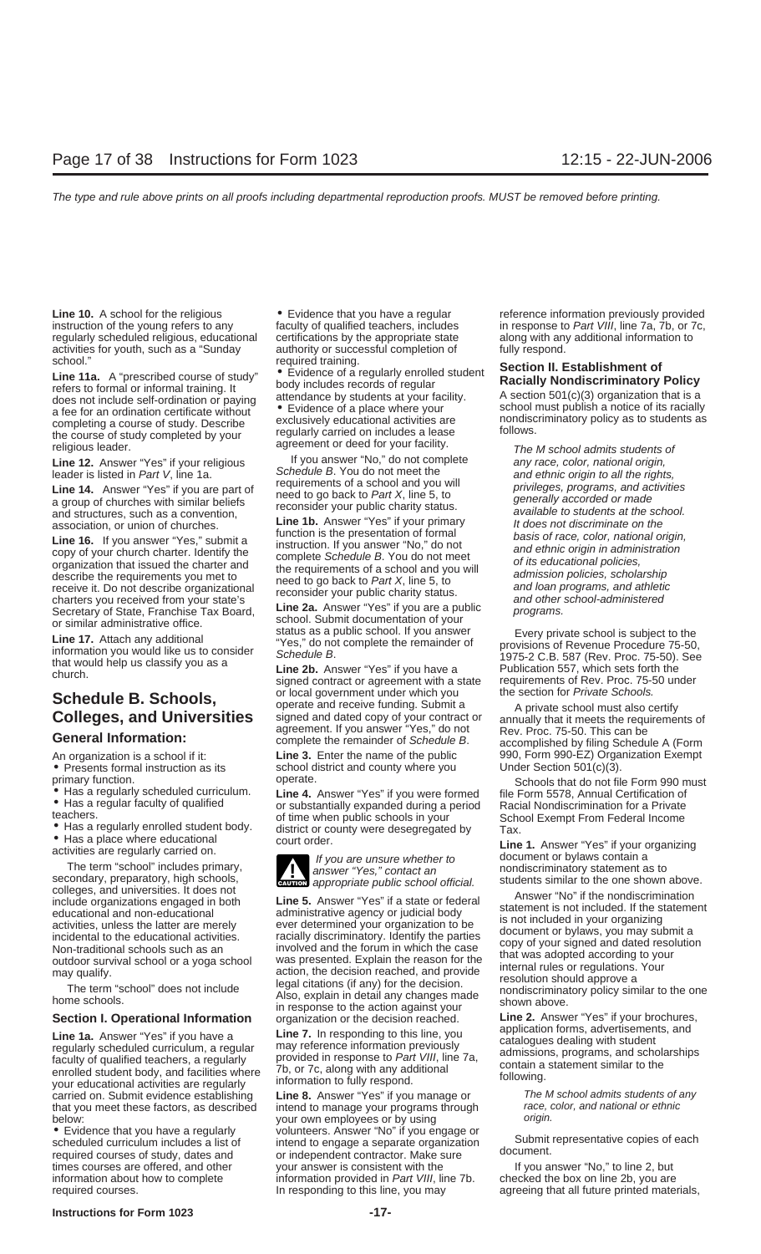Line 10. A school for the religious • Evidence that you have a regular reference information previously provided regularly scheduled religious, educational certifications by the appropriate state along with any additional information to activities for youth, such as a "Sunday authority or successful completion of fully respond.<br>school."<br>Cootion II E

school."<br> **Line 11a.** A "prescribed course of study"  $\bullet$  Evidence of a regularly enrolled student<br>
refers to formal or informal training. It body includes records of regular<br>
does not include self-ordination or paying att received an ordination comments without exclusively educational activities are nondiscriminatory policy as to students as<br>the course of study completed by your regularly carried on includes a lease follows.<br>The M school ad

and structures, such as a convention,<br>association, or union of churches.<br>**Line 1b.** Answer "Yes" if your primary and structure is the script of the function is the presentation of formal<br>basis of race color national on the

according to the term of the presentation of formal<br>
Line 16. If you and effect the requirements when the complete Schedule B. You do not meet<br>
organization that issued the charter and<br>
describe the requirements you met to

Line 1a. Answer Yes if you have a<br>regularly scheduled curriculum, a regular may reference information previously<br>faculty of qualified teachers, a regularly provided in response to Part VIII, line 7a,<br>enrolled student body, your educational activities are regularly unformation to fully respond.<br>
carried on. Submit evidence establishing **Line 8.** Answer "Yes" if you manage or The M school admits students of any<br>
that you meet these factors, as that you meet these factors, as described intend to manage your programs through race, color, and national origin. below: below:  $\sim$  your own employees or by using  $\sim$ 

**Line 12.** Answer "Yes" if your religious leader is listed in Part V, line 1a.<br>
Line 14. Answer "Yes" if you are part of the consider be and school and you will help the consider your public charity status.<br>
a group of chu

**Schedule B. Schools,** or local government under which you the section for *Private Schools*.<br> **Colleges, and Universities** signed and dated copy of your contract or annually that it meets the requirements of agreement. If

• Presents formal instruction as its school district and county where you primary function.

**Section I. Operational Information** organization or the decision reached. **Line 2.** Answer "Yes" if your brochures,

• Evidence that you have a regularly volunteers. Answer "No" if you engage or<br>scheduled curriculum includes a list of intend to engage a separate organization Submit representative copies of each<br>required courses of study, times courses are offered, and other your answer is consistent with the If you answer "No," to line 2, but information about how to complete information provided in Part VIII, line 7b. checked the box on line 2b, you are required courses. The sponding to this line, you may agreeing that all future printed materials,

instruction of the young refers to any faculty of qualified teachers, includes in response to Part VIII, line 7a, 7b, or 7c,

Secretary of State, Franchise Tax Board,<br>
Secretary of State, Franchise Tax Board,<br>
or similar administrative office.<br>
Line 17. Attach any additional<br>
information you would like us to consider<br>
that would help us classify

An organization is a school if it: **Line 3.** Enter the name of the public 990, Form 990-EZ) Organization Exempt <br>● Presents formal instruction as its school district and county where you Under Section 501(c)(3).

primary function. operate. operate.<br>● Has a regularly scheduled curriculum. Line 4. Answer "Yes" if you were formed file Form 5578, Annual Certification of<br>● Has a regular faculty of qualified or substantially expanded du

teachers. of time when public schools in your<br>
■ Has a regularly enrolled student body.<br>
■ Has a place where educational<br>
activities are regularly carried on.<br>
The term "school" includes primary,<br>
The term "school" includ

colleges, and universities. It does not<br>include organizations engaged in both<br>include organizations engaged in both<br>administrative agency or judicial body<br>administrative agency or judicial body<br>activities, unless the latte

application forms, advertisements, and **Line 1a.** Answer "Yes" if you have a **Line 7.** In responding to this line, you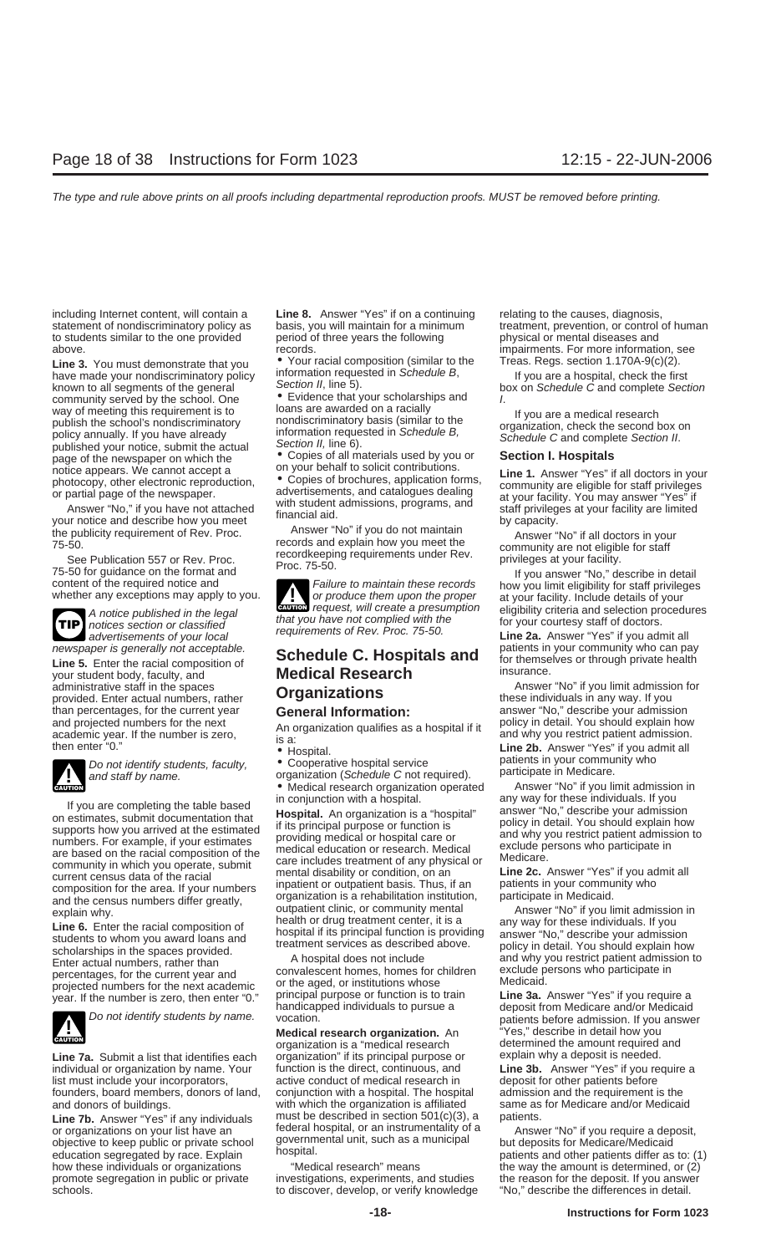including Internet content, will contain a **Line 8.** Answer "Yes" if on a continuing relating to the causes, diagnosis,<br>statement of nondiscriminatory policy as basis, you will maintain for a minimum treatment, prevention, to students similar to the one provided period of three years the following physical or mental diseases and above. **impairments. For more information**, see impairments. For more information, see

Line 3. You must demonstrate that you  $\bullet$  Your racial composition (similar to the Treas. Regs. section 1.170A-9(c)(2).<br>have made your pondiscriminatory policy information requested in Schedule B, If you are a bospital che have made your nondiscriminatory policy information requested in Schedule B,<br>
known to all segments of the general Section II, line 5). box on Schedule C and complete Section<br>
community served by the school. One example th way of meeting this requirement is to loans are awarded on a racially<br>publish the school's nondiscriminatory<br>policy annually. If you have already information requested in *Schedule B*,<br>published your notice, submit the act published your notice, submit the actual Section II, line 6).<br>
page of the newspaper on which the **•** Copies of all materials used by you or **Section I. Hospitals**<br>
potice appears We cannot accept a **by one your behalf to** 

**TIP** newspaper is generally not acceptable.<br> **Schedule C. Hospitals and** patients in your community who can pay<br>
your student body, faculty, and **Medical Research** insurance. provided. Enter actual numbers, rather than percentages, for the current year **General Information:** answer "No," describe your admission<br>and projected numbers for the next **An organization qualifies as a benefitable** is the policy in detail. You should explain and projected numbers for the next<br>academic year. If the number is zero,<br>then enter "0."<br>An organization qualifies as a hospital if it<br>and why you restrict patient admission.<br>In each of the patients of the number is zero,<br>



If you are completing the table based<br>
on estimates, submit documentation that<br>
supports how you arrived at the estimated<br>
supports how you arrived at the estimated<br>
if its principal purpose or function is<br>
if its principa



Line 7a. Submit a list that identifies each organization" if its principal purpose or explain why a deposit is needed.<br>
individual or organization by name. Your function is the direct, continuous, and **Line 3b.** Answer "Ye individual or organization by name. Your function is the direct, continuous, and list must include your incorporators, active conduct of medical research in deposit for other patients before<br>
founders, board members, donors of land, conjunction with a hospital. The hospital admission and the requiremen founders, board members, donors of land, and donors of buildings. with which the organization is affiliated same as for Medicare and/or Medicaid

or organizations on your list have an effected hospital, or an instrumentality of a Answer "No" if you require a deposit,<br>objective to keep public or private school governmental unit, such as a municipal but deposits for M how these individuals or organizations "Medical research" means the way the amount is determined, or (2) promote segregation in public or private investigations, experiments, and studies the reason for the deposit. If you answer schools. to discover, develop, or verify knowledge "No," describe the differences in detail.

• Evidence that your scholarships and  $\overline{I}$ .<br>loans are awarded on a racially

**ENTION** request, will create a presumption A notice published in the legal **EXULON** request, will create a presumption eligibility criteria and selection procedures<br>
notices section or classified that you have not complied with the for your courtesy staff of doctor

- 
- *CAUTION COUTION COUTION identify students, faculty,* Cooperative hospital service and staff by name.<br>
 Medical research organization operated Answer "No" if you limit admission in **and staff by name.**<br>
 Medical
	-

projected numbers for the next academic or the aged, or institutions whose<br>year. If the number is zero, then enter "0." principal purpose or function is to train **Line 3a.** Answer "Yes" if you require a<br>deposit from Medica

**Medical research organization.** An organization is a "medical research **Line 7b.** Answer "Yes" if any individuals must be described in section 501(c)(3), a patients.<br>
or organizations on your list have an federal hospital, or an instrumentality of a Answ

statement of nondiscriminatory policy as basis, you will maintain for a minimum treatment, prevention, or control of human

notice appears. We cannot accept a<br>
photocopy, other electronic reproduction,<br>
or partial page of the newspaper.<br>
Answer "No," if you have not attached<br>
your notice and describe how you meet<br>
your notice and describe how y

For the publicity requirement of Rev. Proc.<br>
To-50.<br>
See Publication 557 or Rev. Proc.<br>
See Publication 557 or Rev. Proc.<br>
See Publication 557 or Rev. Proc.<br>
See Publication 557 or Rev. Proc.<br>
To-50 for guidance on the for

administrative staff in the spaces<br>
provided. Enter actual numbers, rather **Communications** and these individuals in any way. If you limit admission for

explain why.<br>
Line 6. Enter the racial composition of<br>
students to whom you award loans and<br>
scholarships in the spaces provided.<br>
Enter actual numbers, rather than<br>
percentages, for the current year and<br>
percentages for t

Do not identify students by name. vocation.<br>**Medical research organization.** An "Yes," describe in detail how you determined the amount required and<br>explain why a deposit is needed.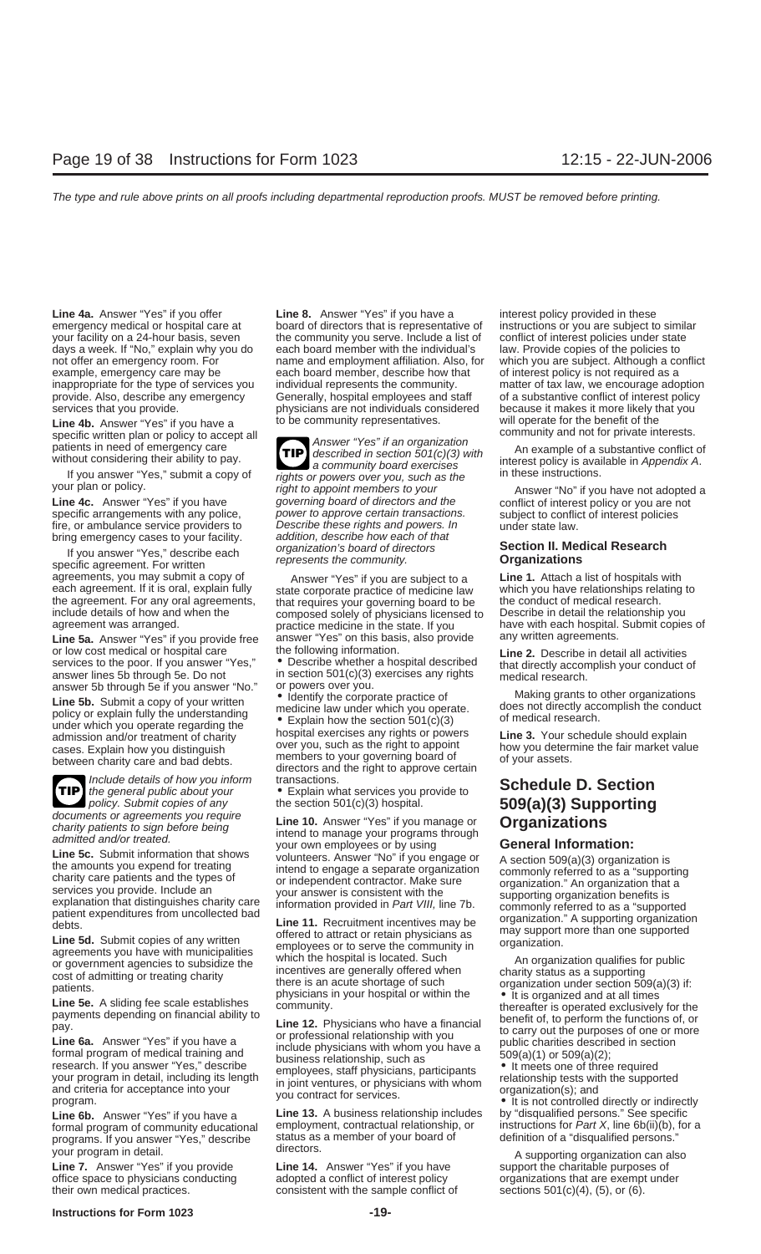provide. Also, describe any emergency Generally, hospital employees and staff

**Line 4b.** Answer "Yes" if you have a<br>specific written plan or policy to accept all<br>patients in need of emergency care<br>without considering their ability to pay.<br>a community board exercises interest policy is available in A

agreements, you may submit a copy of answer "Yes" if you are subject to a **Line 1.** Attach a list of hospitals with<br>each agreement. If it is oral, explain fully state corporate practice of medicine law which you have relat

**Line 5a.** Answer "Yes" if you provide free answer "Yes" on this basis, also provide or low cost medical or hospital care or low cost medical or hospital care the following information.<br>
services to the poor. If you answer "Yes." • Describe whether a hospital described that directly accomplish your conduct of services to the poor. If you answer "Yes," <br>answer lines 5b through 5e. Do not in section 501(c)(3) exercises any rights medical research.<br>answer 5b through 5e if you answer "No." or powers over you. answer 5b through 5e if you answer "No." or powers over you.<br>**Line 5b** Submit a copy of your written  $\bullet$  Identify the corporate practice of



Include details of how you inform transactions.<br>
the general public about your • Explain what services you provide to **Schedule D. Section**<br>
policy. Submit copies of any the section 501(c)(3) hospital. **509(a)(3) Supportin** 

documents or agreements you require<br>charity patients to sign before being

programs. If you answer "Yes," describe status as vour program in detail of the directors.

**Line 7.** Answer "Yes" if you provide **Line 14.** Answer "Yes" if you have support the charitable purposes of office space to physicians conducting adopted a conflict of interest policy organizations that are exempt und office space to physicians conducting adopted a conflict of interest policy organizations that are exempt under their own medical practices. consistent with the sample conflict of sections 501(c)(4), (5), or (6).

**Line 4a.** Answer "Yes" if you offer **Line 8.** Answer "Yes" if you have a interest policy provided in these emergency medical or hospital care at board of directors that is representative of instructions or you are subject to similar your facility on a 24-hour basis, seven the community you serve. Include a list of conflict of interest policies under state days a week. If "No," explain why you do each board member with the individual's law. Provide copies of the policies to not offer an emergency room. For name and employment affiliation. Also, for which you are subject. Although a conflict example, emergency care may be each board member, describe how that of interest policy is not required as a inappropriate for the type of services you individual represents the community. The matter of tax law, we encourage adoption provide. Also, describe any emergency Generally, hospital employees and staff of a substantive co services that you provide. physicians are not individuals considered because it makes it more likely that you<br>**I ine 4h** Answer "Yes" if you have a lot be community representatives. will operate for the benefit of the

**TIP** If you answer "Yes," submit a copy of rights or powers over you, such as the your plan or policy.<br> **Line 4c.** Answer "Yes" if you have not adopted a governing board of directors and the the seriest policy or you are not ad governing board of directors and the conflict of interest policy or you are not<br>power to approve certain transactions. Subject to conflict of interest policies specific arrangements with any police, power to approve certain transactions. subject to conflict of interest policies fire, or ambulance service providers to Describe these rights and powers. In under state law. fire, or ambulance service providers to Describe these rights and powers. In under state law. bring emergency cases to your facility. addition, describe how each of that<br>If you answer "Yes " describe each organization's board of directors organization's board of directors **Section II. Medical Research** If you answer "Yes," describe each represents the community. **Organizations** specific agreement. For written

each agreement. If it is oral, explain fully state corporate practice of medicine law which you have relationships relationships relationships relationships relationships relationships relationships relationships relations the agreement. For any oral agreements, that requires your governing board to be the conduct of medical research.<br>
include details of how and when the composed solely of physicians licensed to Describe in detail the relati

Line 5b. Submit a copy of your written<br>
policy or explain fully the understanding<br>
under which you operate the section 501(c)(3) of medical research.<br>
under which you operate regarding the section 501(c)(3) of medical rese admission and/or treatment of charity hospital exercises any rights or powers and admission and/or treatment of charity hospital exercises any rights or powers and a structure security over you, such as the right to appoin cases. Explain how you distinguish over you, such as the right to appoint how you determine the fair market value<br>hetween charity care and had debts members to your governing board of of your assets. between charity care and bad debts.<br>directors and the right to approve certain

**p**olicy. Submit copies of any the section 501(c)(3) hospital. **509(a)(3) Supporting** 

Columeris of agreements you require<br>
charity patients to sign before being<br>
admitted and/or treated.<br>
Line 5c. Submit information that shows<br>
volunteers. Answer "No" if you engage or A section 509(a)(3) organizarion:

Line 5c. Submit information that shows<br>
the amounts you expend for treating<br>
the amounts you expend for treating<br>
charge that the types of<br>
contriguences of the types of contriguence and the types of<br>
contriguence of the p

**Line 6b.** Answer "Yes" if you have a **Line 13.** A business relationship includes by "disqualified persons." See specific interest of community educational employment, contractual relationship, or instructions for *Part X* formal program of community educational employment, contractual relationship, or instructions for Part X, line 6b(ii)(b), for a formula persons."<br>For a fatus as a member of your board of a formula of a "disqualified person

have with each hospital. Submit copies of<br>any written agreements.

your program in detail.<br>
Line 7. Answer "Yes" if you provide Line 14. Answer "Yes" if you have a support the charitable purposes of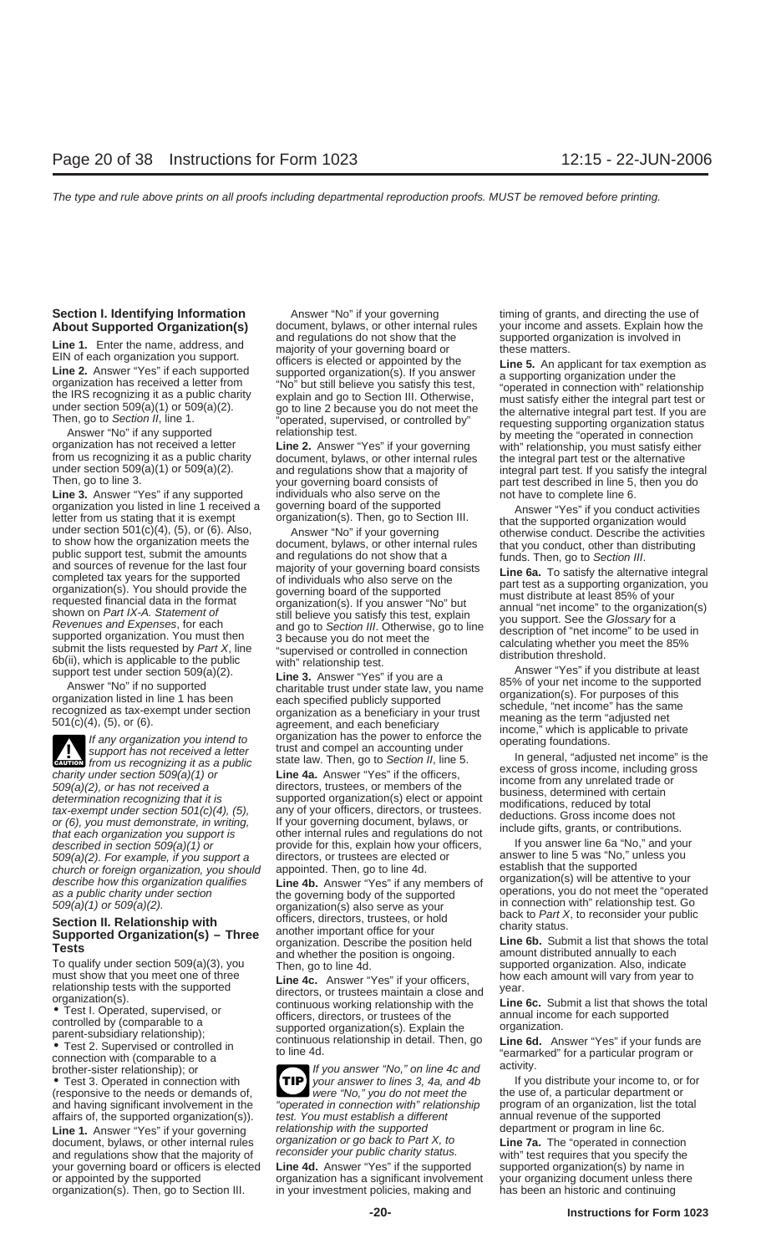**Line 3.** Answer "Yes" if any supported individuals who also serve on the not have to complete line 6.<br>
organization you listed in line 1 received a governing board of the supported answer "Yes" if you conc organization you listed in line 1 received a governing board of the supported letter from us stating that it is exempt organization(s). Then, go to Section III. Then is exempt under section 501(c)(4), (5), or (6). Also, An to show how the organization meets the document, bylaws, or other internal rules<br>
to the internal results and sources of revenue for the last four<br>
condent expected as years for the supported that you conduct, other than d

**ENTION** from us recognizing it as a public Exercise from us recognizing it as a public<br>
charity under section 509(a)(2), or has not received a<br>
directors, trustees, or members of the<br>
determination recognizing that it is<br>
tax-exempt under section 501(c)(4), (5), an that each organization you support is other internal rules and regulations do not the provide for this explain how your officers, If you answer line 6a "No," and your described in section 509(a)(1) or 509(a)(2). For example, if you support a directors, or trustees are elected or answer to line 5 was "No," unless you<br>church or foreign organization, you should appointed. Then, go to line 4d. establish that the supported church or foreign organization, you should appointed. Then, go to line 4d. establish that the supported<br>describe how this organization qualifies **Line 4b**, Answer "Yes" if any members of organization(s) will be attentive t

(responsive to the needs or demands of,

document, bylaws, or other internal rules and regulations show that the majority of reconsider your public charity status. With" test requires that you specify the your governing board or officers is elected Line 4d. Answer "Yes" if the supported supported organization(s) by name in or appointed by the supported organization has a significant involvement your organizing document unless there organization(s). Then, go to Section III. in your investment policies, making and has been an historic and continuing

**Section I. Identifying Information** Answer "No" if your governing timing of grants, and directing the use of

describe how this organization qualifies<br>
describe how this organization qualifies<br>
and public charity under section<br>
and the governing body of the supported<br>
organization (s) also serve as your<br>
Section II. Relationship

• Test 3. Operated in connection with **TIP** your answer to lines 3, 4a, and 4b If you distribute your income to, or for for for income to a particular department or for  $\overline{1}$  were "No," you do not meet the the use of, a **TIP** and having significant involvement in the "operated in connection with" relationship program of an organization, list the total affairs of, the supported organization(s)). test. You must establish a different annual revenu affairs of, the supported organization(s)). test. You must establish a different annual revenue of the supported<br>**Line 1.** Answer "Yes" if your governing relationship with the supported department or program in line 6c. Line 1. Answer "Yes" if your governing relationship with the supported department or program in line 6c.<br>document, bylaws, or other internal rules organization or go back to Part X, to Line 7a. The "operated in connection

**About Supported Organization(s)** document, bylaws, or other internal rules your income and assets. Explain how the and regulations do not show that the supported organization is involved in

**Line 1.** Enter the name, address, and<br>
EIN of each organization you support.<br> **Line 2.** Answer "Yes" if each supported organization you support<br> **Line 2.** Answer "Yes" if each supported organization (s). If you answer<br>
th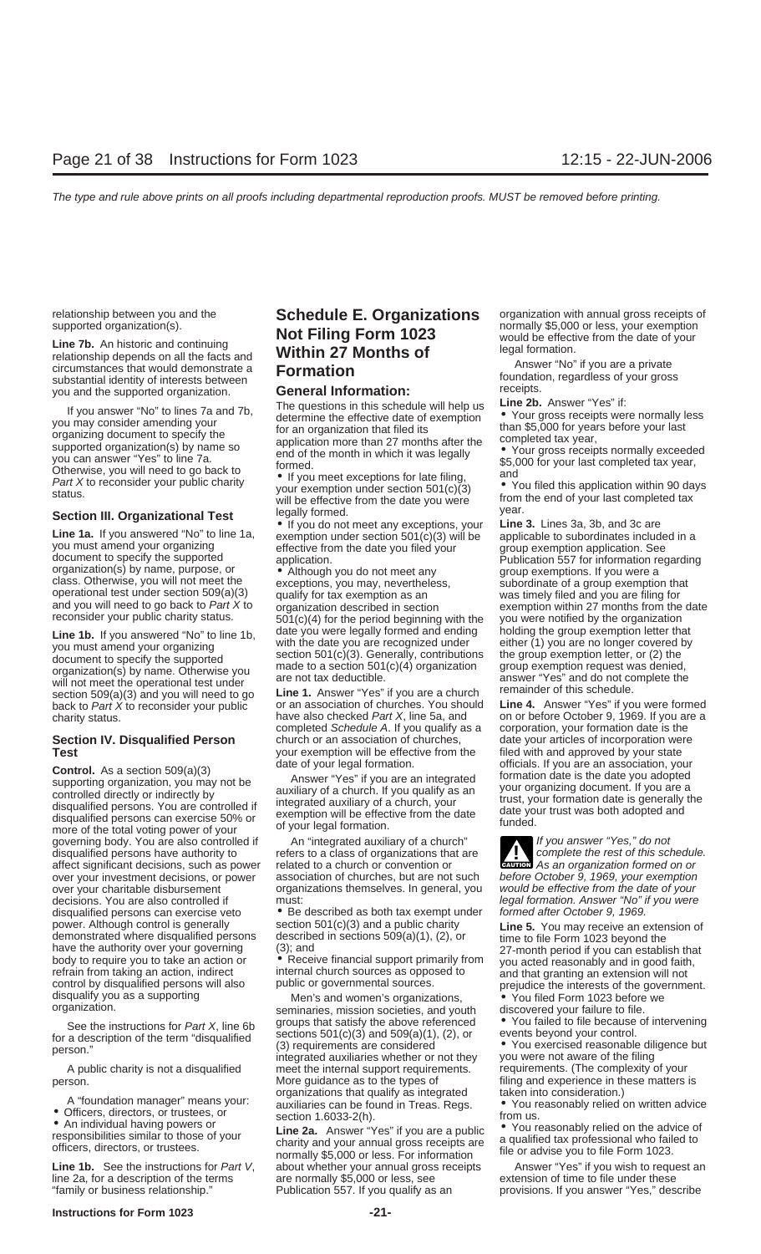substantial identity of interests between<br>you and the supported organization. **General Information:** receipts.<br>The questions in this schedule will belp us **Line 2b.** Answer "Yes" if:

If you answer "No" to lines 7a and 7b,<br>
you may consider amending your<br>
organizing document to specify the<br>
supported organization(s) by name so<br>
you can answer "Yes" to line 7a.<br>
Supported organization(s) by name so<br>
you

**Line 1b.** If you answered "No" to line 1b,  $\frac{0.01}{2}$  date you were legally formed and ending holding the group exemption letter that with the date you are recognized under  $\frac{0.01}{2}$  or  $\frac{0.001}{2}$  or  $\frac{0.001}{2}$ back to Part X to reconsider your public or an association of churches. You are a church<br>back to Part X to reconsider your public or an association of churches. You should **Line 4.** Answer "Yes" if you were formed<br>charity

**Control.** As a section 509(a)(3) date of your legal formation. officials. If you are an association, your supporting organization, you may not be anxiliary of a church. If you are an integrated controlled directly or indi more of the total voting power of your<br>governing body. You are also controlled if An "integrated auxiliary of a church" If you answer "Yes," do not<br>disqualified persons have authority to refers to a class of organizations disqualified persons have authority to refers to a class of organizations that are all complete the rest of this schedule.<br>Affect significant decisions, such as power related to a church or convention or affect significant decisions, such as power related to a church or convention or **over** your investment decisions, or power association of churches, but are not such over your investment decisions, or power association of churches, but are not such before October 9, 1969, your exemption over your charitable disbursement organizations themselves. In general, you would be effective from the date of your decisions. You are also controlled if must:<br>
disqualified persons can exercise veto <br>
• Be described as both tax exempt under formed after October 9, 1969. disqualified persons can exercise veto  $\bullet$  Be described as both tax exempt under power. Although control is generally section 501(c)(3) and a public charity mower. Although control is generally section 501(c)(3) and a public charity<br>
demonstrated where disqualified persons described in sections 509(a)(1), (2), or<br>
have the authority over your governing (3); and<br>
body to requir

- 
- 

line 2a, for a description of the terms

# relationship between you and the **Schedule E. Organizations** organization with annual gross receipts of supported organization(s).<br> **Line 7b.** An historic and continuing **Not Filing Form 1023**<br> **Line 7b.** An historic and c

will be effective from the date you were and of your last complet<br>Section III. Organizational Test legally formed.<br>If you do not meet any exceptions, your Line 3. Lines 3a, 3b, and 3c are

charity status. have also checked Part X, line 5a, and on or before October 9, 1969. If you are<br>completed Schedule A. If you qualify as a corporation, your formation date is the completed Schedule A. If you qualify as a church or an association of churches, **Section IV. Disqualified Person** church or an association of churches, date your articles of incorporation were<br>**Test** vour exemption will be effective from the filed with and approved by your state **Test** your exemption will be effective from the filed with and approved by your state<br>date of your legal formation. **officials**. If you are an association, your

disquality you as a supporting Men's and women's organizations, <br>organization. See the instructions for Part Y line 6b and youth discovered your failure to file.<br>See the instructions for Part Y line 6b groups that satisfy See the instructions for *Part X*, line 6b groups that satisfy the above referenced <br>for a description of the term "disqualified sections 501(c)(3) and 509(a)(1), (2), or<br>person."<br>person."<br>integrated auxiliaries whether or A public charity is not a disqualified meet the internal support requirements. requirements. (The complexity of your person. More guidance as to the types of filing and experience in these matters is<br>organizations that qualify as integrated taken into consideration.) A "foundation manager" means your:<br>
■ anizations that qualify as integrated<br>
■ Chicers, directors, or trustees, or<br>
■ An individual having powers or<br>
■ An individual having powers or<br>
■ Ca. Answer "Yes" if you are a publi

Line 1b. See the instructions for Part V, about whether your annual gross receipts Answer "Yes" if you wish to request an line 2a, for a description of the terms are normally \$5,000 or less, see extension of time to file u "family or business relationship." Publication 557. If you qualify as an provisions. If you answer "Yes," describe

**Exerces in: Crystal Controlled Text** Controlled Translational Text Controlled in a gould meet any exceptions, your **Line 3.** Lines 3a, 3b, and 3c are example in a you must amend your organizing document to specify the

**<u>WITTON</u></u>** 

- 
- 
-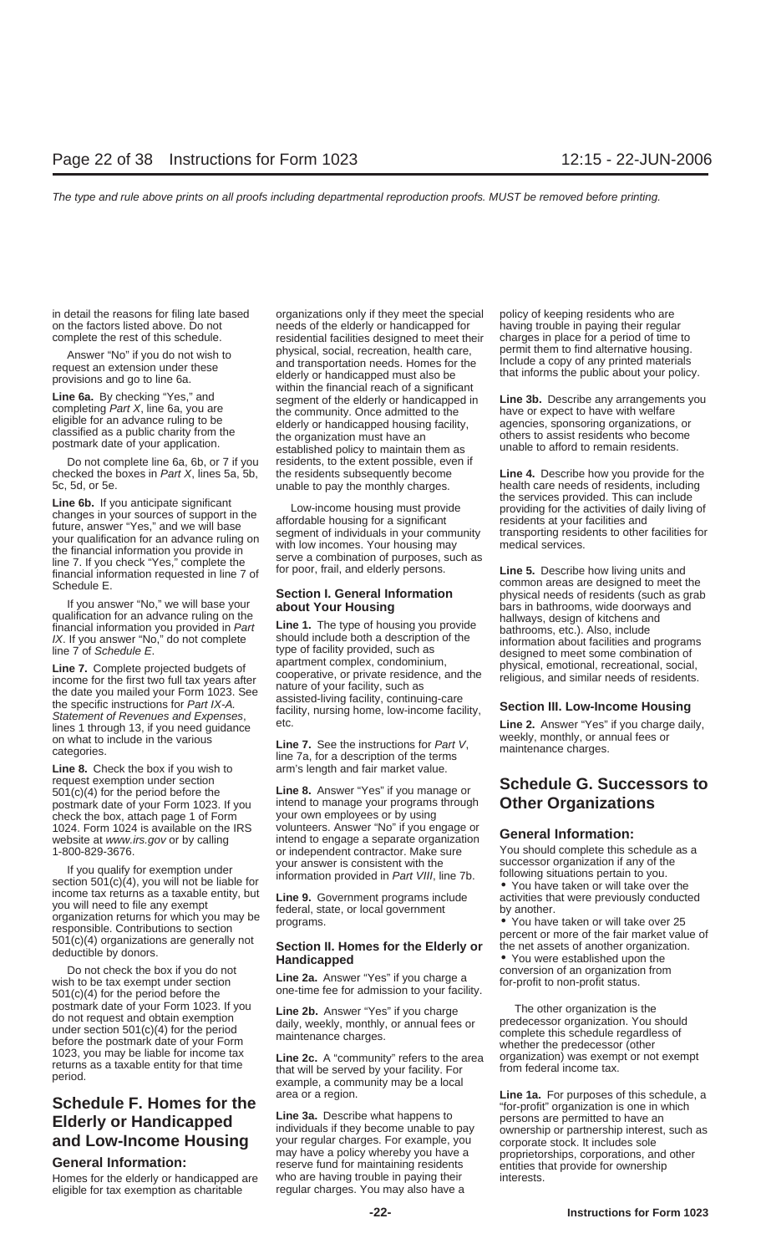in detail the reasons for filing late based organizations only if they meet the special policy of keeping residents who are

checked the boxes in Part X, lines 5a, 5b, the residents subsequently become **Line 4.** Describe how you provide for the

**Line 6b.** If you anticipate significant<br>changes in your sources of support in the<br>future, answer "Yes," and we will base<br>your qualification for an advance ruling on<br>the financial information you provide in<br>the financial i financial information you provide in with low incomes. Your nousing may medical services.<br>
line 7. If you check "Yes," complete the serve a combination of purposes, such as<br>
financial information requested in line 7 of for

ines 1 through 13, if you need guidance<br>
on what to include in the various<br>
categories.<br> **Line 7.** See the instructions for Part V,<br>
line 7a, for a description of the terms<br> **Line 8.** Check the box if you wish to<br>
arm's le

**Line 8.** Check the box if you wish to request exemption under section **Line 8.** Answer "Yes" if you manage or **Schedule G. Successors to** 501(c)(4) for the period before the **Line 8.** Answer "Yes" if you manage or **Schedule G. Successors to** postmark date of y check the box, attach page 1 of Form

If you qualify for exemption under<br>section 501(c)(4), you will not be liable for<br>income tax returns as a taxable entity, but<br>you will need to file any exempt<br>organization returns for which you may be<br>organization returns f

Do not check the box if you do not<br>wish to be tax exempt under section<br>501(c)(4) for the period before the one-time fee for admission to your facility.<br>501(c)(4) for the period before the one-time fee for admission to your where the period.<br>
State of your Form 1023. If you **Line 2b.** Answer "Yes" if you charge<br>
do not request and obtain exemption<br>
under section 501(c)(4) for the period<br>
before the postmark date of your Form<br>
1023, you may be

Homes for the elderly or handicapped are who are having trouble in paying their interests.<br>eligible for tax exemption as charitable regular charges. You may also have a eligible for tax exemption as charitable

on the factors listed above. Do not having trouble in paying their regular complete the rest of this schedule.<br>
residential facilities designed to meet their charges in place for a period of time to residential facilities designed to meet their charges in place for a period of time to physical, social, recreation, health care, permit them to find alternative housing. Answer "No" if you do not wish to<br>request an extension under these and transportation needs. Homes for the linclude a copy of any printed materials<br>provisions and go to line 6a.<br>**Line 6a**. By checking "Yes," and<br>completing classified as a public charity from the example organization must have an and them as bothers to assist residents who become postmark date of your application. Do not complete line 6a, 6b, or 7 if you residents, to the extent possible, even if unable to pay the monthly charges.

Four answer "No," we will base your<br>
le pous answer "No," we will base your<br>
dualification for an advance ruling on the<br>
financial information you provided in Part<br>
Inter 1. The type of housing you provide<br>
INC. If you ans

intend to manage your programs through<br>your own employees or by using 1024. Form 1024 is available on the IRS volunteers. Answer "No" if you engage or **General Information:** website at www.irs.gov or by calling intend to engage a separate organization 1-800-829-3676. or independent contractor. Make sure You should complete this schedule as a<br>1-800-829-3676. or your answer is consistent with the successor organization if any of the

**and Low-Income Housing** your regular charges. For example, you corporate stock. It includes sole may have a policy whereby you have a proprietorships, corporations, and other reserve fund for maintaining residents<br>Homes f

Schedule E.<br>
Schedule E. Common areas are designed to meet the<br>
Common areas are designed to meet the<br>
Common areas are designed to meet the<br>
Common areas are designed to meet the

**Schedule F. Homes for the** area or a region.<br>**Line 1a.** For purposes of this schedule, a<br>**Elderly ex Hendiespread** Line 3a. Describe what happens to persons are permitted to have an **Elderly or Handicapped Line 3a.** Describe what happens to pay persons are permitted to have an individuals if they become unable to pay ownership or partnership interest, such as **and Low-Income Housing** your regular ch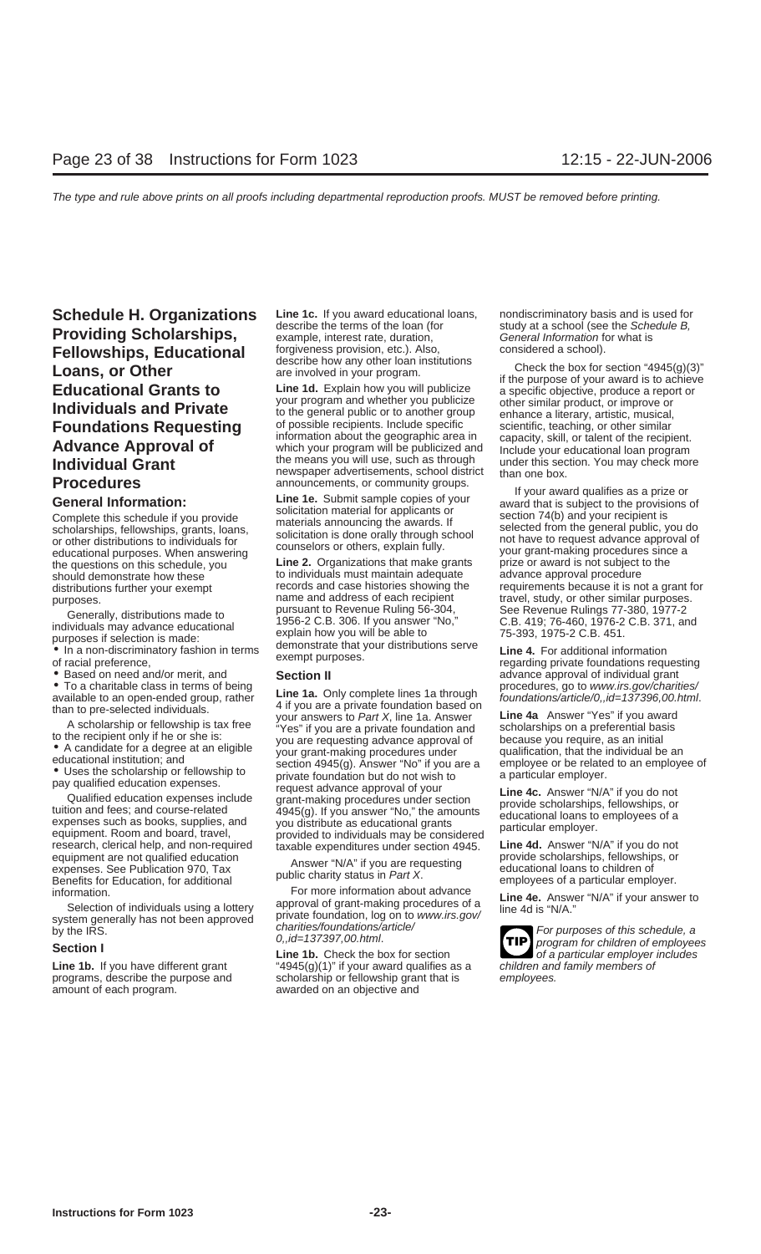# **Fellowships, Educational** forgiveness provision, etc.). Also, considered a school).<br>
Loans, or Other are involved in your program.<br>
Educational Grants to Line 1d. Explain how you will publicize a specific objective, produ

educational purposes. When answering<br>the questions on this schedule, you **Line 2.** Organizations that make grants prize or award is not subject to the<br>should demonstrate how these to individuals must maintain adequate adva

amount of each program. awarded on an objective and

**Schedule H. Organizations** Line 1c. If you award educational loans, nondiscriminatory basis and is used for<br> **Schedule B.**<br> **Companies of the terms of the loan (for** study at a school (see the Schedule B, **Providing Scholarships,** example, interest rate, duration, a study at a school (see the Schedule B, example, interest rate, duration, General Information for what is

**Educational Grants to**<br>
your program and whether you publicize a specific objective, produce a report or<br> **Individuals and Private** to the general public or to another group<br> **Foundations Requesting** of possible recipient **Foundations Requesting** of possible recipients. Include specific scientific, teaching, or other similar<br> **Advance Approval of** which your program will be publicized and Include your educational loan program<br> **Individual G** 

to individuals must maintain adequate<br>records and case histories showing the purposes.<br>
purposes. pursuant to Revenue Ruling 56-304, See Revenue Rulings 77-380, 1977-2<br>
Cenerally distributions made to pursuant to Revenue Ruling 56-304, See Revenue Rulings 77-380, 1977-2 Generally, distributions made to<br>
individuals may advance educational<br>
purposes if selection is made:<br>
• In a non-discriminatory fashion in terms<br>
of racial preference,<br>
the 4. For additional information<br>
of racial prefere

• To a charitable class in terms of being<br>
available to an open-ended group, rather<br>
than to pre-selected individuals.<br>
A scholarship or fellowship is tax free<br>
than to pre-selected individuals.<br>
A scholarship or fellowsh

information.<br>
Selection of individuals using a lottery<br>
system generally has not been approved<br>
by the IRS.<br>
Section I<br>
Section I<br>
Section I<br>
Section I<br>
Section I<br>
Section I<br>
Section I<br>
Section I<br>
Section I<br>
Section I<br>
Sec

Line 1b. If you have different grant "4945(g)(1)" if your award qualifies as a children and family members of programs, describe the purpose and scholarship or fellowship grant that is employees.

**General Information:**<br>
Complete this schedule if you provide<br>
scholarships, fellowships, grants, loans,<br>
or other distributions to individuals for<br>
educational purposes. When answering the american scholarships of the pro distributions further your exempt records and case histories showing the requirements because it is not a grant for<br>name and address of each recipient travel, study, or other similar purposes.

• Based on need and/or merit, and **Section II** advance approval of individual grant<br>• To a charitable class in terms of being **and a contract of the secult of the section is a** procedures, go to www.irs.gov/charities/

**TIP**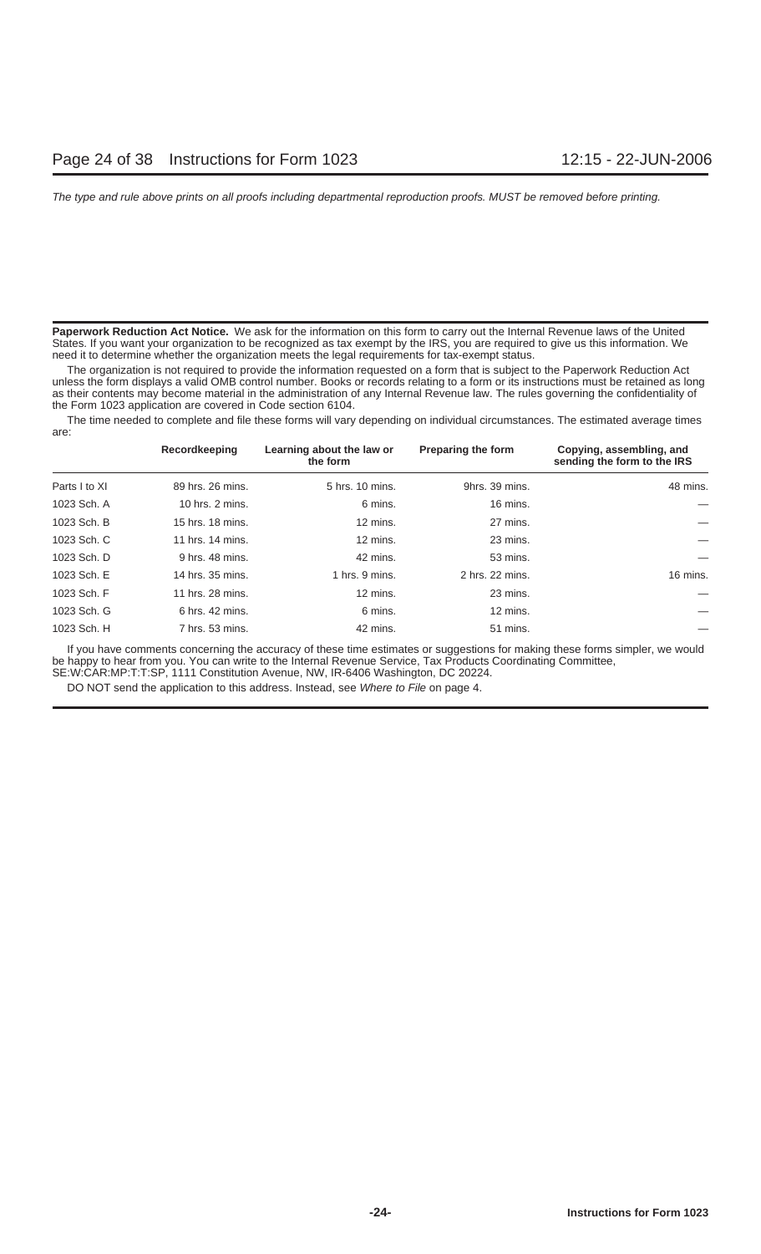**Paperwork Reduction Act Notice.** We ask for the information on this form to carry out the Internal Revenue laws of the United States. If you want your organization to be recognized as tax exempt by the IRS, you are required to give us this information. We need it to determine whether the organization meets the legal requirements for tax-exempt status.

The organization is not required to provide the information requested on a form that is subject to the Paperwork Reduction Act unless the form displays a valid OMB control number. Books or records relating to a form or its instructions must be retained as long as their contents may become material in the administration of any Internal Revenue law. The rules governing the confidentiality of the Form 1023 application are covered in Code section 6104.

The time needed to complete and file these forms will vary depending on individual circumstances. The estimated average times are:

|               | Recordkeeping    | Learning about the law or<br>the form | <b>Preparing the form</b> | Copying, assembling, and<br>sending the form to the IRS |
|---------------|------------------|---------------------------------------|---------------------------|---------------------------------------------------------|
| Parts I to XI | 89 hrs. 26 mins. | 5 hrs. 10 mins.                       | 9hrs. 39 mins.            | 48 mins.                                                |
| 1023 Sch. A   | 10 hrs. 2 mins.  | 6 mins.                               | 16 mins.                  |                                                         |
| 1023 Sch. B   | 15 hrs. 18 mins. | 12 mins.                              | 27 mins.                  |                                                         |
| 1023 Sch. C   | 11 hrs. 14 mins. | 12 mins.                              | 23 mins.                  |                                                         |
| 1023 Sch. D   | 9 hrs. 48 mins.  | 42 mins.                              | 53 mins.                  |                                                         |
| 1023 Sch. E   | 14 hrs. 35 mins. | 1 hrs. 9 mins.                        | 2 hrs. 22 mins.           | 16 mins.                                                |
| 1023 Sch. F   | 11 hrs. 28 mins. | 12 mins.                              | 23 mins.                  |                                                         |
| 1023 Sch. G   | 6 hrs. 42 mins.  | 6 mins.                               | 12 mins.                  |                                                         |
| 1023 Sch. H   | 7 hrs. 53 mins.  | 42 mins.                              | 51 mins.                  |                                                         |

If you have comments concerning the accuracy of these time estimates or suggestions for making these forms simpler, we would be happy to hear from you. You can write to the Internal Revenue Service, Tax Products Coordinating Committee, SE:W:CAR:MP:T:T:SP, 1111 Constitution Avenue, NW, IR-6406 Washington, DC 20224.

DO NOT send the application to this address. Instead, see Where to File on page 4.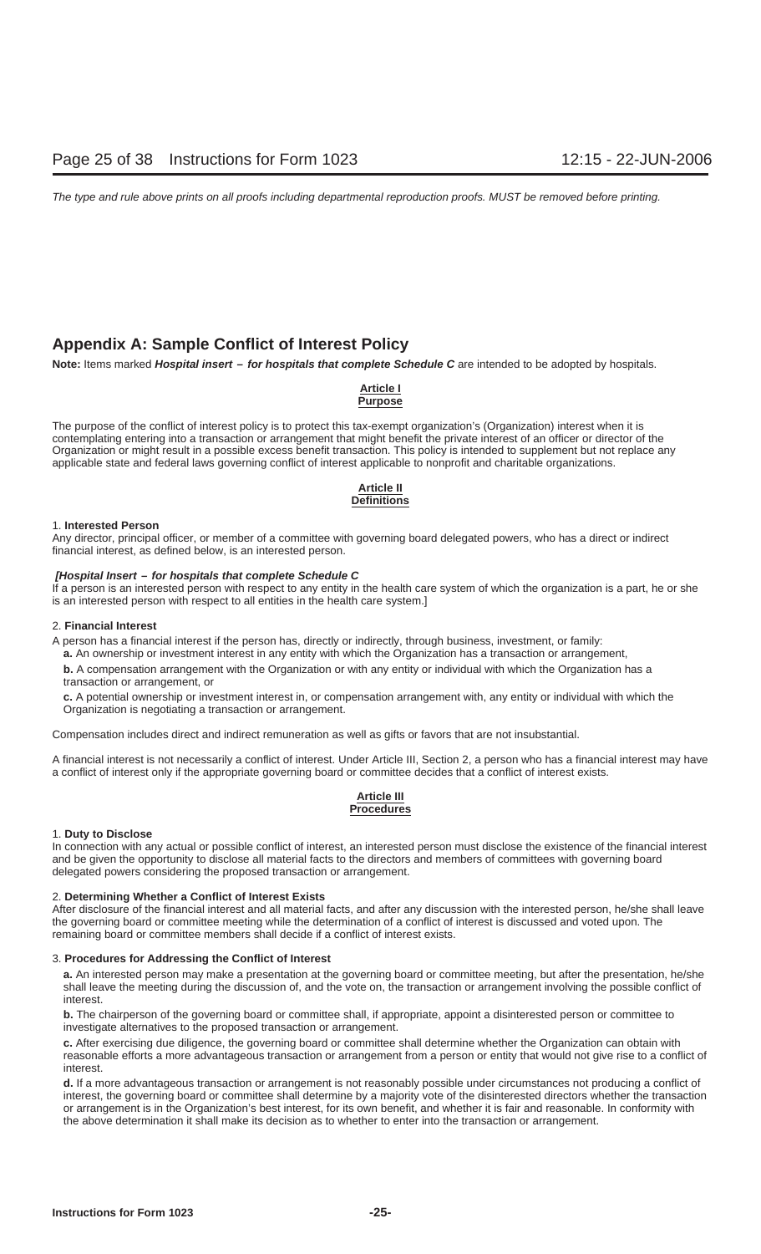### **Appendix A: Sample Conflict of Interest Policy**

**Note:** Items marked **Hospital insert – for hospitals that complete Schedule C** are intended to be adopted by hospitals.

### **Article I Purpose**

The purpose of the conflict of interest policy is to protect this tax-exempt organization's (Organization) interest when it is contemplating entering into a transaction or arrangement that might benefit the private interest of an officer or director of the Organization or might result in a possible excess benefit transaction. This policy is intended to supplement but not replace any applicable state and federal laws governing conflict of interest applicable to nonprofit and charitable organizations.

### **Article II Definitions**

### 1. **Interested Person**

Any director, principal officer, or member of a committee with governing board delegated powers, who has a direct or indirect financial interest, as defined below, is an interested person.

### **[Hospital Insert – for hospitals that complete Schedule C**

If a person is an interested person with respect to any entity in the health care system of which the organization is a part, he or she is an interested person with respect to all entities in the health care system.]

### 2. **Financial Interest**

A person has a financial interest if the person has, directly or indirectly, through business, investment, or family: **a.** An ownership or investment interest in any entity with which the Organization has a transaction or arrangement,

**b.** A compensation arrangement with the Organization or with any entity or individual with which the Organization has a transaction or arrangement, or

**c.** A potential ownership or investment interest in, or compensation arrangement with, any entity or individual with which the Organization is negotiating a transaction or arrangement.

Compensation includes direct and indirect remuneration as well as gifts or favors that are not insubstantial.

A financial interest is not necessarily a conflict of interest. Under Article III, Section 2, a person who has a financial interest may have a conflict of interest only if the appropriate governing board or committee decides that a conflict of interest exists.

### **Article III Procedures**

### 1. **Duty to Disclose**

In connection with any actual or possible conflict of interest, an interested person must disclose the existence of the financial interest and be given the opportunity to disclose all material facts to the directors and members of committees with governing board delegated powers considering the proposed transaction or arrangement.

### 2. **Determining Whether a Conflict of Interest Exists**

After disclosure of the financial interest and all material facts, and after any discussion with the interested person, he/she shall leave the governing board or committee meeting while the determination of a conflict of interest is discussed and voted upon. The remaining board or committee members shall decide if a conflict of interest exists.

### 3. **Procedures for Addressing the Conflict of Interest**

**a.** An interested person may make a presentation at the governing board or committee meeting, but after the presentation, he/she shall leave the meeting during the discussion of, and the vote on, the transaction or arrangement involving the possible conflict of interest.

**b.** The chairperson of the governing board or committee shall, if appropriate, appoint a disinterested person or committee to investigate alternatives to the proposed transaction or arrangement.

**c.** After exercising due diligence, the governing board or committee shall determine whether the Organization can obtain with reasonable efforts a more advantageous transaction or arrangement from a person or entity that would not give rise to a conflict of interest.

**d.** If a more advantageous transaction or arrangement is not reasonably possible under circumstances not producing a conflict of interest, the governing board or committee shall determine by a majority vote of the disinterested directors whether the transaction or arrangement is in the Organization's best interest, for its own benefit, and whether it is fair and reasonable. In conformity with the above determination it shall make its decision as to whether to enter into the transaction or arrangement.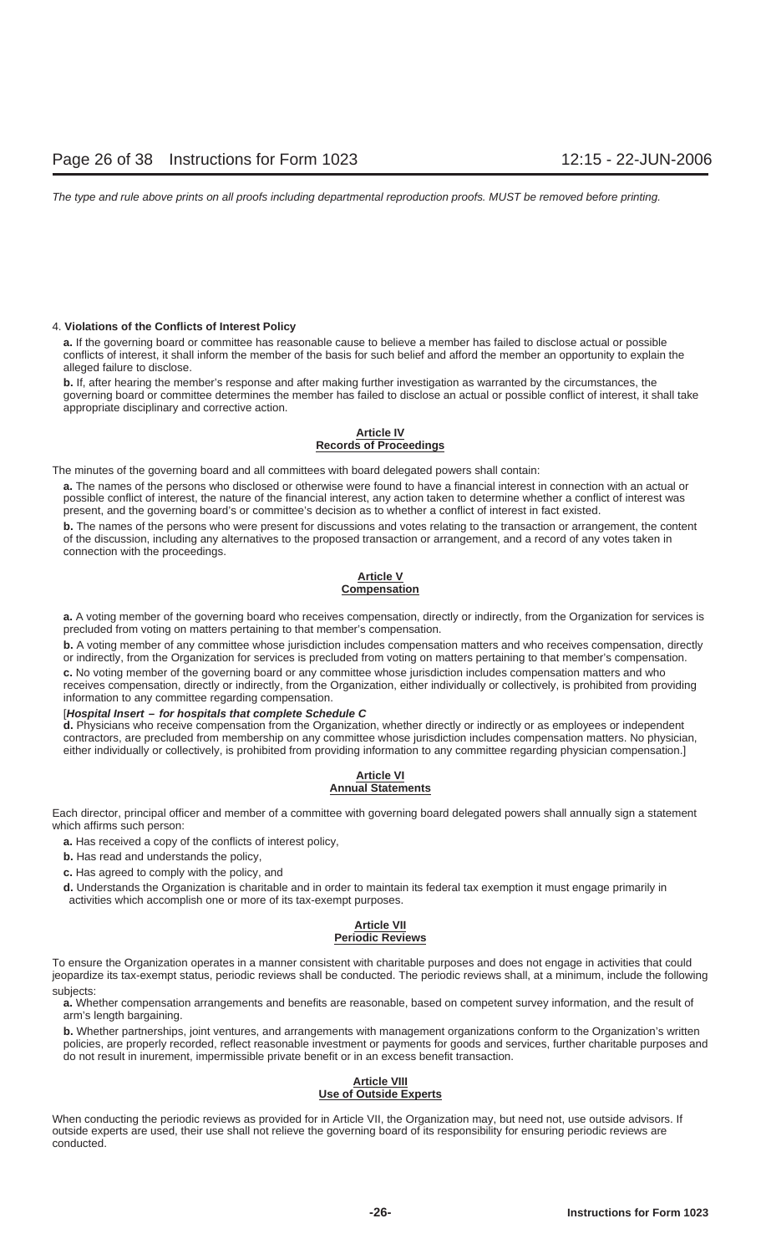### 4. **Violations of the Conflicts of Interest Policy**

**a.** If the governing board or committee has reasonable cause to believe a member has failed to disclose actual or possible conflicts of interest, it shall inform the member of the basis for such belief and afford the member an opportunity to explain the alleged failure to disclose.

**b.** If, after hearing the member's response and after making further investigation as warranted by the circumstances, the governing board or committee determines the member has failed to disclose an actual or possible conflict of interest, it shall take appropriate disciplinary and corrective action.

### **Article IV Records of Proceedings**

The minutes of the governing board and all committees with board delegated powers shall contain:

**a.** The names of the persons who disclosed or otherwise were found to have a financial interest in connection with an actual or possible conflict of interest, the nature of the financial interest, any action taken to determine whether a conflict of interest was present, and the governing board's or committee's decision as to whether a conflict of interest in fact existed.

**b.** The names of the persons who were present for discussions and votes relating to the transaction or arrangement, the content of the discussion, including any alternatives to the proposed transaction or arrangement, and a record of any votes taken in connection with the proceedings.

### **Article V Compensation**

**a.** A voting member of the governing board who receives compensation, directly or indirectly, from the Organization for services is precluded from voting on matters pertaining to that member's compensation.

**b.** A voting member of any committee whose jurisdiction includes compensation matters and who receives compensation, directly or indirectly, from the Organization for services is precluded from voting on matters pertaining to that member's compensation.

**c.** No voting member of the governing board or any committee whose jurisdiction includes compensation matters and who receives compensation, directly or indirectly, from the Organization, either individually or collectively, is prohibited from providing information to any committee regarding compensation.

### [**Hospital Insert – for hospitals that complete Schedule C**

**d.** Physicians who receive compensation from the Organization, whether directly or indirectly or as employees or independent contractors, are precluded from membership on any committee whose jurisdiction includes compensation matters. No physician, either individually or collectively, is prohibited from providing information to any committee regarding physician compensation.]

### **Article VI Annual Statements**

Each director, principal officer and member of a committee with governing board delegated powers shall annually sign a statement which affirms such person:

**a.** Has received a copy of the conflicts of interest policy,

**b.** Has read and understands the policy,

**c.** Has agreed to comply with the policy, and

**d.** Understands the Organization is charitable and in order to maintain its federal tax exemption it must engage primarily in activities which accomplish one or more of its tax-exempt purposes.

### **Article VII Periodic Reviews**

To ensure the Organization operates in a manner consistent with charitable purposes and does not engage in activities that could jeopardize its tax-exempt status, periodic reviews shall be conducted. The periodic reviews shall, at a minimum, include the following subjects:

**a.** Whether compensation arrangements and benefits are reasonable, based on competent survey information, and the result of arm's length bargaining.

**b.** Whether partnerships, joint ventures, and arrangements with management organizations conform to the Organization's written policies, are properly recorded, reflect reasonable investment or payments for goods and services, further charitable purposes and do not result in inurement, impermissible private benefit or in an excess benefit transaction.

### **Article VIII Use of Outside Experts**

When conducting the periodic reviews as provided for in Article VII, the Organization may, but need not, use outside advisors. If outside experts are used, their use shall not relieve the governing board of its responsibility for ensuring periodic reviews are conducted.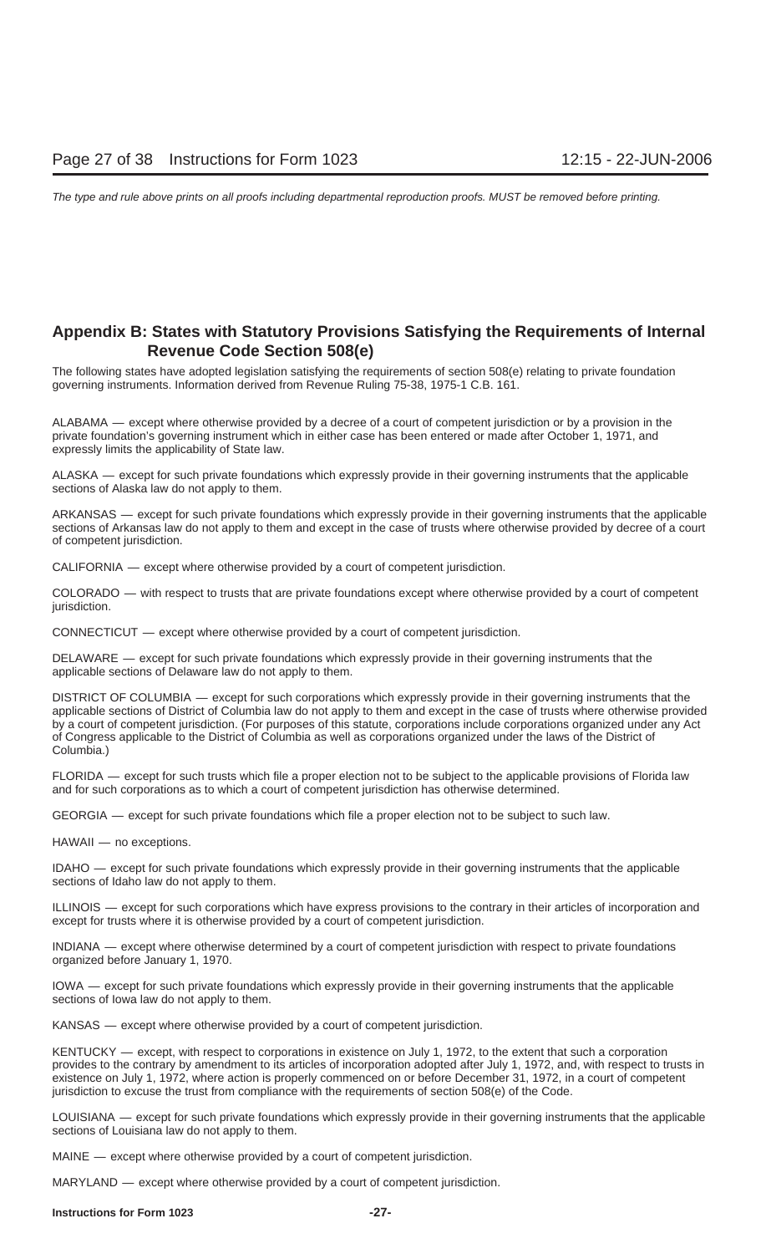### **Appendix B: States with Statutory Provisions Satisfying the Requirements of Internal Revenue Code Section 508(e)**

The following states have adopted legislation satisfying the requirements of section 508(e) relating to private foundation governing instruments. Information derived from Revenue Ruling 75-38, 1975-1 C.B. 161.

ALABAMA — except where otherwise provided by a decree of a court of competent jurisdiction or by a provision in the private foundation's governing instrument which in either case has been entered or made after October 1, 1971, and expressly limits the applicability of State law.

ALASKA — except for such private foundations which expressly provide in their governing instruments that the applicable sections of Alaska law do not apply to them.

ARKANSAS — except for such private foundations which expressly provide in their governing instruments that the applicable sections of Arkansas law do not apply to them and except in the case of trusts where otherwise provided by decree of a court of competent jurisdiction.

CALIFORNIA — except where otherwise provided by a court of competent jurisdiction.

COLORADO — with respect to trusts that are private foundations except where otherwise provided by a court of competent jurisdiction.

CONNECTICUT — except where otherwise provided by a court of competent jurisdiction.

DELAWARE — except for such private foundations which expressly provide in their governing instruments that the applicable sections of Delaware law do not apply to them.

DISTRICT OF COLUMBIA — except for such corporations which expressly provide in their governing instruments that the applicable sections of District of Columbia law do not apply to them and except in the case of trusts where otherwise provided by a court of competent jurisdiction. (For purposes of this statute, corporations include corporations organized under any Act of Congress applicable to the District of Columbia as well as corporations organized under the laws of the District of Columbia.)

FLORIDA — except for such trusts which file a proper election not to be subject to the applicable provisions of Florida law and for such corporations as to which a court of competent jurisdiction has otherwise determined.

GEORGIA — except for such private foundations which file a proper election not to be subject to such law.

HAWAII — no exceptions.

IDAHO — except for such private foundations which expressly provide in their governing instruments that the applicable sections of Idaho law do not apply to them.

ILLINOIS — except for such corporations which have express provisions to the contrary in their articles of incorporation and except for trusts where it is otherwise provided by a court of competent jurisdiction.

INDIANA — except where otherwise determined by a court of competent jurisdiction with respect to private foundations organized before January 1, 1970.

IOWA — except for such private foundations which expressly provide in their governing instruments that the applicable sections of Iowa law do not apply to them.

KANSAS — except where otherwise provided by a court of competent jurisdiction.

KENTUCKY — except, with respect to corporations in existence on July 1, 1972, to the extent that such a corporation provides to the contrary by amendment to its articles of incorporation adopted after July 1, 1972, and, with respect to trusts in existence on July 1, 1972, where action is properly commenced on or before December 31, 1972, in a court of competent jurisdiction to excuse the trust from compliance with the requirements of section 508(e) of the Code.

LOUISIANA — except for such private foundations which expressly provide in their governing instruments that the applicable sections of Louisiana law do not apply to them.

MAINE — except where otherwise provided by a court of competent jurisdiction.

MARYLAND — except where otherwise provided by a court of competent jurisdiction.

### **Instructions for Form 1023 -27-**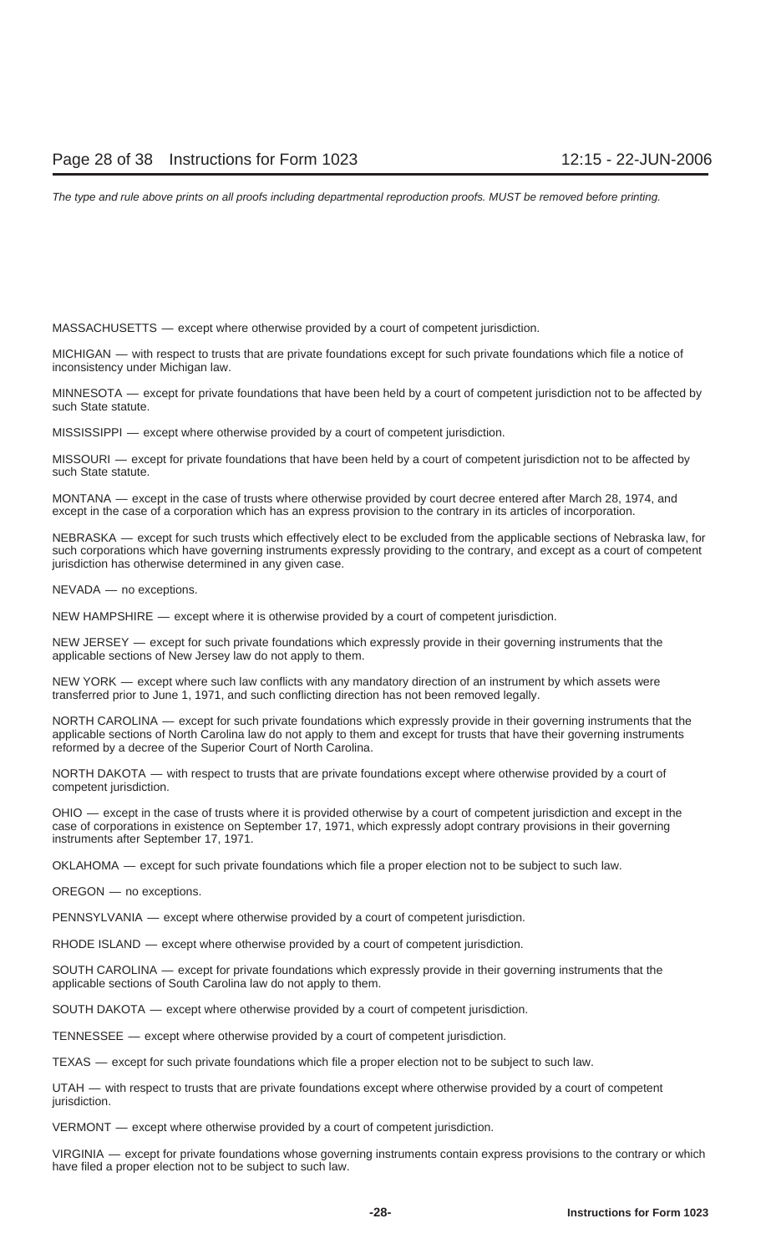MASSACHUSETTS — except where otherwise provided by a court of competent jurisdiction.

MICHIGAN — with respect to trusts that are private foundations except for such private foundations which file a notice of inconsistency under Michigan law.

MINNESOTA — except for private foundations that have been held by a court of competent jurisdiction not to be affected by such State statute.

MISSISSIPPI — except where otherwise provided by a court of competent jurisdiction.

MISSOURI — except for private foundations that have been held by a court of competent jurisdiction not to be affected by such State statute.

MONTANA — except in the case of trusts where otherwise provided by court decree entered after March 28, 1974, and except in the case of a corporation which has an express provision to the contrary in its articles of incorporation.

NEBRASKA — except for such trusts which effectively elect to be excluded from the applicable sections of Nebraska law, for such corporations which have governing instruments expressly providing to the contrary, and except as a court of competent jurisdiction has otherwise determined in any given case.

NEVADA — no exceptions.

NEW HAMPSHIRE — except where it is otherwise provided by a court of competent jurisdiction.

NEW JERSEY — except for such private foundations which expressly provide in their governing instruments that the applicable sections of New Jersey law do not apply to them.

NEW YORK — except where such law conflicts with any mandatory direction of an instrument by which assets were transferred prior to June 1, 1971, and such conflicting direction has not been removed legally.

NORTH CAROLINA — except for such private foundations which expressly provide in their governing instruments that the applicable sections of North Carolina law do not apply to them and except for trusts that have their governing instruments reformed by a decree of the Superior Court of North Carolina.

NORTH DAKOTA — with respect to trusts that are private foundations except where otherwise provided by a court of competent jurisdiction.

OHIO — except in the case of trusts where it is provided otherwise by a court of competent jurisdiction and except in the case of corporations in existence on September 17, 1971, which expressly adopt contrary provisions in their governing instruments after September 17, 1971.

OKLAHOMA — except for such private foundations which file a proper election not to be subject to such law.

OREGON — no exceptions.

PENNSYLVANIA — except where otherwise provided by a court of competent jurisdiction.

RHODE ISLAND — except where otherwise provided by a court of competent jurisdiction.

SOUTH CAROLINA — except for private foundations which expressly provide in their governing instruments that the applicable sections of South Carolina law do not apply to them.

SOUTH DAKOTA — except where otherwise provided by a court of competent jurisdiction.

TENNESSEE — except where otherwise provided by a court of competent jurisdiction.

TEXAS — except for such private foundations which file a proper election not to be subject to such law.

UTAH — with respect to trusts that are private foundations except where otherwise provided by a court of competent jurisdiction.

VERMONT — except where otherwise provided by a court of competent jurisdiction.

VIRGINIA — except for private foundations whose governing instruments contain express provisions to the contrary or which have filed a proper election not to be subject to such law.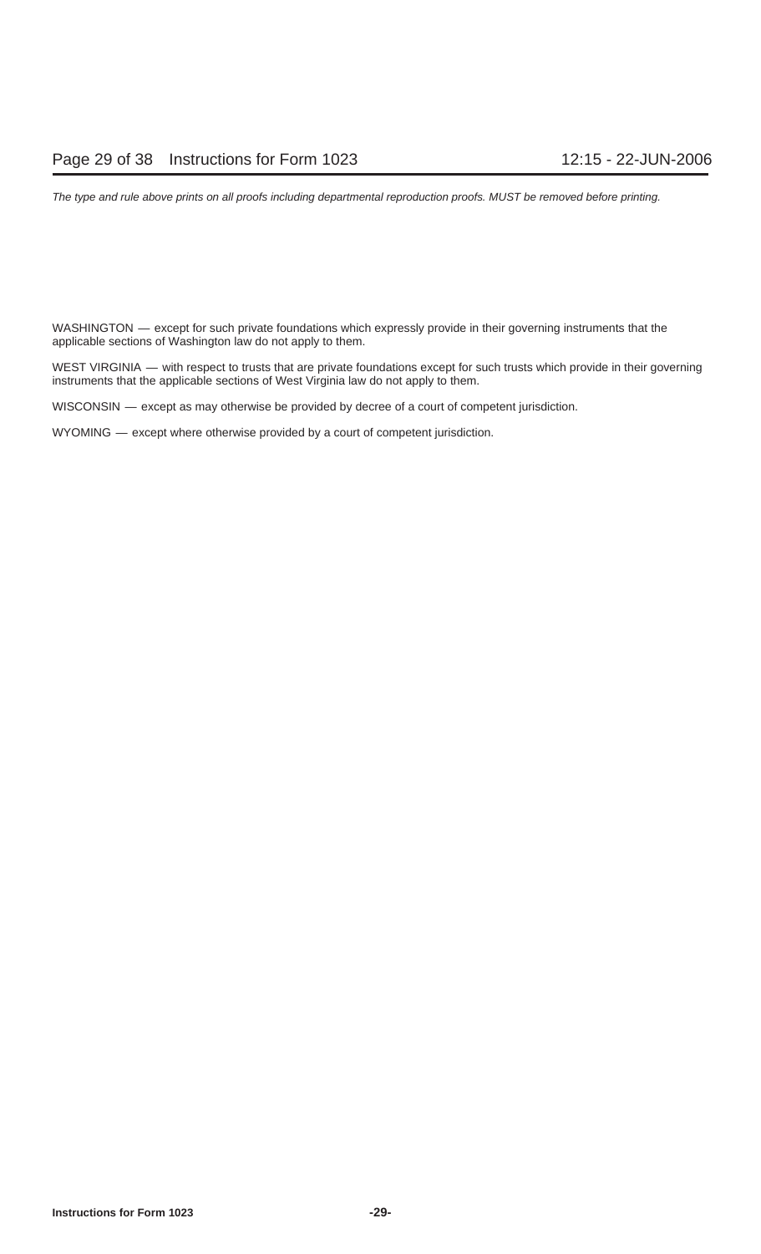WASHINGTON — except for such private foundations which expressly provide in their governing instruments that the applicable sections of Washington law do not apply to them.

WEST VIRGINIA — with respect to trusts that are private foundations except for such trusts which provide in their governing instruments that the applicable sections of West Virginia law do not apply to them.

WISCONSIN — except as may otherwise be provided by decree of a court of competent jurisdiction.

WYOMING — except where otherwise provided by a court of competent jurisdiction.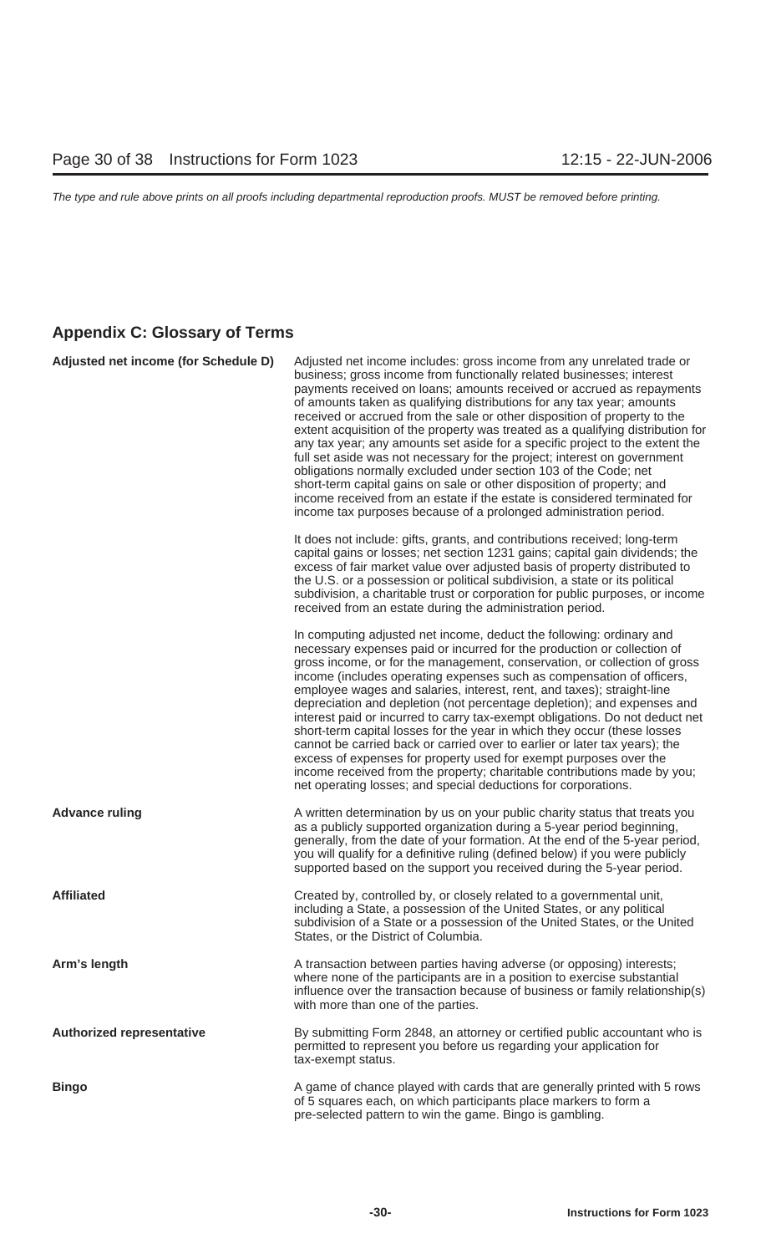### **Appendix C: Glossary of Terms**

| Adjusted net income (for Schedule D) | Adjusted net income includes: gross income from any unrelated trade or<br>business; gross income from functionally related businesses; interest<br>payments received on loans; amounts received or accrued as repayments<br>of amounts taken as qualifying distributions for any tax year; amounts<br>received or accrued from the sale or other disposition of property to the<br>extent acquisition of the property was treated as a qualifying distribution for<br>any tax year; any amounts set aside for a specific project to the extent the<br>full set aside was not necessary for the project; interest on government<br>obligations normally excluded under section 103 of the Code; net<br>short-term capital gains on sale or other disposition of property; and<br>income received from an estate if the estate is considered terminated for<br>income tax purposes because of a prolonged administration period. |
|--------------------------------------|--------------------------------------------------------------------------------------------------------------------------------------------------------------------------------------------------------------------------------------------------------------------------------------------------------------------------------------------------------------------------------------------------------------------------------------------------------------------------------------------------------------------------------------------------------------------------------------------------------------------------------------------------------------------------------------------------------------------------------------------------------------------------------------------------------------------------------------------------------------------------------------------------------------------------------|
|                                      | It does not include: gifts, grants, and contributions received; long-term<br>capital gains or losses; net section 1231 gains; capital gain dividends; the<br>excess of fair market value over adjusted basis of property distributed to<br>the U.S. or a possession or political subdivision, a state or its political<br>subdivision, a charitable trust or corporation for public purposes, or income<br>received from an estate during the administration period.                                                                                                                                                                                                                                                                                                                                                                                                                                                           |
|                                      | In computing adjusted net income, deduct the following: ordinary and<br>necessary expenses paid or incurred for the production or collection of<br>gross income, or for the management, conservation, or collection of gross<br>income (includes operating expenses such as compensation of officers,<br>employee wages and salaries, interest, rent, and taxes); straight-line<br>depreciation and depletion (not percentage depletion); and expenses and<br>interest paid or incurred to carry tax-exempt obligations. Do not deduct net<br>short-term capital losses for the year in which they occur (these losses<br>cannot be carried back or carried over to earlier or later tax years); the<br>excess of expenses for property used for exempt purposes over the<br>income received from the property; charitable contributions made by you;<br>net operating losses; and special deductions for corporations.        |
| <b>Advance ruling</b>                | A written determination by us on your public charity status that treats you<br>as a publicly supported organization during a 5-year period beginning,<br>generally, from the date of your formation. At the end of the 5-year period,<br>you will qualify for a definitive ruling (defined below) if you were publicly<br>supported based on the support you received during the 5-year period.                                                                                                                                                                                                                                                                                                                                                                                                                                                                                                                                |
| <b>Affiliated</b>                    | Created by, controlled by, or closely related to a governmental unit,<br>including a State, a possession of the United States, or any political<br>subdivision of a State or a possession of the United States, or the United<br>States, or the District of Columbia.                                                                                                                                                                                                                                                                                                                                                                                                                                                                                                                                                                                                                                                          |
| Arm's length                         | A transaction between parties having adverse (or opposing) interests;<br>where none of the participants are in a position to exercise substantial<br>influence over the transaction because of business or family relationship(s)<br>with more than one of the parties.                                                                                                                                                                                                                                                                                                                                                                                                                                                                                                                                                                                                                                                        |
| <b>Authorized representative</b>     | By submitting Form 2848, an attorney or certified public accountant who is<br>permitted to represent you before us regarding your application for<br>tax-exempt status.                                                                                                                                                                                                                                                                                                                                                                                                                                                                                                                                                                                                                                                                                                                                                        |
| <b>Bingo</b>                         | A game of chance played with cards that are generally printed with 5 rows<br>of 5 squares each, on which participants place markers to form a<br>pre-selected pattern to win the game. Bingo is gambling.                                                                                                                                                                                                                                                                                                                                                                                                                                                                                                                                                                                                                                                                                                                      |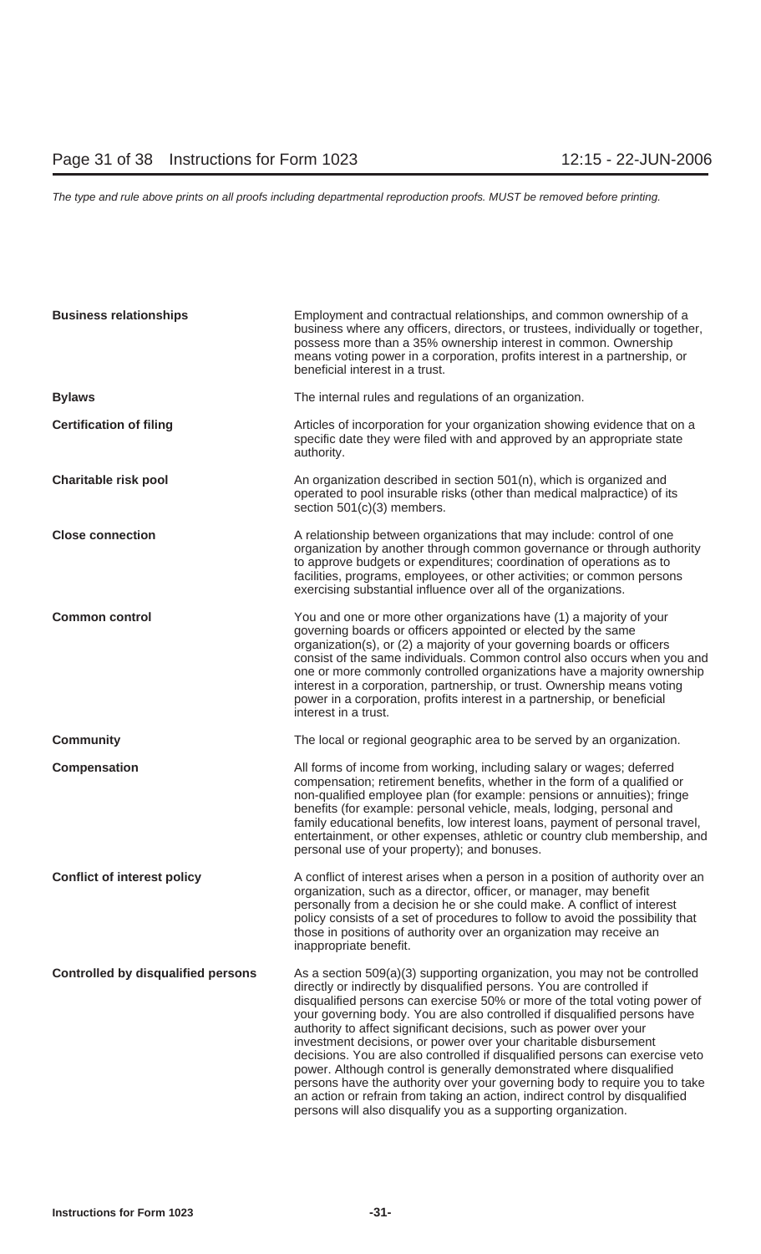| <b>Business relationships</b>             | Employment and contractual relationships, and common ownership of a<br>business where any officers, directors, or trustees, individually or together,<br>possess more than a 35% ownership interest in common. Ownership<br>means voting power in a corporation, profits interest in a partnership, or<br>beneficial interest in a trust.                                                                                                                                                                                                                                                                                                                                                                                                                                                                                                       |
|-------------------------------------------|-------------------------------------------------------------------------------------------------------------------------------------------------------------------------------------------------------------------------------------------------------------------------------------------------------------------------------------------------------------------------------------------------------------------------------------------------------------------------------------------------------------------------------------------------------------------------------------------------------------------------------------------------------------------------------------------------------------------------------------------------------------------------------------------------------------------------------------------------|
| <b>Bylaws</b>                             | The internal rules and regulations of an organization.                                                                                                                                                                                                                                                                                                                                                                                                                                                                                                                                                                                                                                                                                                                                                                                          |
| <b>Certification of filing</b>            | Articles of incorporation for your organization showing evidence that on a<br>specific date they were filed with and approved by an appropriate state<br>authority.                                                                                                                                                                                                                                                                                                                                                                                                                                                                                                                                                                                                                                                                             |
| <b>Charitable risk pool</b>               | An organization described in section 501(n), which is organized and<br>operated to pool insurable risks (other than medical malpractice) of its<br>section 501(c)(3) members.                                                                                                                                                                                                                                                                                                                                                                                                                                                                                                                                                                                                                                                                   |
| <b>Close connection</b>                   | A relationship between organizations that may include: control of one<br>organization by another through common governance or through authority<br>to approve budgets or expenditures; coordination of operations as to<br>facilities, programs, employees, or other activities; or common persons<br>exercising substantial influence over all of the organizations.                                                                                                                                                                                                                                                                                                                                                                                                                                                                           |
| <b>Common control</b>                     | You and one or more other organizations have (1) a majority of your<br>governing boards or officers appointed or elected by the same<br>organization(s), or (2) a majority of your governing boards or officers<br>consist of the same individuals. Common control also occurs when you and<br>one or more commonly controlled organizations have a majority ownership<br>interest in a corporation, partnership, or trust. Ownership means voting<br>power in a corporation, profits interest in a partnership, or beneficial<br>interest in a trust.                                                                                                                                                                                                                                                                                          |
| <b>Community</b>                          | The local or regional geographic area to be served by an organization.                                                                                                                                                                                                                                                                                                                                                                                                                                                                                                                                                                                                                                                                                                                                                                          |
| <b>Compensation</b>                       | All forms of income from working, including salary or wages; deferred<br>compensation; retirement benefits, whether in the form of a qualified or<br>non-qualified employee plan (for example: pensions or annuities); fringe<br>benefits (for example: personal vehicle, meals, lodging, personal and<br>family educational benefits, low interest loans, payment of personal travel,<br>entertainment, or other expenses, athletic or country club membership, and<br>personal use of your property); and bonuses.                                                                                                                                                                                                                                                                                                                            |
| <b>Conflict of interest policy</b>        | A conflict of interest arises when a person in a position of authority over an<br>organization, such as a director, officer, or manager, may benefit<br>personally from a decision he or she could make. A conflict of interest<br>policy consists of a set of procedures to follow to avoid the possibility that<br>those in positions of authority over an organization may receive an<br>inappropriate benefit.                                                                                                                                                                                                                                                                                                                                                                                                                              |
| <b>Controlled by disqualified persons</b> | As a section 509(a)(3) supporting organization, you may not be controlled<br>directly or indirectly by disqualified persons. You are controlled if<br>disqualified persons can exercise 50% or more of the total voting power of<br>your governing body. You are also controlled if disqualified persons have<br>authority to affect significant decisions, such as power over your<br>investment decisions, or power over your charitable disbursement<br>decisions. You are also controlled if disqualified persons can exercise veto<br>power. Although control is generally demonstrated where disqualified<br>persons have the authority over your governing body to require you to take<br>an action or refrain from taking an action, indirect control by disqualified<br>persons will also disqualify you as a supporting organization. |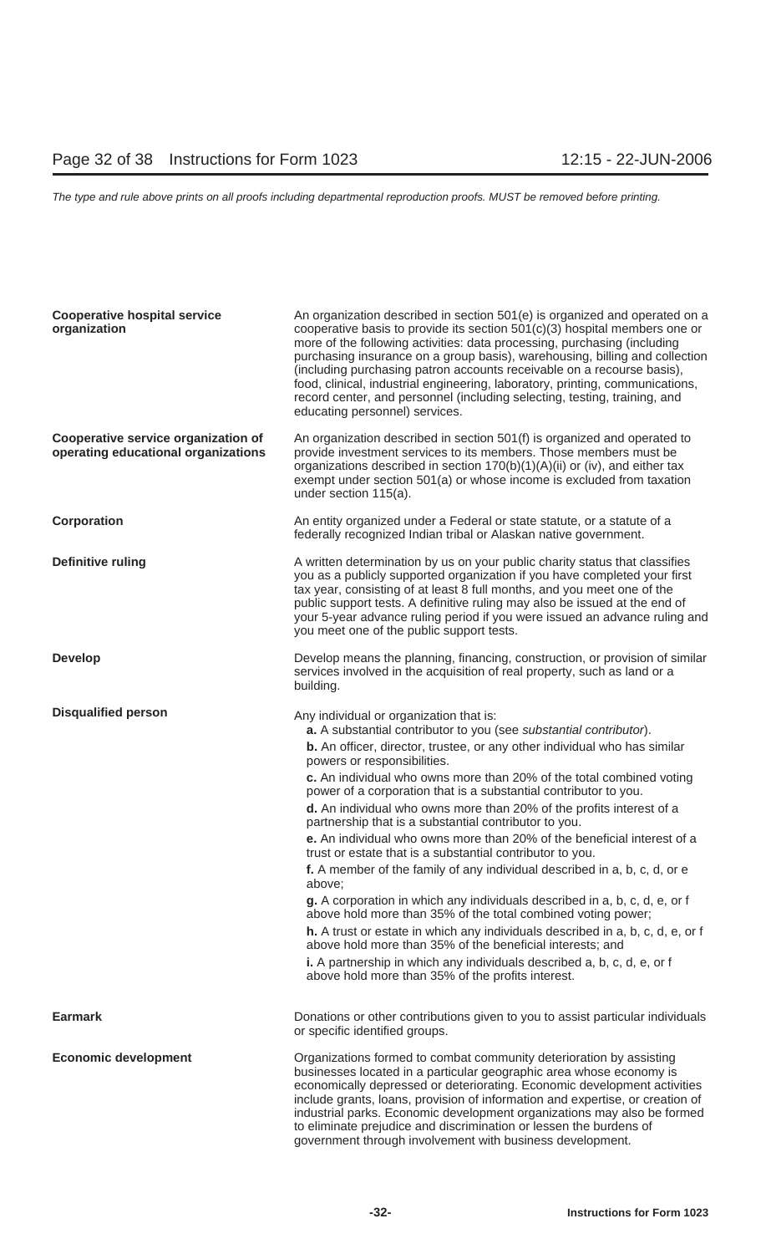| <b>Cooperative hospital service</b><br>organization                        | An organization described in section 501(e) is organized and operated on a<br>cooperative basis to provide its section $501(c)(3)$ hospital members one or<br>more of the following activities: data processing, purchasing (including<br>purchasing insurance on a group basis), warehousing, billing and collection<br>(including purchasing patron accounts receivable on a recourse basis),<br>food, clinical, industrial engineering, laboratory, printing, communications,<br>record center, and personnel (including selecting, testing, training, and<br>educating personnel) services.                                                                                                                                                                                                                                                                                                                                                                                                                                                                                                                                                                           |
|----------------------------------------------------------------------------|---------------------------------------------------------------------------------------------------------------------------------------------------------------------------------------------------------------------------------------------------------------------------------------------------------------------------------------------------------------------------------------------------------------------------------------------------------------------------------------------------------------------------------------------------------------------------------------------------------------------------------------------------------------------------------------------------------------------------------------------------------------------------------------------------------------------------------------------------------------------------------------------------------------------------------------------------------------------------------------------------------------------------------------------------------------------------------------------------------------------------------------------------------------------------|
| Cooperative service organization of<br>operating educational organizations | An organization described in section 501(f) is organized and operated to<br>provide investment services to its members. Those members must be<br>organizations described in section 170(b)(1)(A)(ii) or (iv), and either tax<br>exempt under section 501(a) or whose income is excluded from taxation<br>under section 115(a).                                                                                                                                                                                                                                                                                                                                                                                                                                                                                                                                                                                                                                                                                                                                                                                                                                            |
| Corporation                                                                | An entity organized under a Federal or state statute, or a statute of a<br>federally recognized Indian tribal or Alaskan native government.                                                                                                                                                                                                                                                                                                                                                                                                                                                                                                                                                                                                                                                                                                                                                                                                                                                                                                                                                                                                                               |
| Definitive ruling                                                          | A written determination by us on your public charity status that classifies<br>you as a publicly supported organization if you have completed your first<br>tax year, consisting of at least 8 full months, and you meet one of the<br>public support tests. A definitive ruling may also be issued at the end of<br>your 5-year advance ruling period if you were issued an advance ruling and<br>you meet one of the public support tests.                                                                                                                                                                                                                                                                                                                                                                                                                                                                                                                                                                                                                                                                                                                              |
| <b>Develop</b>                                                             | Develop means the planning, financing, construction, or provision of similar<br>services involved in the acquisition of real property, such as land or a<br>building.                                                                                                                                                                                                                                                                                                                                                                                                                                                                                                                                                                                                                                                                                                                                                                                                                                                                                                                                                                                                     |
| <b>Disqualified person</b>                                                 | Any individual or organization that is:<br>a. A substantial contributor to you (see substantial contributor).<br><b>b.</b> An officer, director, trustee, or any other individual who has similar<br>powers or responsibilities.<br>c. An individual who owns more than 20% of the total combined voting<br>power of a corporation that is a substantial contributor to you.<br>d. An individual who owns more than 20% of the profits interest of a<br>partnership that is a substantial contributor to you.<br>e. An individual who owns more than 20% of the beneficial interest of a<br>trust or estate that is a substantial contributor to you.<br>f. A member of the family of any individual described in a, b, c, d, or e<br>above;<br>g. A corporation in which any individuals described in a, b, c, d, e, or f<br>above hold more than 35% of the total combined voting power;<br>h. A trust or estate in which any individuals described in a, b, c, d, e, or f<br>above hold more than 35% of the beneficial interests; and<br>i. A partnership in which any individuals described a, b, c, d, e, or f<br>above hold more than 35% of the profits interest. |
| <b>Earmark</b>                                                             | Donations or other contributions given to you to assist particular individuals<br>or specific identified groups.                                                                                                                                                                                                                                                                                                                                                                                                                                                                                                                                                                                                                                                                                                                                                                                                                                                                                                                                                                                                                                                          |
| <b>Economic development</b>                                                | Organizations formed to combat community deterioration by assisting<br>businesses located in a particular geographic area whose economy is<br>economically depressed or deteriorating. Economic development activities<br>include grants, loans, provision of information and expertise, or creation of<br>industrial parks. Economic development organizations may also be formed<br>to eliminate prejudice and discrimination or lessen the burdens of<br>government through involvement with business development.                                                                                                                                                                                                                                                                                                                                                                                                                                                                                                                                                                                                                                                     |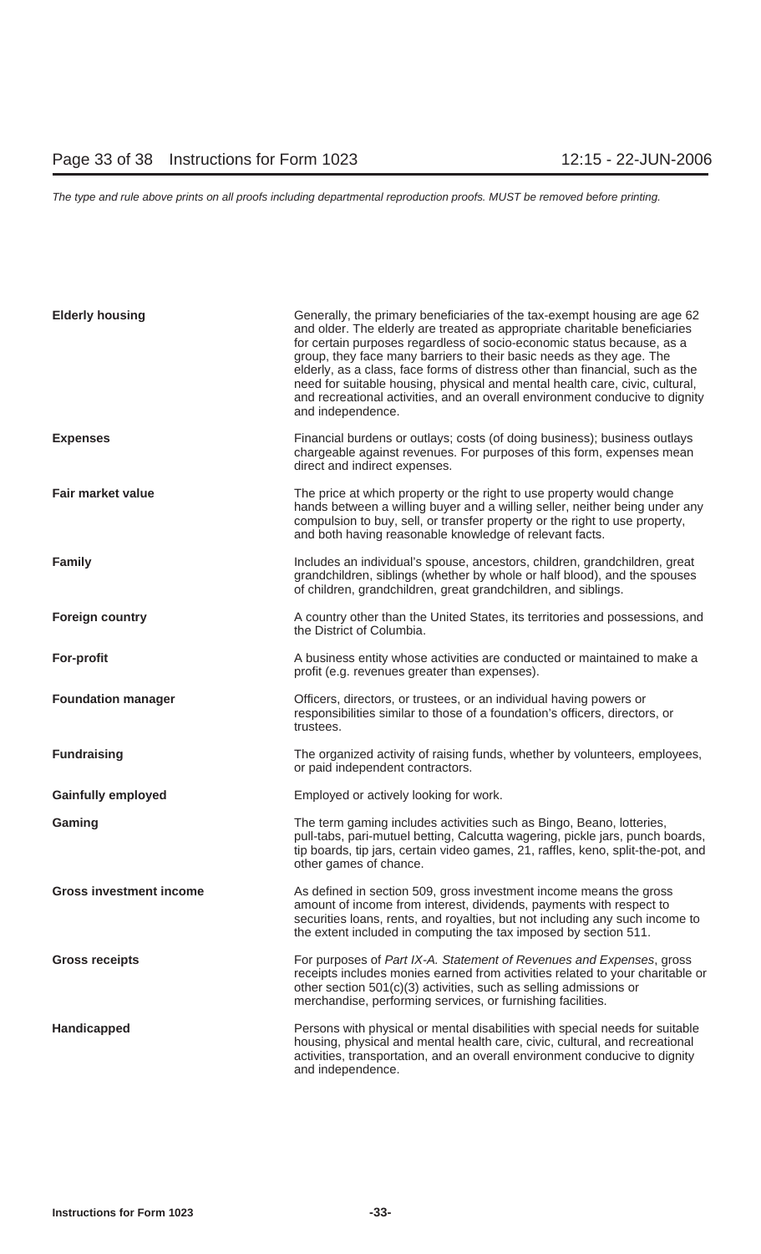| <b>Elderly housing</b>         | Generally, the primary beneficiaries of the tax-exempt housing are age 62<br>and older. The elderly are treated as appropriate charitable beneficiaries<br>for certain purposes regardless of socio-economic status because, as a<br>group, they face many barriers to their basic needs as they age. The<br>elderly, as a class, face forms of distress other than financial, such as the<br>need for suitable housing, physical and mental health care, civic, cultural,<br>and recreational activities, and an overall environment conducive to dignity<br>and independence. |
|--------------------------------|---------------------------------------------------------------------------------------------------------------------------------------------------------------------------------------------------------------------------------------------------------------------------------------------------------------------------------------------------------------------------------------------------------------------------------------------------------------------------------------------------------------------------------------------------------------------------------|
| <b>Expenses</b>                | Financial burdens or outlays; costs (of doing business); business outlays<br>chargeable against revenues. For purposes of this form, expenses mean<br>direct and indirect expenses.                                                                                                                                                                                                                                                                                                                                                                                             |
| <b>Fair market value</b>       | The price at which property or the right to use property would change<br>hands between a willing buyer and a willing seller, neither being under any<br>compulsion to buy, sell, or transfer property or the right to use property,<br>and both having reasonable knowledge of relevant facts.                                                                                                                                                                                                                                                                                  |
| <b>Family</b>                  | Includes an individual's spouse, ancestors, children, grandchildren, great<br>grandchildren, siblings (whether by whole or half blood), and the spouses<br>of children, grandchildren, great grandchildren, and siblings.                                                                                                                                                                                                                                                                                                                                                       |
| <b>Foreign country</b>         | A country other than the United States, its territories and possessions, and<br>the District of Columbia.                                                                                                                                                                                                                                                                                                                                                                                                                                                                       |
| For-profit                     | A business entity whose activities are conducted or maintained to make a<br>profit (e.g. revenues greater than expenses).                                                                                                                                                                                                                                                                                                                                                                                                                                                       |
| <b>Foundation manager</b>      | Officers, directors, or trustees, or an individual having powers or<br>responsibilities similar to those of a foundation's officers, directors, or<br>trustees.                                                                                                                                                                                                                                                                                                                                                                                                                 |
| <b>Fundraising</b>             | The organized activity of raising funds, whether by volunteers, employees,<br>or paid independent contractors.                                                                                                                                                                                                                                                                                                                                                                                                                                                                  |
| <b>Gainfully employed</b>      | Employed or actively looking for work.                                                                                                                                                                                                                                                                                                                                                                                                                                                                                                                                          |
| Gaming                         | The term gaming includes activities such as Bingo, Beano, lotteries,<br>pull-tabs, pari-mutuel betting, Calcutta wagering, pickle jars, punch boards,<br>tip boards, tip jars, certain video games, 21, raffles, keno, split-the-pot, and<br>other games of chance.                                                                                                                                                                                                                                                                                                             |
| <b>Gross investment income</b> | As defined in section 509, gross investment income means the gross<br>amount of income from interest, dividends, payments with respect to<br>securities loans, rents, and royalties, but not including any such income to<br>the extent included in computing the tax imposed by section 511.                                                                                                                                                                                                                                                                                   |
| <b>Gross receipts</b>          | For purposes of Part IX-A. Statement of Revenues and Expenses, gross<br>receipts includes monies earned from activities related to your charitable or<br>other section 501(c)(3) activities, such as selling admissions or<br>merchandise, performing services, or furnishing facilities.                                                                                                                                                                                                                                                                                       |
| Handicapped                    | Persons with physical or mental disabilities with special needs for suitable<br>housing, physical and mental health care, civic, cultural, and recreational<br>activities, transportation, and an overall environment conducive to dignity<br>and independence.                                                                                                                                                                                                                                                                                                                 |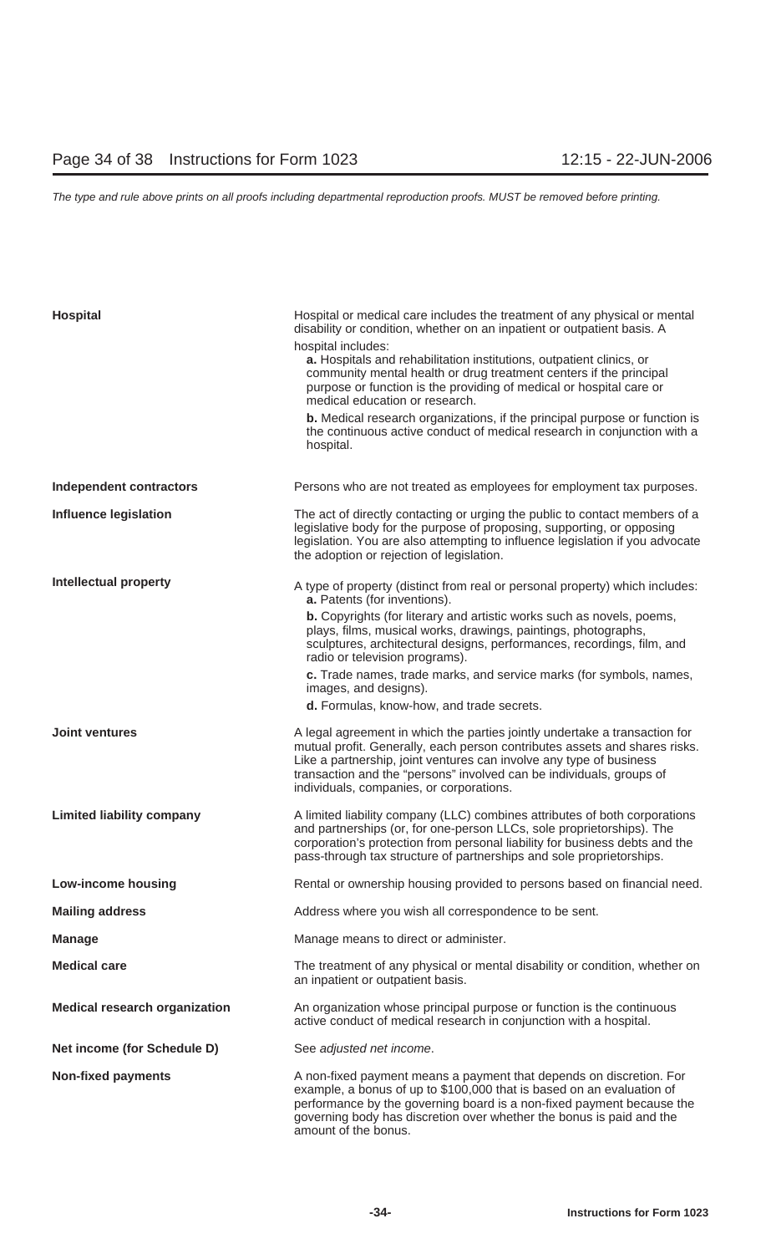| Hospital                             | Hospital or medical care includes the treatment of any physical or mental<br>disability or condition, whether on an inpatient or outpatient basis. A                                                                                                                                                                                                |
|--------------------------------------|-----------------------------------------------------------------------------------------------------------------------------------------------------------------------------------------------------------------------------------------------------------------------------------------------------------------------------------------------------|
|                                      | hospital includes:<br>a. Hospitals and rehabilitation institutions, outpatient clinics, or<br>community mental health or drug treatment centers if the principal<br>purpose or function is the providing of medical or hospital care or<br>medical education or research.                                                                           |
|                                      | b. Medical research organizations, if the principal purpose or function is<br>the continuous active conduct of medical research in conjunction with a<br>hospital.                                                                                                                                                                                  |
| <b>Independent contractors</b>       | Persons who are not treated as employees for employment tax purposes.                                                                                                                                                                                                                                                                               |
| <b>Influence legislation</b>         | The act of directly contacting or urging the public to contact members of a<br>legislative body for the purpose of proposing, supporting, or opposing<br>legislation. You are also attempting to influence legislation if you advocate<br>the adoption or rejection of legislation.                                                                 |
| <b>Intellectual property</b>         | A type of property (distinct from real or personal property) which includes:<br>a. Patents (for inventions).                                                                                                                                                                                                                                        |
|                                      | <b>b.</b> Copyrights (for literary and artistic works such as novels, poems,<br>plays, films, musical works, drawings, paintings, photographs,<br>sculptures, architectural designs, performances, recordings, film, and<br>radio or television programs).                                                                                          |
|                                      | c. Trade names, trade marks, and service marks (for symbols, names,<br>images, and designs).<br>d. Formulas, know-how, and trade secrets.                                                                                                                                                                                                           |
| <b>Joint ventures</b>                |                                                                                                                                                                                                                                                                                                                                                     |
|                                      | A legal agreement in which the parties jointly undertake a transaction for<br>mutual profit. Generally, each person contributes assets and shares risks.<br>Like a partnership, joint ventures can involve any type of business<br>transaction and the "persons" involved can be individuals, groups of<br>individuals, companies, or corporations. |
| <b>Limited liability company</b>     | A limited liability company (LLC) combines attributes of both corporations<br>and partnerships (or, for one-person LLCs, sole proprietorships). The<br>corporation's protection from personal liability for business debts and the<br>pass-through tax structure of partnerships and sole proprietorships.                                          |
| <b>Low-income housing</b>            | Rental or ownership housing provided to persons based on financial need.                                                                                                                                                                                                                                                                            |
| <b>Mailing address</b>               | Address where you wish all correspondence to be sent.                                                                                                                                                                                                                                                                                               |
| <b>Manage</b>                        | Manage means to direct or administer.                                                                                                                                                                                                                                                                                                               |
| <b>Medical care</b>                  | The treatment of any physical or mental disability or condition, whether on<br>an inpatient or outpatient basis.                                                                                                                                                                                                                                    |
| <b>Medical research organization</b> | An organization whose principal purpose or function is the continuous<br>active conduct of medical research in conjunction with a hospital.                                                                                                                                                                                                         |
| Net income (for Schedule D)          | See adjusted net income.                                                                                                                                                                                                                                                                                                                            |
| <b>Non-fixed payments</b>            | A non-fixed payment means a payment that depends on discretion. For<br>example, a bonus of up to \$100,000 that is based on an evaluation of<br>performance by the governing board is a non-fixed payment because the<br>governing body has discretion over whether the bonus is paid and the                                                       |

amount of the bonus.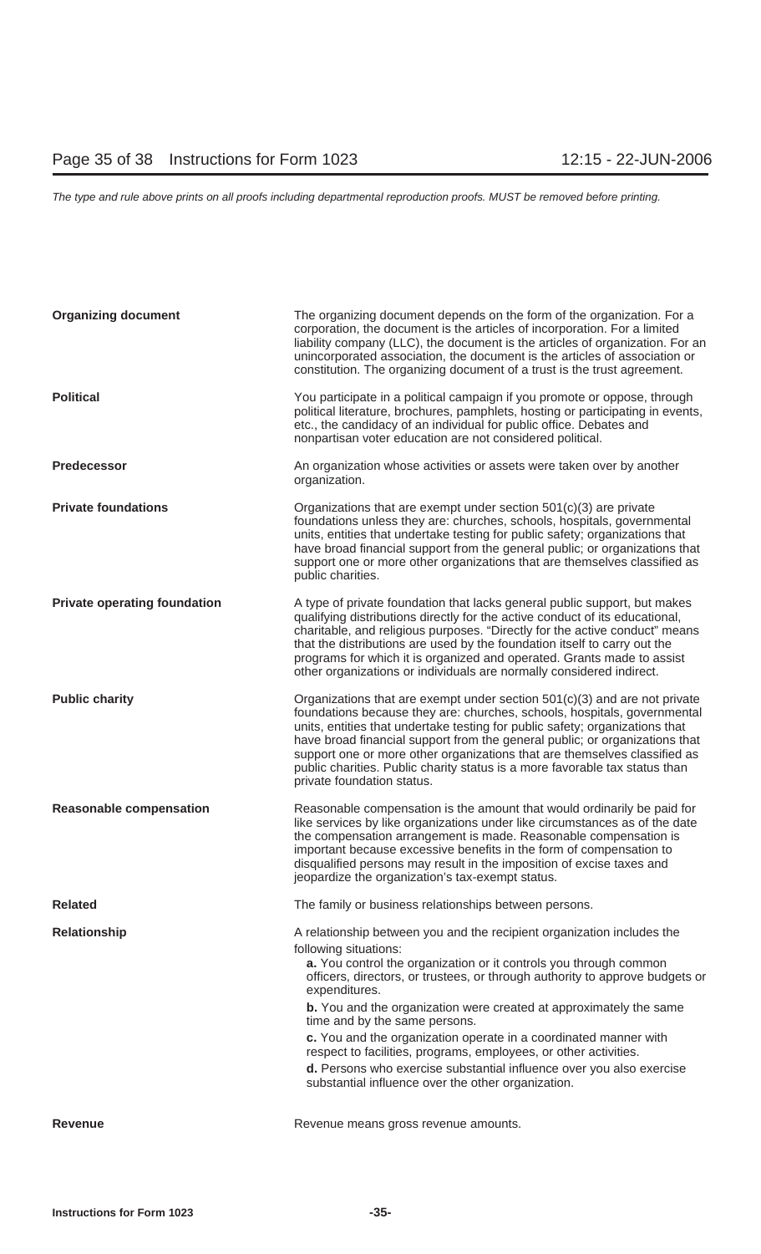| <b>Organizing document</b>          | The organizing document depends on the form of the organization. For a<br>corporation, the document is the articles of incorporation. For a limited<br>liability company (LLC), the document is the articles of organization. For an<br>unincorporated association, the document is the articles of association or<br>constitution. The organizing document of a trust is the trust agreement.                                                                                                                                                                                                                                                            |
|-------------------------------------|-----------------------------------------------------------------------------------------------------------------------------------------------------------------------------------------------------------------------------------------------------------------------------------------------------------------------------------------------------------------------------------------------------------------------------------------------------------------------------------------------------------------------------------------------------------------------------------------------------------------------------------------------------------|
| <b>Political</b>                    | You participate in a political campaign if you promote or oppose, through<br>political literature, brochures, pamphlets, hosting or participating in events,<br>etc., the candidacy of an individual for public office. Debates and<br>nonpartisan voter education are not considered political.                                                                                                                                                                                                                                                                                                                                                          |
| <b>Predecessor</b>                  | An organization whose activities or assets were taken over by another<br>organization.                                                                                                                                                                                                                                                                                                                                                                                                                                                                                                                                                                    |
| <b>Private foundations</b>          | Organizations that are exempt under section $501(c)(3)$ are private<br>foundations unless they are: churches, schools, hospitals, governmental<br>units, entities that undertake testing for public safety; organizations that<br>have broad financial support from the general public; or organizations that<br>support one or more other organizations that are themselves classified as<br>public charities.                                                                                                                                                                                                                                           |
| <b>Private operating foundation</b> | A type of private foundation that lacks general public support, but makes<br>qualifying distributions directly for the active conduct of its educational,<br>charitable, and religious purposes. "Directly for the active conduct" means<br>that the distributions are used by the foundation itself to carry out the<br>programs for which it is organized and operated. Grants made to assist<br>other organizations or individuals are normally considered indirect.                                                                                                                                                                                   |
| <b>Public charity</b>               | Organizations that are exempt under section $501(c)(3)$ and are not private<br>foundations because they are: churches, schools, hospitals, governmental<br>units, entities that undertake testing for public safety; organizations that<br>have broad financial support from the general public; or organizations that<br>support one or more other organizations that are themselves classified as<br>public charities. Public charity status is a more favorable tax status than<br>private foundation status.                                                                                                                                          |
| <b>Reasonable compensation</b>      | Reasonable compensation is the amount that would ordinarily be paid for<br>like services by like organizations under like circumstances as of the date<br>the compensation arrangement is made. Reasonable compensation is<br>important because excessive benefits in the form of compensation to<br>disqualified persons may result in the imposition of excise taxes and<br>jeopardize the organization's tax-exempt status.                                                                                                                                                                                                                            |
| <b>Related</b>                      | The family or business relationships between persons.                                                                                                                                                                                                                                                                                                                                                                                                                                                                                                                                                                                                     |
| <b>Relationship</b>                 | A relationship between you and the recipient organization includes the<br>following situations:<br>a. You control the organization or it controls you through common<br>officers, directors, or trustees, or through authority to approve budgets or<br>expenditures.<br><b>b.</b> You and the organization were created at approximately the same<br>time and by the same persons.<br>c. You and the organization operate in a coordinated manner with<br>respect to facilities, programs, employees, or other activities.<br>d. Persons who exercise substantial influence over you also exercise<br>substantial influence over the other organization. |
| <b>Revenue</b>                      | Revenue means gross revenue amounts.                                                                                                                                                                                                                                                                                                                                                                                                                                                                                                                                                                                                                      |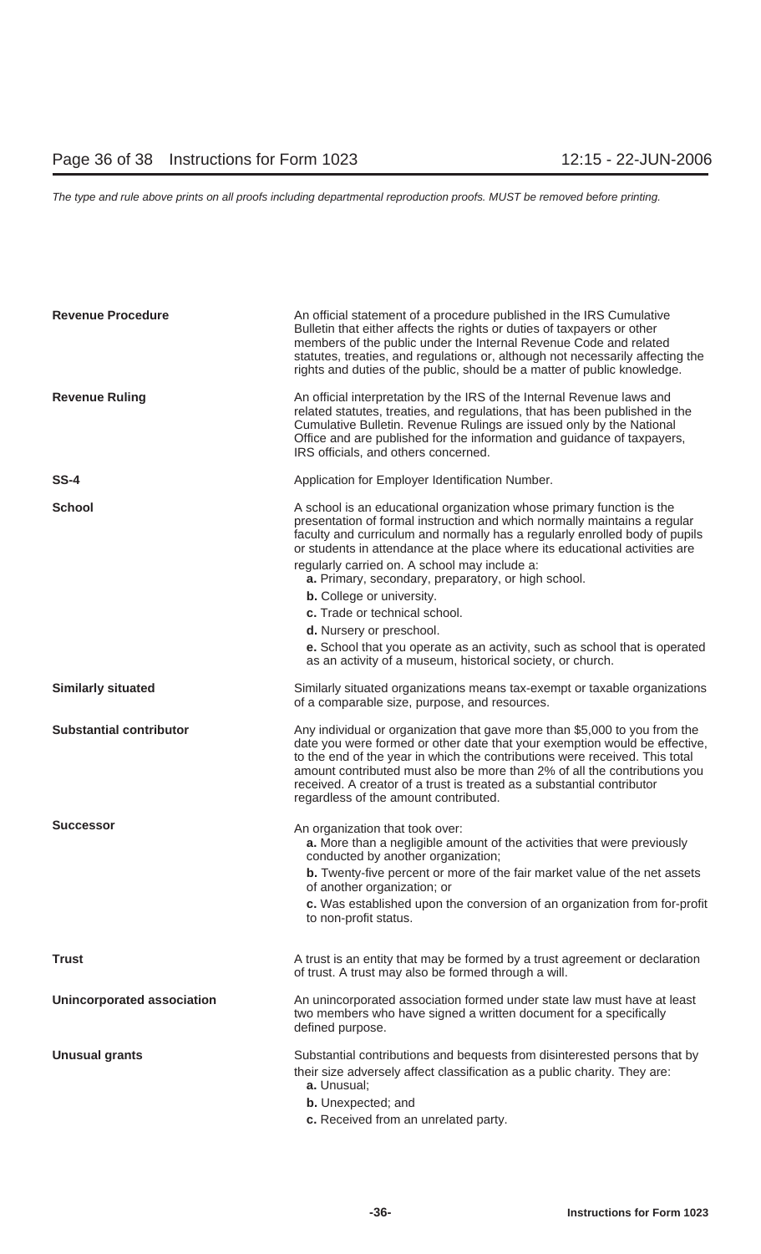| <b>Revenue Procedure</b>          | An official statement of a procedure published in the IRS Cumulative<br>Bulletin that either affects the rights or duties of taxpayers or other<br>members of the public under the Internal Revenue Code and related<br>statutes, treaties, and regulations or, although not necessarily affecting the<br>rights and duties of the public, should be a matter of public knowledge.                                                                                                                                                                                                                                                                                    |
|-----------------------------------|-----------------------------------------------------------------------------------------------------------------------------------------------------------------------------------------------------------------------------------------------------------------------------------------------------------------------------------------------------------------------------------------------------------------------------------------------------------------------------------------------------------------------------------------------------------------------------------------------------------------------------------------------------------------------|
| <b>Revenue Ruling</b>             | An official interpretation by the IRS of the Internal Revenue laws and<br>related statutes, treaties, and regulations, that has been published in the<br>Cumulative Bulletin. Revenue Rulings are issued only by the National<br>Office and are published for the information and guidance of taxpayers,<br>IRS officials, and others concerned.                                                                                                                                                                                                                                                                                                                      |
| <b>SS-4</b>                       | Application for Employer Identification Number.                                                                                                                                                                                                                                                                                                                                                                                                                                                                                                                                                                                                                       |
| <b>School</b>                     | A school is an educational organization whose primary function is the<br>presentation of formal instruction and which normally maintains a regular<br>faculty and curriculum and normally has a regularly enrolled body of pupils<br>or students in attendance at the place where its educational activities are<br>regularly carried on. A school may include a:<br>a. Primary, secondary, preparatory, or high school.<br><b>b.</b> College or university.<br>c. Trade or technical school.<br>d. Nursery or preschool.<br>e. School that you operate as an activity, such as school that is operated<br>as an activity of a museum, historical society, or church. |
| <b>Similarly situated</b>         | Similarly situated organizations means tax-exempt or taxable organizations<br>of a comparable size, purpose, and resources.                                                                                                                                                                                                                                                                                                                                                                                                                                                                                                                                           |
| <b>Substantial contributor</b>    | Any individual or organization that gave more than \$5,000 to you from the<br>date you were formed or other date that your exemption would be effective,<br>to the end of the year in which the contributions were received. This total<br>amount contributed must also be more than 2% of all the contributions you<br>received. A creator of a trust is treated as a substantial contributor<br>regardless of the amount contributed.                                                                                                                                                                                                                               |
| <b>Successor</b>                  | An organization that took over:<br>a. More than a negligible amount of the activities that were previously<br>conducted by another organization;<br><b>b.</b> Twenty-five percent or more of the fair market value of the net assets<br>of another organization; or<br>c. Was established upon the conversion of an organization from for-profit<br>to non-profit status.                                                                                                                                                                                                                                                                                             |
| <b>Trust</b>                      | A trust is an entity that may be formed by a trust agreement or declaration<br>of trust. A trust may also be formed through a will.                                                                                                                                                                                                                                                                                                                                                                                                                                                                                                                                   |
| <b>Unincorporated association</b> | An unincorporated association formed under state law must have at least<br>two members who have signed a written document for a specifically<br>defined purpose.                                                                                                                                                                                                                                                                                                                                                                                                                                                                                                      |
| <b>Unusual grants</b>             | Substantial contributions and bequests from disinterested persons that by<br>their size adversely affect classification as a public charity. They are:<br>a. Unusual;<br><b>b.</b> Unexpected; and<br>c. Received from an unrelated party.                                                                                                                                                                                                                                                                                                                                                                                                                            |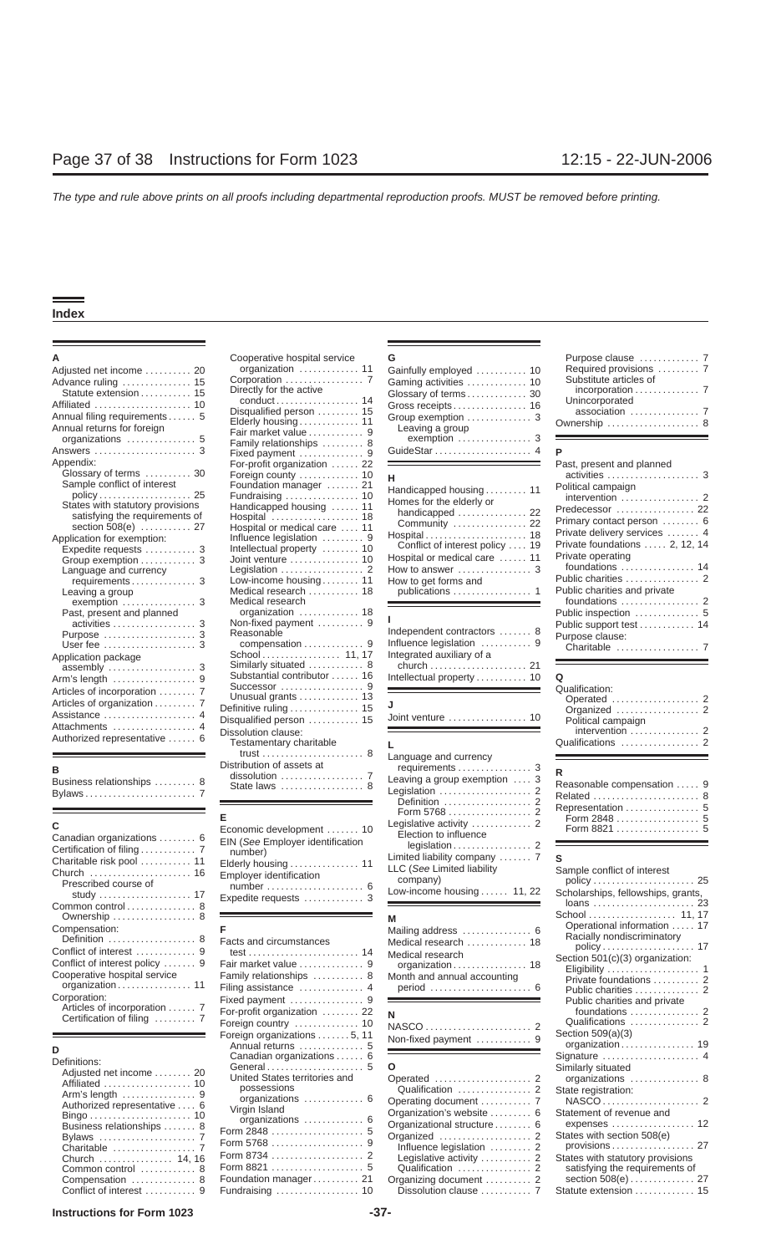| Adjusted net income  20<br>Advance ruling  15<br>Statute extension  15<br>Annual filing requirements 5<br>Annual returns for foreign<br>organizations $\dots\dots\dots\dots\dots$ 5 | organization  11<br>Corporation  7<br>Directly for the active<br>conduct 14<br>Disqualified person  15<br>Elderly housing 11<br>Fair market value  9<br>Family relationships  8 | Gainfully employed  10<br>Gaming activities  10<br>Glossary of terms 30<br>Gross receipts 16<br>Group exemption  3<br>Leaving a group<br>$exemption \ldots \ldots \ldots \ldots 3$ | Required provisions  7<br>Substitute articles of<br>incorporation 7<br>Unincorporated<br>association  7<br>Ownership  8 |
|-------------------------------------------------------------------------------------------------------------------------------------------------------------------------------------|---------------------------------------------------------------------------------------------------------------------------------------------------------------------------------|------------------------------------------------------------------------------------------------------------------------------------------------------------------------------------|-------------------------------------------------------------------------------------------------------------------------|
| Answers  3                                                                                                                                                                          | Fixed payment  9                                                                                                                                                                |                                                                                                                                                                                    |                                                                                                                         |
| Appendix:<br>Glossary of terms  30<br>Sample conflict of interest                                                                                                                   | For-profit organization  22<br>Foreign county  10                                                                                                                               | <u> 1989 - Johann Barnett, fransk politiker (d. 1989)</u><br>н.                                                                                                                    | Past, present and planned<br>activities  3                                                                              |
| $policy \dots \dots \dots \dots \dots \dots \dots \cdot 25$                                                                                                                         | Foundation manager  21<br>Fundraising $\ldots \ldots \ldots \ldots$ 10                                                                                                          | Handicapped housing 11                                                                                                                                                             | Political campaign<br>intervention  2                                                                                   |
| States with statutory provisions                                                                                                                                                    | Handicapped housing  11                                                                                                                                                         | Homes for the elderly or                                                                                                                                                           | Predecessor  22                                                                                                         |
| satisfying the requirements of                                                                                                                                                      | Hospital  18                                                                                                                                                                    | handicapped  22                                                                                                                                                                    | Primary contact person  6                                                                                               |
| section 508(e)  27                                                                                                                                                                  | Hospital or medical care  11                                                                                                                                                    | Community  22                                                                                                                                                                      |                                                                                                                         |
| Application for exemption:                                                                                                                                                          | Influence legislation  9                                                                                                                                                        |                                                                                                                                                                                    | Private delivery services  4<br>Private foundations  2, 12, 14                                                          |
| Expedite requests  3                                                                                                                                                                | Intellectual property  10                                                                                                                                                       | Conflict of interest policy  19                                                                                                                                                    |                                                                                                                         |
| Group exemption  3                                                                                                                                                                  | Joint venture  10                                                                                                                                                               | Hospital or medical care  11                                                                                                                                                       | Private operating<br>foundations  14                                                                                    |
| Language and currency                                                                                                                                                               | Legislation $\ldots \ldots \ldots \ldots \ldots$ 2                                                                                                                              | How to answer  3                                                                                                                                                                   |                                                                                                                         |
| requirements 3                                                                                                                                                                      | Low-income housing 11                                                                                                                                                           | How to get forms and                                                                                                                                                               | Public charities  2                                                                                                     |
| Leaving a group                                                                                                                                                                     | Medical research  18                                                                                                                                                            |                                                                                                                                                                                    | Public charities and private                                                                                            |
|                                                                                                                                                                                     | Medical research                                                                                                                                                                |                                                                                                                                                                                    | foundations  2                                                                                                          |
| Past, present and planned                                                                                                                                                           | organization  18                                                                                                                                                                |                                                                                                                                                                                    | Public inspection  5                                                                                                    |
| activities  3                                                                                                                                                                       | Non-fixed payment  9<br>Reasonable                                                                                                                                              | Independent contractors  8                                                                                                                                                         | Public support test  14                                                                                                 |
| Purpose  3<br>User fee $\ldots$ , $\ldots$ , $\ldots$ , $\ldots$ , 3                                                                                                                | compensation  9                                                                                                                                                                 | Influence legislation  9                                                                                                                                                           | Purpose clause:                                                                                                         |
|                                                                                                                                                                                     | School 11, 17                                                                                                                                                                   | Integrated auxiliary of a                                                                                                                                                          |                                                                                                                         |
| Application package                                                                                                                                                                 | Similarly situated  8                                                                                                                                                           | church  21                                                                                                                                                                         |                                                                                                                         |
|                                                                                                                                                                                     | Substantial contributor  16                                                                                                                                                     |                                                                                                                                                                                    | Q                                                                                                                       |
| Arm's length  9                                                                                                                                                                     |                                                                                                                                                                                 | <u> 1989 - Johann Stoff, deutscher Stoffen und der Stoffen und der Stoffen und der Stoffen und der Stoffen und der</u>                                                             | Qualification:                                                                                                          |
| Articles of incorporation  7                                                                                                                                                        | Unusual grants  13                                                                                                                                                              |                                                                                                                                                                                    |                                                                                                                         |
| Articles of organization 7                                                                                                                                                          | Definitive ruling  15                                                                                                                                                           | J                                                                                                                                                                                  | Organized  2                                                                                                            |
| Assistance  4                                                                                                                                                                       | Disqualified person  15                                                                                                                                                         | Joint venture  10                                                                                                                                                                  | Political campaign                                                                                                      |
| Attachments  4                                                                                                                                                                      | Dissolution clause:                                                                                                                                                             |                                                                                                                                                                                    | intervention  2                                                                                                         |
| Authorized representative  6                                                                                                                                                        | Tootamontary aboritable                                                                                                                                                         |                                                                                                                                                                                    | Qualification                                                                                                           |

| Business relationships |  |
|------------------------|--|
| Bylaws                 |  |

| Canadian organizations  6      |
|--------------------------------|
|                                |
| Charitable risk pool  11       |
| Church  16                     |
| Prescribed course of           |
| study  17                      |
| Common control 8               |
| Ownership  8                   |
| Compensation:                  |
| Definition  8                  |
|                                |
| Conflict of interest policy  9 |
| Cooperative hospital service   |
| organization 11                |
| Corporation:                   |
| Articles of incorporation 7    |
| Certification of filing  7     |
|                                |

| )efinitions:                             |
|------------------------------------------|
| Adjusted net income  2                   |
|                                          |
| Arm's length $\dots\dots\dots\dots\dots$ |
| Authorized representative                |
|                                          |
| Business relationships                   |
| Bylaws                                   |
| Charitable                               |
| Church  14, 1                            |
| Common control                           |
| Compensation                             |
| Conflict of interest                     |

# **A** Cooperative hospital service **G** Purpose clause ............. 7 7 Hospital or medical care .... 11<br>Influence legislation ......... 9<br>3 Intellectual property ........ 10 3 Joint venture . . . . . . . . . . . . . . 10 Legislation .................. 2 How to answer ................ 3 foundations . . . . . . . . . . . . . . . . 14 Language and currency Low-income housing . . . . . . . . 11 Leaving a group Medical research . . . . . . . . . . . 18<br>3 Dedical research Medical research Past, present and present and portion . . . . . . . . . . . . . 18<br>19 Public inspection . . . . . . . . . . . . 9 3 Non-fixed payment . . . . . . . . . 9<br>3 Reasonable 3 Similarly situated ............... 8 <sup>4</sup> Dissolution clause:<br>6 Testamentary charitable trust ...................... 8 Language and currency Distribution of assets at **<sup>B</sup>** requirements ................ 3 <sup>8</sup> State laws ........................... 8

| adian organizations  6                                                                                                                                               | Economic development  10                                                                                                     | Legislative activity $\ldots \ldots \ldots$<br>Election to influence                                                        | Form 8821                                                                                                                                                                |
|----------------------------------------------------------------------------------------------------------------------------------------------------------------------|------------------------------------------------------------------------------------------------------------------------------|-----------------------------------------------------------------------------------------------------------------------------|--------------------------------------------------------------------------------------------------------------------------------------------------------------------------|
| fication of filing  7<br>$\mathsf{itable}$ risk pool $\ldots \ldots \ldots$ 11<br>rch  16<br>escribed course of<br>study  17<br>mon control $\dots\dots\dots\dots$ 8 | EIN (See Employer identification<br>number)<br>Elderly housing  11<br><b>Employer identification</b><br>Expedite requests  3 | Limited liability company $\dots \dots$ 7 S<br>LLC (See Limited liability<br>company)<br>Low-income housing $\ldots$ 11, 22 | $legislation \ldots \ldots \ldots \ldots 2$<br>Sample conflict of interest<br>$policy \dots \dots \dots \dots \dots \dots \dots 2$<br>Scholarships, fellowships, grants, |

| Conflict of interest .............9<br>Conflict of interest policy  9<br>Cooperative hospital service<br>Corporation:<br>Articles of incorporation  7<br>Certification of filing  7                                                                                        | Fair market value  9<br>Family relationships  8<br>Filing assistance  4<br>For-profit organization  22<br>Foreign country  10<br>Foreign organizations 5, 11<br>Annual returns  5                                                                               | Medical research<br>organization 18<br>Month and annual accounting<br>and the control of the control of the control of the control of the control of the control of<br>N<br>Non-fixed payment  9 | Section 501(c)(3) organization:<br>Eligibility $\ldots \ldots \ldots \ldots \ldots \ldots$ 1<br>Private foundations  2<br>Public charities  2<br>Public charities and private<br>foundations  2<br>Qualifications  2<br>Section $509(a)(3)$<br>organization 19                                          |
|----------------------------------------------------------------------------------------------------------------------------------------------------------------------------------------------------------------------------------------------------------------------------|-----------------------------------------------------------------------------------------------------------------------------------------------------------------------------------------------------------------------------------------------------------------|--------------------------------------------------------------------------------------------------------------------------------------------------------------------------------------------------|---------------------------------------------------------------------------------------------------------------------------------------------------------------------------------------------------------------------------------------------------------------------------------------------------------|
| D<br>Definitions:<br>Adjusted net income  20<br>Affiliated  10<br>Arm's length $\dots\dots\dots\dots\dots9$<br>Authorized representative  6<br>Business relationships  8<br>Bylaws  7<br>Church  14, 16<br>Common control  8<br>Compensation  8<br>Conflict of interest  9 | Canadian organizations  6<br>General 5<br>United States territories and<br>possessions<br>organizations  6<br>Virgin Island<br>organizations  6<br>Form 2848  5<br>Form 5768  9<br>Foundation manager 21<br>Fundraising $\ldots \ldots \ldots \ldots \ldots$ 10 | <sup>o</sup><br>Organization's website  6<br>Organizational structure  6<br>Influence legislation  2<br>Dissolution clause  7                                                                    | Signature  4<br>Similarly situated<br>organizations  8<br>State registration:<br>Statement of revenue and<br>expenses $\dots\dots\dots\dots\dots\dots$ 12<br>States with section 508(e)<br>provisions 27<br>States with statutory provisions<br>satisfying the requirements of<br>Statute extension  15 |

# Amic organization . . . . . . . . . . . . . . 11 Gainfully employed . . . . . . . . . . 10<br>5 Corporation . . . . . . . . . . . . . . . . . 7 Gaming activities . . . . . . . 10 Advance ruling Corporation ................. 7 Substitute articles of . . . . . . . . . . . . . . . 15 Gaming activities . . . . . . . . . . . . . 10 Statute extension . . . . . . . . . . . 15 Directly for the active incorporation Glossary of terms .............. 7 . . . . . . . . . . . . . 30 conduct . . . . . . . . . . . . . . . . . . 14 Unincorporated Affiliated . . . . . . . . . . . . . . . . . . . . . 10 Gross receipts . . . . . . . . . . . . . . . . 16 Disqualified person . . . . . . . . . 15 association ............... 7 Annual filing requirements ...... 5 Group exemption .............. 3 Elderly housing . . . . . . . . . . . . . 11 Ownership .................... 8 Annual returns for foreign Leaving a group Fair market value ............ 9 organizations ............... 5 exemption ................ 3 Family relationships ......... 8 Answers ...................... 3 Fixed payment .............. 9 GuideStar ..................... 4 **P**

| Handicapped housing 11<br>Homes for the elderly or |  |
|----------------------------------------------------|--|
| handicapped  22<br>Community  22                   |  |
| Hospital 18<br>Conflict of interest policy  19     |  |
| Hospital or medical care  11                       |  |
| How to answer $\ldots$ 3                           |  |
| How to get forms and<br>publications  1            |  |

| Purpose  3<br>Application package                                           | Reasonable and the seasonable                                           | Independent contractors  8 | $\sim$ 0.000 0.000 0.000 0.000 0.000 0.000 0.000 0.000 0.000 0.000 0.000 0.000 0.000 0.000 0.000 0.000 0.000 0.000 0.000 0.000 0.000 0.000 0.000 0.000 0.000 0.000 0.000 0.000 0.000 0.000 0.000 0.000 0.000 0.000 0.000 0.000<br>Purpose clause: |
|-----------------------------------------------------------------------------|-------------------------------------------------------------------------|----------------------------|---------------------------------------------------------------------------------------------------------------------------------------------------------------------------------------------------------------------------------------------------|
| Arm's length  9<br>Articles of incorporation  7<br>Articles of organization | Substantial contributor  16<br>Unusual grants $\ldots \ldots \ldots$ 13 |                            | Oualification:<br>Operated  2                                                                                                                                                                                                                     |

| в<br>Business relationships  8                                           | <b>I COMMITMEDITION VEHICLE</b><br>trust $\ldots \ldots \ldots \ldots \ldots \ldots 8$<br>Distribution of assets at<br>dissolution $\ldots \ldots \ldots \ldots \ldots$ 7<br>State laws  8 | Language and currency<br>Leaving a group exemption $\ldots$ 3<br>Legislation  2<br>Definition  2                                             | v<br>R<br>R<br>R |
|--------------------------------------------------------------------------|--------------------------------------------------------------------------------------------------------------------------------------------------------------------------------------------|----------------------------------------------------------------------------------------------------------------------------------------------|------------------|
| c<br>Canadian organizations  6<br>Charitable risk pool  11<br>Church  16 | Economic development  10<br>EIN (See Employer identification<br>number)<br>Elderly housing  11<br>Employer identification                                                                  | Election to influence<br>$legislation \ldots \ldots \ldots \ldots 2$<br>Limited liability company $\ldots$ . 7<br>LLC (See Limited liability | R.<br>- S<br>S:  |
| Prescribed course of                                                     | Evnadita raguaete                                                                                                                                                                          | company)<br>Low-income housing  11, 22                                                                                                       | - S              |

| Mailing address  6<br>Medical research  18<br>Medical research<br>organization 18<br>Month and annual accounting<br>period  6 |  |
|-------------------------------------------------------------------------------------------------------------------------------|--|
| J<br>Non-fixed payment  9                                                                                                     |  |
| C<br>Operated  2<br>Qualification  2<br>Dperating document  7<br>Organization's website  6                                    |  |

| Dperating document                               |  |
|--------------------------------------------------|--|
| Organization's website                           |  |
| Organizational structure 0                       |  |
| Drganized  :                                     |  |
| Influence legislation  2<br>Legislative activity |  |
|                                                  |  |
| Qualification                                    |  |
| Drganizing document                              |  |

| Purpose clause         |  |
|------------------------|--|
| Required provisions  7 |  |
| Substitute articles of |  |
| incorporation 7        |  |
| Unincorporated         |  |
| association            |  |
|                        |  |
|                        |  |

| JUULIUIX.                                              | For-profit organization $\,\ldots\, 22$            |                                             | Past, present and planned                       |
|--------------------------------------------------------|----------------------------------------------------|---------------------------------------------|-------------------------------------------------|
| Glossary of terms  30                                  | Foreign county  10                                 | н                                           | activities $\ldots \ldots \ldots \ldots \ldots$ |
| Sample conflict of interest                            | Foundation manager  21                             | Handicapped housing 11                      | Political campaign                              |
| $policy \dots \dots \dots \dots \dots \dots \ 25$      | Fundraising  10                                    |                                             | intervention $\ldots, \ldots, \ldots, 2$        |
| States with statutory provisions                       | Handicapped housing  11                            | Homes for the elderly or                    | Predecessor  22                                 |
| satisfying the requirements of                         | Hospital  18                                       | handicapped  22                             | Primary contact person  6                       |
| section $508(e)$ 27                                    | Hospital or medical care  11                       | Community  22                               | Private delivery services  4                    |
| plication for exemption:                               | Influence legislation  9                           |                                             |                                                 |
| Expedite requests $\ldots \ldots \ldots$ 3             | Intellectual property  10                          | Conflict of interest policy  19             | Private foundations  2, 12, 14                  |
| Group exemption  3                                     | Joint venture  10                                  | Hospital or medical care  11                | Private operating                               |
| Language and currency                                  | Legislation $\ldots \ldots \ldots \ldots \ldots$ 2 | How to answer $\dots\dots\dots\dots\dots$ 3 | foundations  14                                 |
| requirements 3                                         | Low-income housing $11$                            | How to get forms and                        |                                                 |
| Leaving a group                                        | Medical research  18                               |                                             | Public charities and private                    |
|                                                        | Medical research                                   |                                             |                                                 |
| Past, present and planned                              | organization  18                                   |                                             |                                                 |
| activities  3                                          | Non-fixed payment  9                               |                                             | Public support test  14                         |
| Purpose  3                                             | Reasonable                                         | Independent contractors  8                  | Purpose clause:                                 |
| User fee $\ldots$ , $\ldots$ , $\ldots$ , $\ldots$ , 3 |                                                    | Influence legislation  9                    | Charitable                                      |

| Operated  2  |
|--------------|
| Organized  2 |
|              |
|              |
|              |
|              |

| Business relationships ………. 8 | State laws  8            | Leaving a group exemption $\ldots$ 3<br>Legislation  2 | Reasonable compensation  9<br>Related  8 |
|-------------------------------|--------------------------|--------------------------------------------------------|------------------------------------------|
| Conodian organizations        | Economic development  10 | Form 5768  2<br>Election to influence                  | Form 2848 5<br>Form 8821  5              |

| Church  16<br>Prescribed course of<br>study  17<br>Common control 8<br>Ownership  8<br>Compensation:<br>Definition  8<br>Conflict of interest  9<br>Conflict of interest policy  9<br>Cooperative hospital service<br>organization 11<br>Corporation:<br>Articles of incorporation  7<br>Certification of filing  7 | $E[U \cup U]$ is a set of $U$ is a set of $U$ is a set of $U$ is a set of $U$ is a set of $U$ is a set of $U$<br>Employer identification<br>$number \ldots \ldots \ldots \ldots \ldots \ldots 6$<br>Expedite requests  3<br>Facts and circumstances<br>Fair market value  9<br>Family relationships  8<br>Filing assistance  4<br>For-profit organization  22 | LLC (See Limited liability<br>company)<br>Low-income housing  11, 22<br>Medical research  18<br>Medical research<br>organization 18<br>Month and annual accounting<br>N                                                    | Sample conflict of interest<br>Scholarships, fellowships, grants,<br>loans  23<br>School  11, 17<br>Operational information  17<br>Racially nondiscriminatory<br>$policy \dots \dots \dots \dots \dots \dots \dots \dots \dots \dots \dots$<br>Section 501(c)(3) organization:<br>Private foundations  2<br>Public charities  2<br>Public charities and private<br>foundations  2<br>Qualifications  2 |
|---------------------------------------------------------------------------------------------------------------------------------------------------------------------------------------------------------------------------------------------------------------------------------------------------------------------|---------------------------------------------------------------------------------------------------------------------------------------------------------------------------------------------------------------------------------------------------------------------------------------------------------------------------------------------------------------|----------------------------------------------------------------------------------------------------------------------------------------------------------------------------------------------------------------------------|--------------------------------------------------------------------------------------------------------------------------------------------------------------------------------------------------------------------------------------------------------------------------------------------------------------------------------------------------------------------------------------------------------|
| D<br>Definitions:<br>Adjusted net income  20<br>Affiliated  10<br>Arm's length  9<br>Authorized representative  6<br>Business relationships  8<br>Bylaws  7<br>Church  14, 16<br>Common control  8<br>Compensation  8                                                                                               | Foreign country  10<br>Foreign organizations 5, 11<br>Annual returns  5<br>Canadian organizations  6<br>General 5<br>United States territories and<br>possessions<br>organizations  6<br>Virgin Island<br>organizations  6<br>Form 2848  5<br>Form 5768  9<br>Form 8821  5<br>Foundation manager 21                                                           | Non-fixed payment  9<br><sup>o</sup><br>Qualification  2<br>Organization's website  6<br>Organizational structure  6<br>Influence legislation  2<br>Legislative activity  2<br>Dissolution clause $\ldots \ldots \ldots$ 7 | Section $509(a)(3)$<br>organization 19<br>Signature  4<br>Similarly situated<br>organizations  8<br>State registration:<br>Statement of revenue and<br>States with section 508(e)<br>States with statutory provisions<br>satisfying the requirements of<br>Statute extension  15                                                                                                                       |

### **Instructions for Form 1023 -37-**